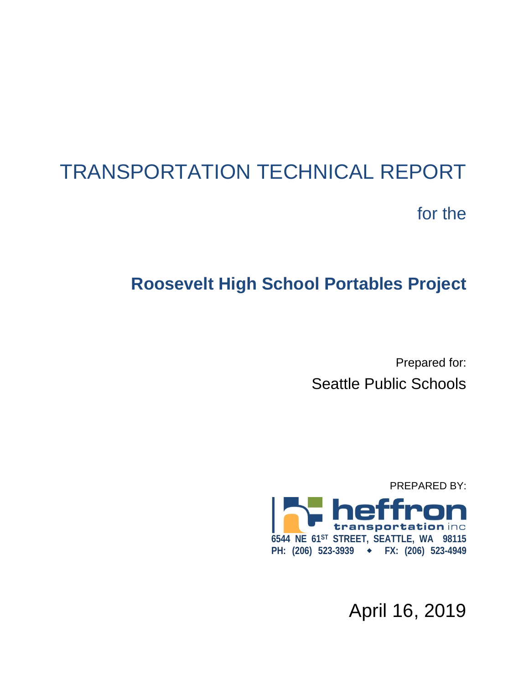# TRANSPORTATION TECHNICAL REPORT for the

## **Roosevelt High School Portables Project**

Prepared for: Seattle Public Schools



April 16, 2019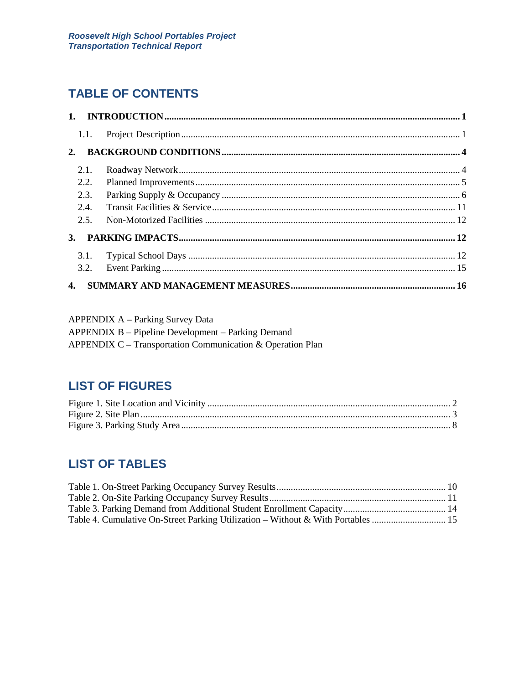## **TABLE OF CONTENTS**

|    | 1.1. |  |
|----|------|--|
| 2. |      |  |
|    | 2.1. |  |
|    | 2.2. |  |
|    | 2.3. |  |
|    | 2.4. |  |
|    | 2.5. |  |
| 3. |      |  |
|    |      |  |
|    | 3.2. |  |
| 4. |      |  |

| <b>APPENDIX A – Parking Survey Data</b>                    |
|------------------------------------------------------------|
| APPENDIX B – Pipeline Development – Parking Demand         |
| APPENDIX C – Transportation Communication & Operation Plan |

## **LIST OF FIGURES**

## **LIST OF TABLES**

| Table 4. Cumulative On-Street Parking Utilization – Without & With Portables  15 |  |
|----------------------------------------------------------------------------------|--|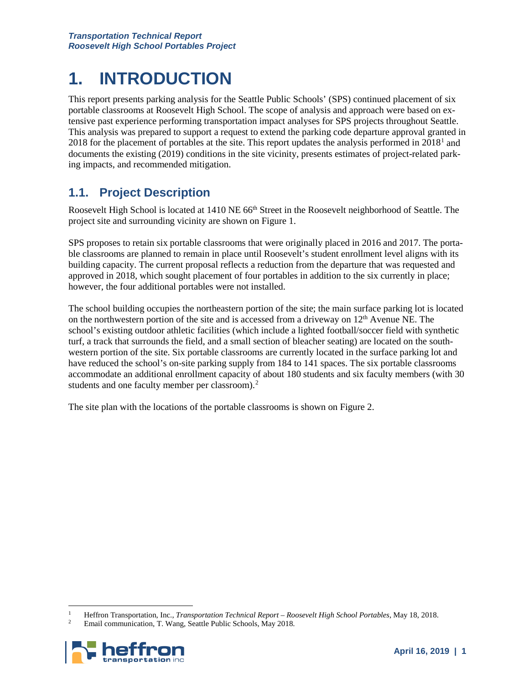## **1. INTRODUCTION**

This report presents parking analysis for the Seattle Public Schools' (SPS) continued placement of six portable classrooms at Roosevelt High School. The scope of analysis and approach were based on extensive past experience performing transportation impact analyses for SPS projects throughout Seattle. This analysis was prepared to support a request to extend the parking code departure approval granted in 20[1](#page-2-0)8 for the placement of portables at the site. This report updates the analysis performed in  $2018<sup>1</sup>$  and documents the existing (2019) conditions in the site vicinity, presents estimates of project-related parking impacts, and recommended mitigation.

### **1.1. Project Description**

Roosevelt High School is located at 1410 NE 66<sup>th</sup> Street in the Roosevelt neighborhood of Seattle. The project site and surrounding vicinity are shown on Figure 1.

SPS proposes to retain six portable classrooms that were originally placed in 2016 and 2017. The portable classrooms are planned to remain in place until Roosevelt's student enrollment level aligns with its building capacity. The current proposal reflects a reduction from the departure that was requested and approved in 2018, which sought placement of four portables in addition to the six currently in place; however, the four additional portables were not installed.

The school building occupies the northeastern portion of the site; the main surface parking lot is located on the northwestern portion of the site and is accessed from a driveway on  $12<sup>th</sup>$  Avenue NE. The school's existing outdoor athletic facilities (which include a lighted football/soccer field with synthetic turf, a track that surrounds the field, and a small section of bleacher seating) are located on the southwestern portion of the site. Six portable classrooms are currently located in the surface parking lot and have reduced the school's on-site parking supply from 184 to 141 spaces. The six portable classrooms accommodate an additional enrollment capacity of about 180 students and six faculty members (with 30 students and one faculty member per classroom).<sup>[2](#page-2-1)</sup>

The site plan with the locations of the portable classrooms is shown on Figure 2.

<span id="page-2-1"></span><span id="page-2-0"></span><sup>2</sup> Email communication, T. Wang, Seattle Public Schools, May 2018.



 <sup>1</sup> Heffron Transportation, Inc., *Transportation Technical Report – Roosevelt High School Portables*, May 18, 2018.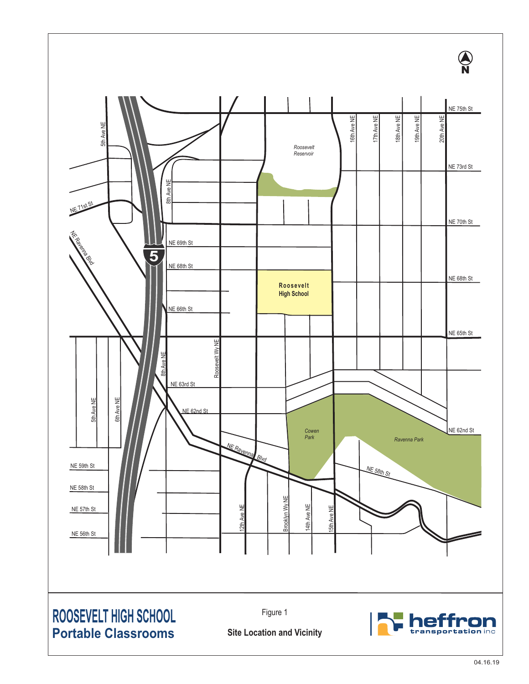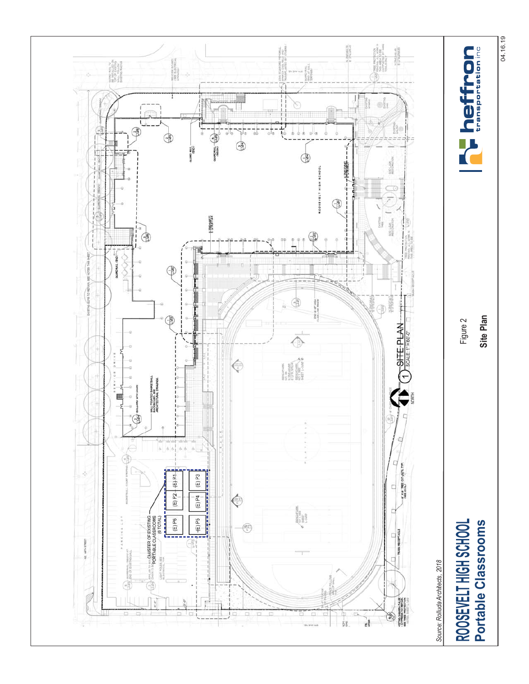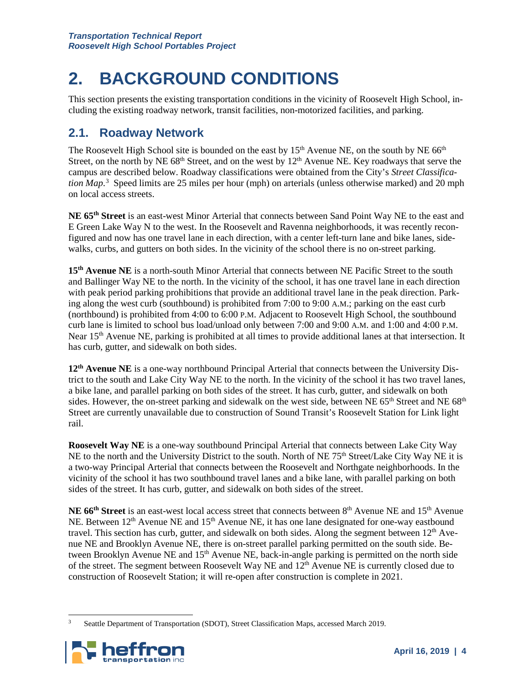## **2. BACKGROUND CONDITIONS**

This section presents the existing transportation conditions in the vicinity of Roosevelt High School, including the existing roadway network, transit facilities, non-motorized facilities, and parking.

## **2.1. Roadway Network**

The Roosevelt High School site is bounded on the east by  $15<sup>th</sup>$  Avenue NE, on the south by NE 66<sup>th</sup> Street, on the north by NE  $68<sup>th</sup>$  Street, and on the west by  $12<sup>th</sup>$  Avenue NE. Key roadways that serve the campus are described below. Roadway classifications were obtained from the City's *Street Classification Map*. [3](#page-5-0) Speed limits are 25 miles per hour (mph) on arterials (unless otherwise marked) and 20 mph on local access streets.

**NE 65th Street** is an east-west Minor Arterial that connects between Sand Point Way NE to the east and E Green Lake Way N to the west. In the Roosevelt and Ravenna neighborhoods, it was recently reconfigured and now has one travel lane in each direction, with a center left-turn lane and bike lanes, sidewalks, curbs, and gutters on both sides. In the vicinity of the school there is no on-street parking.

**15th Avenue NE** is a north-south Minor Arterial that connects between NE Pacific Street to the south and Ballinger Way NE to the north. In the vicinity of the school, it has one travel lane in each direction with peak period parking prohibitions that provide an additional travel lane in the peak direction. Parking along the west curb (southbound) is prohibited from 7:00 to 9:00 A.M.; parking on the east curb (northbound) is prohibited from 4:00 to 6:00 P.M. Adjacent to Roosevelt High School, the southbound curb lane is limited to school bus load/unload only between 7:00 and 9:00 A.M. and 1:00 and 4:00 P.M. Near 15<sup>th</sup> Avenue NE, parking is prohibited at all times to provide additional lanes at that intersection. It has curb, gutter, and sidewalk on both sides.

**12th Avenue NE** is a one-way northbound Principal Arterial that connects between the University District to the south and Lake City Way NE to the north. In the vicinity of the school it has two travel lanes, a bike lane, and parallel parking on both sides of the street. It has curb, gutter, and sidewalk on both sides. However, the on-street parking and sidewalk on the west side, between NE  $65<sup>th</sup>$  Street and NE  $68<sup>th</sup>$ Street are currently unavailable due to construction of Sound Transit's Roosevelt Station for Link light rail.

**Roosevelt Way NE** is a one-way southbound Principal Arterial that connects between Lake City Way NE to the north and the University District to the south. North of NE 75<sup>th</sup> Street/Lake City Way NE it is a two-way Principal Arterial that connects between the Roosevelt and Northgate neighborhoods. In the vicinity of the school it has two southbound travel lanes and a bike lane, with parallel parking on both sides of the street. It has curb, gutter, and sidewalk on both sides of the street.

NE 66<sup>th</sup> Street is an east-west local access street that connects between 8<sup>th</sup> Avenue NE and 15<sup>th</sup> Avenue NE. Between 12<sup>th</sup> Avenue NE and 15<sup>th</sup> Avenue NE, it has one lane designated for one-way eastbound travel. This section has curb, gutter, and sidewalk on both sides. Along the segment between  $12<sup>th</sup>$  Avenue NE and Brooklyn Avenue NE, there is on-street parallel parking permitted on the south side. Between Brooklyn Avenue NE and 15<sup>th</sup> Avenue NE, back-in-angle parking is permitted on the north side of the street. The segment between Roosevelt Way NE and 12<sup>th</sup> Avenue NE is currently closed due to construction of Roosevelt Station; it will re-open after construction is complete in 2021.

<span id="page-5-0"></span><sup>&</sup>lt;sup>3</sup> Seattle Department of Transportation (SDOT), Street Classification Maps, accessed March 2019.

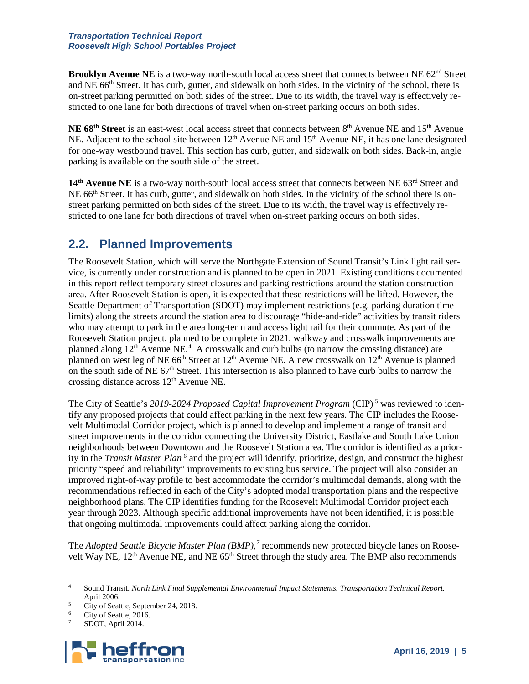#### *Transportation Technical Report Roosevelt High School Portables Project*

**Brooklyn Avenue NE** is a two-way north-south local access street that connects between NE 62<sup>nd</sup> Street and NE 66<sup>th</sup> Street. It has curb, gutter, and sidewalk on both sides. In the vicinity of the school, there is on-street parking permitted on both sides of the street. Due to its width, the travel way is effectively restricted to one lane for both directions of travel when on-street parking occurs on both sides.

NE 68<sup>th</sup> Street is an east-west local access street that connects between 8<sup>th</sup> Avenue NE and 15<sup>th</sup> Avenue NE. Adjacent to the school site between 12<sup>th</sup> Avenue NE and 15<sup>th</sup> Avenue NE, it has one lane designated for one-way westbound travel. This section has curb, gutter, and sidewalk on both sides. Back-in, angle parking is available on the south side of the street.

14<sup>th</sup> **Avenue NE** is a two-way north-south local access street that connects between NE 63<sup>rd</sup> Street and NE 66th Street. It has curb, gutter, and sidewalk on both sides. In the vicinity of the school there is onstreet parking permitted on both sides of the street. Due to its width, the travel way is effectively restricted to one lane for both directions of travel when on-street parking occurs on both sides.

### **2.2. Planned Improvements**

The Roosevelt Station, which will serve the Northgate Extension of Sound Transit's Link light rail service, is currently under construction and is planned to be open in 2021. Existing conditions documented in this report reflect temporary street closures and parking restrictions around the station construction area. After Roosevelt Station is open, it is expected that these restrictions will be lifted. However, the Seattle Department of Transportation (SDOT) may implement restrictions (e.g. parking duration time limits) along the streets around the station area to discourage "hide-and-ride" activities by transit riders who may attempt to park in the area long-term and access light rail for their commute. As part of the Roosevelt Station project, planned to be complete in 2021, walkway and crosswalk improvements are planned along  $12<sup>th</sup>$  Avenue NE.<sup>[4](#page-6-0)</sup> A crosswalk and curb bulbs (to narrow the crossing distance) are planned on west leg of NE 66<sup>th</sup> Street at 12<sup>th</sup> Avenue NE. A new crosswalk on 12<sup>th</sup> Avenue is planned on the south side of NE 67<sup>th</sup> Street. This intersection is also planned to have curb bulbs to narrow the crossing distance across 12th Avenue NE.

The City of Seattle's *2019-2024 Proposed Capital Improvement Program* (CIP) [5](#page-6-1) was reviewed to identify any proposed projects that could affect parking in the next few years. The CIP includes the Roosevelt Multimodal Corridor project, which is planned to develop and implement a range of transit and street improvements in the corridor connecting the University District, Eastlake and South Lake Union neighborhoods between Downtown and the Roosevelt Station area. The corridor is identified as a priority in the *Transit Master Plan* [6](#page-6-2) and the project will identify, prioritize, design, and construct the highest priority "speed and reliability" improvements to existing bus service. The project will also consider an improved right-of-way profile to best accommodate the corridor's multimodal demands, along with the recommendations reflected in each of the City's adopted modal transportation plans and the respective neighborhood plans. The CIP identifies funding for the Roosevelt Multimodal Corridor project each year through 2023. Although specific additional improvements have not been identified, it is possible that ongoing multimodal improvements could affect parking along the corridor.

The *Adopted Seattle Bicycle Master Plan (BMP),[7](#page-6-3)* recommends new protected bicycle lanes on Roosevelt Way NE, 12<sup>th</sup> Avenue NE, and NE 65<sup>th</sup> Street through the study area. The BMP also recommends

<span id="page-6-3"></span><span id="page-6-2"></span><span id="page-6-1"></span>SDOT, April 2014.



<span id="page-6-0"></span> <sup>4</sup> Sound Transit. *North Link Final Supplemental Environmental Impact Statements. Transportation Technical Report.* April 2006.

<sup>&</sup>lt;sup>5</sup> City of Seattle, September 24, 2018.

City of Seattle, 2016.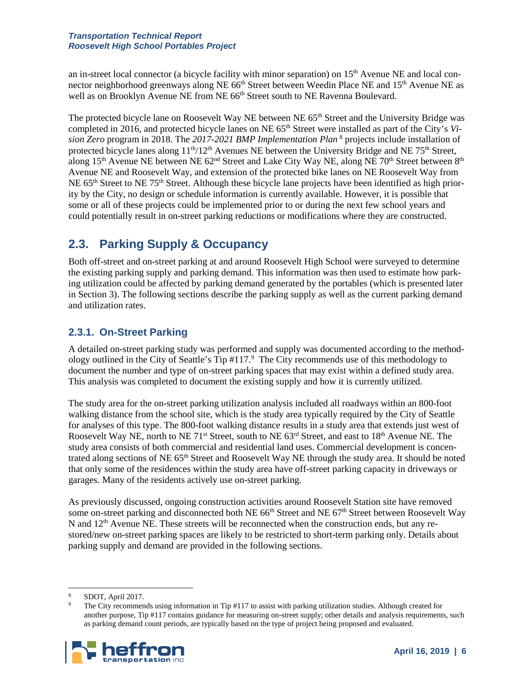#### *Transportation Technical Report Roosevelt High School Portables Project*

an in-street local connector (a bicycle facility with minor separation) on 15th Avenue NE and local connector neighborhood greenways along NE 66<sup>th</sup> Street between Weedin Place NE and 15<sup>th</sup> Avenue NE as well as on Brooklyn Avenue NE from NE 66<sup>th</sup> Street south to NE Ravenna Boulevard.

The protected bicycle lane on Roosevelt Way NE between NE 65<sup>th</sup> Street and the University Bridge was completed in 2016, and protected bicycle lanes on NE  $65<sup>th</sup>$  Street were installed as part of the City's *Vision Zero* program in 2018. The *2017-2021 BMP Implementation Plan* [8](#page-7-0) projects include installation of protected bicycle lanes along  $11^{th}/12^{th}$  Avenues NE between the University Bridge and NE 75<sup>th</sup> Street, along 15<sup>th</sup> Avenue NE between NE 62<sup>nd</sup> Street and Lake City Way NE, along NE 70<sup>th</sup> Street between 8<sup>th</sup> Avenue NE and Roosevelt Way, and extension of the protected bike lanes on NE Roosevelt Way from NE  $65<sup>th</sup>$  Street to NE 75<sup>th</sup> Street. Although these bicycle lane projects have been identified as high priority by the City, no design or schedule information is currently available. However, it is possible that some or all of these projects could be implemented prior to or during the next few school years and could potentially result in on-street parking reductions or modifications where they are constructed.

## **2.3. Parking Supply & Occupancy**

Both off-street and on-street parking at and around Roosevelt High School were surveyed to determine the existing parking supply and parking demand. This information was then used to estimate how parking utilization could be affected by parking demand generated by the portables (which is presented later in Section [3\)](#page-13-0). The following sections describe the parking supply as well as the current parking demand and utilization rates.

### **2.3.1. On-Street Parking**

A detailed on-street parking study was performed and supply was documented according to the method-ology outlined in the City of Seattle's Tip #117.<sup>[9](#page-7-1)</sup> The City recommends use of this methodology to document the number and type of on-street parking spaces that may exist within a defined study area. This analysis was completed to document the existing supply and how it is currently utilized.

The study area for the on-street parking utilization analysis included all roadways within an 800-foot walking distance from the school site, which is the study area typically required by the City of Seattle for analyses of this type. The 800-foot walking distance results in a study area that extends just west of Roosevelt Way NE, north to NE 71<sup>st</sup> Street, south to NE 63<sup>rd</sup> Street, and east to 18<sup>th</sup> Avenue NE. The study area consists of both commercial and residential land uses. Commercial development is concentrated along sections of NE 65th Street and Roosevelt Way NE through the study area. It should be noted that only some of the residences within the study area have off-street parking capacity in driveways or garages. Many of the residents actively use on-street parking.

As previously discussed, ongoing construction activities around Roosevelt Station site have removed some on-street parking and disconnected both NE 66<sup>th</sup> Street and NE 67<sup>th</sup> Street between Roosevelt Way N and  $12<sup>th</sup>$  Avenue NE. These streets will be reconnected when the construction ends, but any restored/new on-street parking spaces are likely to be restricted to short-term parking only. Details about parking supply and demand are provided in the following sections.

<span id="page-7-1"></span><span id="page-7-0"></span>The City recommends using information in Tip #117 to assist with parking utilization studies. Although created for another purpose, Tip #117 contains guidance for measuring on-street supply; other details and analysis requirements, such as parking demand count periods, are typically based on the type of project being proposed and evaluated.



 <sup>8</sup> SDOT, April 2017.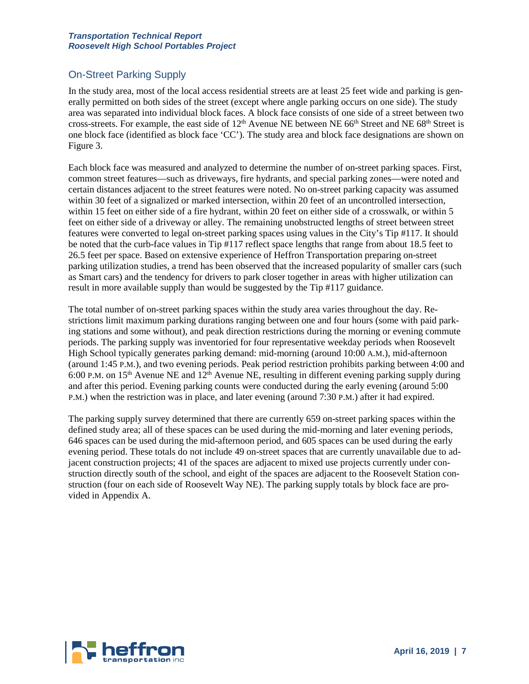### On-Street Parking Supply

In the study area, most of the local access residential streets are at least 25 feet wide and parking is generally permitted on both sides of the street (except where angle parking occurs on one side). The study area was separated into individual block faces. A block face consists of one side of a street between two cross-streets. For example, the east side of 12<sup>th</sup> Avenue NE between NE 66<sup>th</sup> Street and NE 68<sup>th</sup> Street is one block face (identified as block face 'CC'). The study area and block face designations are shown on Figure 3.

Each block face was measured and analyzed to determine the number of on-street parking spaces. First, common street features—such as driveways, fire hydrants, and special parking zones—were noted and certain distances adjacent to the street features were noted. No on-street parking capacity was assumed within 30 feet of a signalized or marked intersection, within 20 feet of an uncontrolled intersection, within 15 feet on either side of a fire hydrant, within 20 feet on either side of a crosswalk, or within 5 feet on either side of a driveway or alley. The remaining unobstructed lengths of street between street features were converted to legal on-street parking spaces using values in the City's Tip #117. It should be noted that the curb-face values in Tip #117 reflect space lengths that range from about 18.5 feet to 26.5 feet per space. Based on extensive experience of Heffron Transportation preparing on-street parking utilization studies, a trend has been observed that the increased popularity of smaller cars (such as Smart cars) and the tendency for drivers to park closer together in areas with higher utilization can result in more available supply than would be suggested by the Tip #117 guidance.

The total number of on-street parking spaces within the study area varies throughout the day. Restrictions limit maximum parking durations ranging between one and four hours (some with paid parking stations and some without), and peak direction restrictions during the morning or evening commute periods. The parking supply was inventoried for four representative weekday periods when Roosevelt High School typically generates parking demand: mid-morning (around 10:00 A.M.), mid-afternoon (around 1:45 P.M.), and two evening periods. Peak period restriction prohibits parking between 4:00 and 6:00 P.M. on 15<sup>th</sup> Avenue NE and 12<sup>th</sup> Avenue NE, resulting in different evening parking supply during and after this period. Evening parking counts were conducted during the early evening (around 5:00 P.M.) when the restriction was in place, and later evening (around 7:30 P.M.) after it had expired.

The parking supply survey determined that there are currently 659 on-street parking spaces within the defined study area; all of these spaces can be used during the mid-morning and later evening periods, 646 spaces can be used during the mid-afternoon period, and 605 spaces can be used during the early evening period. These totals do not include 49 on-street spaces that are currently unavailable due to adjacent construction projects; 41 of the spaces are adjacent to mixed use projects currently under construction directly south of the school, and eight of the spaces are adjacent to the Roosevelt Station construction (four on each side of Roosevelt Way NE). The parking supply totals by block face are provided in Appendix A.

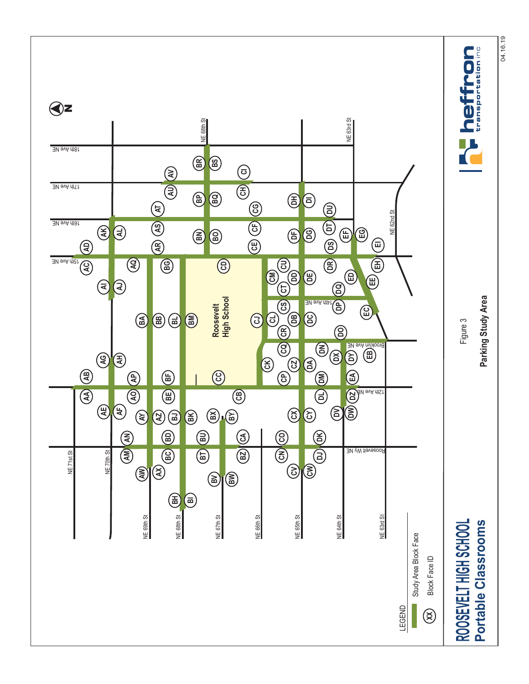**heffron Qz** NE 63rd St NE 68th St NE 63rd St NE 68th St 18th Ave NE **BR BS ≷ CI** 17th Ave NE **⊋ CH BP BQ 国 DI** 0000000 **AS AT CF CG** NE 62nd St NE 62nd St 16th Ave NE  $\circledS$ **DR DT DS AL DG B EG**  $\circledS$ **BO ED EF**  $\circledR$ **EIAA AD AB AR CE AQ CD BG**  $\circledS$ a<sub>n ava diat</sub><br>ac **EH**  $\textcircled{\scriptsize{5}}$ **DD EE DA DE AI AJ** (පි) CN (CO) (CP) (CQ) CR) (CS) CT **DQ High School CS** Parking Study Area **Parking Study Area** 14th Ave NE <u>ይ</u> **EC Roosevelt BB DB**  $\circledS$  $\circledS$ **CJ CL DC** Figure 3 **AY BA BH BL CR DO**  $\overline{\textcircled{\tiny{B}}}$ Brooklyn Ave NE **CQ DL DM DN**  $\circledS$ 2 **EB DY**  $\bigcirc$ **CK**  $\circledS$ **AE AG CZ EA**  $\circledast$  $\circledS$ (a) **AP BF** <u>ဉ</u>  $\circledS$  $\overline{\circledast}$ **CA CB** 12th Ave NE **DZ BE**  $\circledast$ **AF**  $\circledast$ **BJ BK** a)(§ **BY BX CX CY AX AZ BD BU CO DK ₹**  $\overline{\textcircled{\tiny 3}}$  $\widehat{\mathbb{B}}$ **BC <br><br>
<br>
<br>
<br>
<br><br><br><br><br><br><br><br><br><br><br>** Roosevelt Wy NE NE 70th St NE 71st St NE 71st St NE 70th St **AM DJ**  $\circledS$ **A న**)(క **BV BW**  $\circledast$ **BI** NE 68th St NE 67th St NE 64th St NE 63rd St NE 69th St NE 66th St NE 65th St NE 69th St NE 68th St NE 67th St NE 66th St NE 65th St NE 64th St NE 63rd St **ROOSEVELT HIGH SCHOOL** Portable Classrooms ROOSEVELT HIGH SCHOOL **Portable Classrooms** Study Area Block Face Study Area Block Face Block Face ID **XX** Block Face ID LEGEND  $\circledS$ 

04.16.19 04.16.19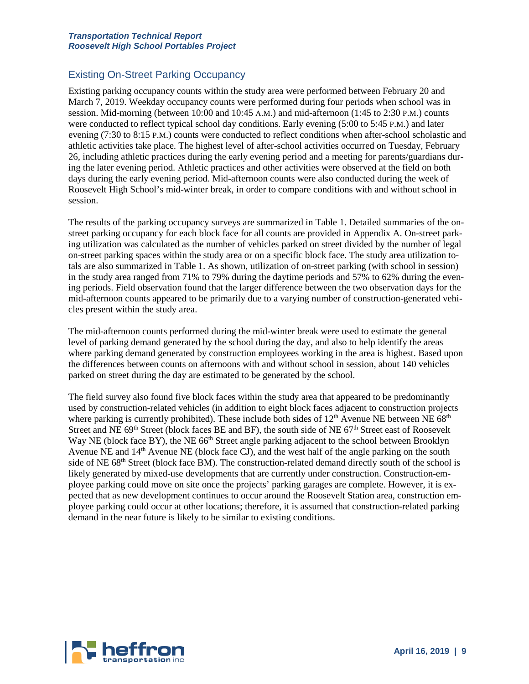### Existing On-Street Parking Occupancy

Existing parking occupancy counts within the study area were performed between February 20 and March 7, 2019. Weekday occupancy counts were performed during four periods when school was in session. Mid-morning (between 10:00 and 10:45 A.M.) and mid-afternoon (1:45 to 2:30 P.M.) counts were conducted to reflect typical school day conditions. Early evening (5:00 to 5:45 P.M.) and later evening (7:30 to 8:15 P.M.) counts were conducted to reflect conditions when after-school scholastic and athletic activities take place. The highest level of after-school activities occurred on Tuesday, February 26, including athletic practices during the early evening period and a meeting for parents/guardians during the later evening period. Athletic practices and other activities were observed at the field on both days during the early evening period. Mid-afternoon counts were also conducted during the week of Roosevelt High School's mid-winter break, in order to compare conditions with and without school in session.

The results of the parking occupancy surveys are summarized in [Table 1.](#page-11-0) Detailed summaries of the onstreet parking occupancy for each block face for all counts are provided in Appendix A. On-street parking utilization was calculated as the number of vehicles parked on street divided by the number of legal on-street parking spaces within the study area or on a specific block face. The study area utilization totals are also summarized i[n Table 1.](#page-11-0) As shown, utilization of on-street parking (with school in session) in the study area ranged from 71% to 79% during the daytime periods and 57% to 62% during the evening periods. Field observation found that the larger difference between the two observation days for the mid-afternoon counts appeared to be primarily due to a varying number of construction-generated vehicles present within the study area.

The mid-afternoon counts performed during the mid-winter break were used to estimate the general level of parking demand generated by the school during the day, and also to help identify the areas where parking demand generated by construction employees working in the area is highest. Based upon the differences between counts on afternoons with and without school in session, about 140 vehicles parked on street during the day are estimated to be generated by the school.

The field survey also found five block faces within the study area that appeared to be predominantly used by construction-related vehicles (in addition to eight block faces adjacent to construction projects where parking is currently prohibited). These include both sides of  $12<sup>th</sup>$  Avenue NE between NE 68<sup>th</sup> Street and NE  $69<sup>th</sup>$  Street (block faces BE and BF), the south side of NE  $67<sup>th</sup>$  Street east of Roosevelt Way NE (block face BY), the NE 66<sup>th</sup> Street angle parking adjacent to the school between Brooklyn Avenue NE and  $14<sup>th</sup>$  Avenue NE (block face CJ), and the west half of the angle parking on the south side of NE 68<sup>th</sup> Street (block face BM). The construction-related demand directly south of the school is likely generated by mixed-use developments that are currently under construction. Construction-employee parking could move on site once the projects' parking garages are complete. However, it is expected that as new development continues to occur around the Roosevelt Station area, construction employee parking could occur at other locations; therefore, it is assumed that construction-related parking demand in the near future is likely to be similar to existing conditions.

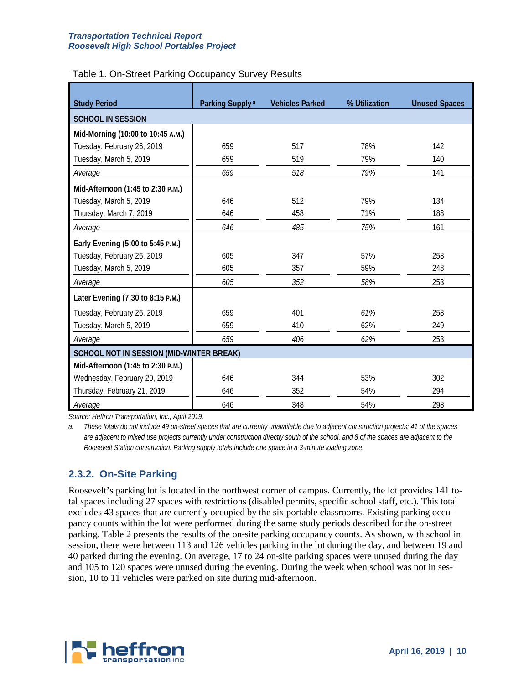| <b>Study Period</b>                      | Parking Supply <sup>a</sup> | <b>Vehicles Parked</b> | % Utilization | <b>Unused Spaces</b> |  |  |  |  |  |
|------------------------------------------|-----------------------------|------------------------|---------------|----------------------|--|--|--|--|--|
| <b>SCHOOL IN SESSION</b>                 |                             |                        |               |                      |  |  |  |  |  |
| Mid-Morning (10:00 to 10:45 A.M.)        |                             |                        |               |                      |  |  |  |  |  |
| Tuesday, February 26, 2019               | 659                         | 517                    | 78%           | 142                  |  |  |  |  |  |
| Tuesday, March 5, 2019                   | 659                         | 519                    | 79%           | 140                  |  |  |  |  |  |
| Average                                  | 659                         | 518                    | 79%           | 141                  |  |  |  |  |  |
| Mid-Afternoon (1:45 to 2:30 P.M.)        |                             |                        |               |                      |  |  |  |  |  |
| Tuesday, March 5, 2019                   | 646                         | 512                    | 79%           | 134                  |  |  |  |  |  |
| Thursday, March 7, 2019                  | 646                         | 458                    | 71%           | 188                  |  |  |  |  |  |
| Average                                  | 646                         | 485                    | 75%           | 161                  |  |  |  |  |  |
| Early Evening (5:00 to 5:45 P.M.)        |                             |                        |               |                      |  |  |  |  |  |
| Tuesday, February 26, 2019               | 605                         | 347                    | 57%           | 258                  |  |  |  |  |  |
| Tuesday, March 5, 2019                   | 605                         | 357                    | 59%           | 248                  |  |  |  |  |  |
| Average                                  | 605                         | 352                    | 58%           | 253                  |  |  |  |  |  |
| Later Evening (7:30 to 8:15 P.M.)        |                             |                        |               |                      |  |  |  |  |  |
| Tuesday, February 26, 2019               | 659                         | 401                    | 61%           | 258                  |  |  |  |  |  |
| Tuesday, March 5, 2019                   | 659                         | 410                    | 62%           | 249                  |  |  |  |  |  |
| Average                                  | 659                         | 406                    | 62%           | 253                  |  |  |  |  |  |
| SCHOOL NOT IN SESSION (MID-WINTER BREAK) |                             |                        |               |                      |  |  |  |  |  |
| Mid-Afternoon (1:45 to 2:30 P.M.)        |                             |                        |               |                      |  |  |  |  |  |
| Wednesday, February 20, 2019             | 646                         | 344                    | 53%           | 302                  |  |  |  |  |  |
| Thursday, February 21, 2019              | 646                         | 352                    | 54%           | 294                  |  |  |  |  |  |
| Average                                  | 646                         | 348                    | 54%           | 298                  |  |  |  |  |  |

#### <span id="page-11-0"></span>Table 1. On-Street Parking Occupancy Survey Results

*Source: Heffron Transportation, Inc., April 2019.*

*a. These totals do not include 49 on-street spaces that are currently unavailable due to adjacent construction projects; 41 of the spaces are adjacent to mixed use projects currently under construction directly south of the school, and 8 of the spaces are adjacent to the Roosevelt Station construction. Parking supply totals include one space in a 3-minute loading zone.*

### **2.3.2. On-Site Parking**

Roosevelt's parking lot is located in the northwest corner of campus. Currently, the lot provides 141 total spaces including 27 spaces with restrictions (disabled permits, specific school staff, etc.). This total excludes 43 spaces that are currently occupied by the six portable classrooms. Existing parking occupancy counts within the lot were performed during the same study periods described for the on-street parking. [Table 2](#page-12-0) presents the results of the on-site parking occupancy counts. As shown, with school in session, there were between 113 and 126 vehicles parking in the lot during the day, and between 19 and 40 parked during the evening. On average, 17 to 24 on-site parking spaces were unused during the day and 105 to 120 spaces were unused during the evening. During the week when school was not in session, 10 to 11 vehicles were parked on site during mid-afternoon.

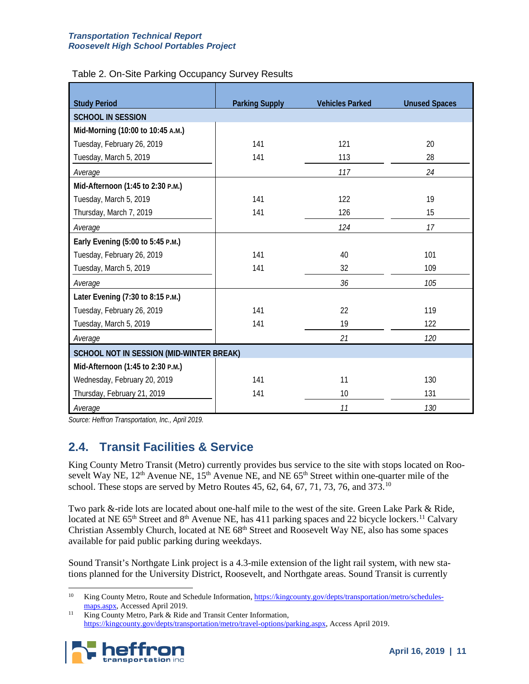<span id="page-12-0"></span>

| <b>Study Period</b>                      | <b>Parking Supply</b> | <b>Vehicles Parked</b> | <b>Unused Spaces</b> |
|------------------------------------------|-----------------------|------------------------|----------------------|
| <b>SCHOOL IN SESSION</b>                 |                       |                        |                      |
| Mid-Morning (10:00 to 10:45 A.M.)        |                       |                        |                      |
| Tuesday, February 26, 2019               | 141                   | 121                    | 20                   |
| Tuesday, March 5, 2019                   | 141                   | 113                    | 28                   |
| Average                                  |                       | 117                    | 24                   |
| Mid-Afternoon (1:45 to 2:30 P.M.)        |                       |                        |                      |
| Tuesday, March 5, 2019                   | 141                   | 122                    | 19                   |
| Thursday, March 7, 2019                  | 141                   | 126                    | 15                   |
| Average                                  |                       | 124                    | 17                   |
| Early Evening (5:00 to 5:45 P.M.)        |                       |                        |                      |
| Tuesday, February 26, 2019               | 141                   | 40                     | 101                  |
| Tuesday, March 5, 2019                   | 141                   | 32                     | 109                  |
| Average                                  |                       | 36                     | 105                  |
| Later Evening (7:30 to 8:15 P.M.)        |                       |                        |                      |
| Tuesday, February 26, 2019               | 141                   | 22                     | 119                  |
| Tuesday, March 5, 2019                   | 141                   | 19                     | 122                  |
| Average                                  |                       | 21                     | 120                  |
| SCHOOL NOT IN SESSION (MID-WINTER BREAK) |                       |                        |                      |
| Mid-Afternoon (1:45 to 2:30 P.M.)        |                       |                        |                      |
| Wednesday, February 20, 2019             | 141                   | 11                     | 130                  |
| Thursday, February 21, 2019              | 141                   | 10                     | 131                  |
| Average                                  |                       | 11                     | 130                  |

*Source: Heffron Transportation, Inc., April 2019.*

## **2.4. Transit Facilities & Service**

King County Metro Transit (Metro) currently provides bus service to the site with stops located on Roosevelt Way NE, 12<sup>th</sup> Avenue NE, 15<sup>th</sup> Avenue NE, and NE 65<sup>th</sup> Street within one-quarter mile of the school. These stops are served by Metro Routes  $45, 62, 64, 67, 71, 73, 76,$  and  $373$ .<sup>[10](#page-12-1)</sup>

Two park &-ride lots are located about one-half mile to the west of the site. Green Lake Park & Ride, located at NE 65<sup>th</sup> Street and 8<sup>th</sup> Avenue NE, has 4[11](#page-12-2) parking spaces and 22 bicycle lockers.<sup>11</sup> Calvary Christian Assembly Church, located at NE 68<sup>th</sup> Street and Roosevelt Way NE, also has some spaces available for paid public parking during weekdays.

Sound Transit's Northgate Link project is a 4.3-mile extension of the light rail system, with new stations planned for the University District, Roosevelt, and Northgate areas. Sound Transit is currently

<span id="page-12-2"></span><span id="page-12-1"></span><sup>&</sup>lt;sup>11</sup> King County Metro, Park & Ride and Transit Center Information, [https://kingcounty.gov/depts/transportation/metro/travel-options/parking.aspx,](https://kingcounty.gov/depts/transportation/metro/travel-options/parking.aspx) Access April 2019.



<sup>&</sup>lt;sup>10</sup> King County Metro, Route and Schedule Information[, https://kingcounty.gov/depts/transportation/metro/schedules](https://kingcounty.gov/depts/transportation/metro/schedules-maps.aspx)[maps.aspx,](https://kingcounty.gov/depts/transportation/metro/schedules-maps.aspx) Accessed April 2019.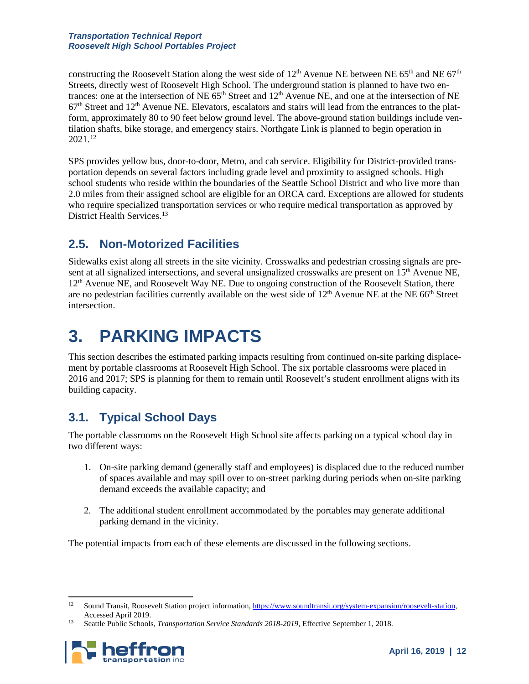constructing the Roosevelt Station along the west side of 12<sup>th</sup> Avenue NE between NE 65<sup>th</sup> and NE 67<sup>th</sup> Streets, directly west of Roosevelt High School. The underground station is planned to have two entrances: one at the intersection of NE  $65<sup>th</sup>$  Street and  $12<sup>th</sup>$  Avenue NE, and one at the intersection of NE  $67<sup>th</sup>$  Street and  $12<sup>th</sup>$  Avenue NE. Elevators, escalators and stairs will lead from the entrances to the platform, approximately 80 to 90 feet below ground level. The above-ground station buildings include ventilation shafts, bike storage, and emergency stairs. Northgate Link is planned to begin operation in 2021.[12](#page-13-1)

SPS provides yellow bus, door-to-door, Metro, and cab service. Eligibility for District-provided transportation depends on several factors including grade level and proximity to assigned schools. High school students who reside within the boundaries of the Seattle School District and who live more than 2.0 miles from their assigned school are eligible for an ORCA card. Exceptions are allowed for students who require specialized transportation services or who require medical transportation as approved by District Health Services.<sup>[13](#page-13-2)</sup>

## **2.5. Non-Motorized Facilities**

Sidewalks exist along all streets in the site vicinity. Crosswalks and pedestrian crossing signals are present at all signalized intersections, and several unsignalized crosswalks are present on 15<sup>th</sup> Avenue NE, 12th Avenue NE, and Roosevelt Way NE. Due to ongoing construction of the Roosevelt Station, there are no pedestrian facilities currently available on the west side of 12<sup>th</sup> Avenue NE at the NE 66<sup>th</sup> Street intersection.

## <span id="page-13-0"></span>**3. PARKING IMPACTS**

This section describes the estimated parking impacts resulting from continued on-site parking displacement by portable classrooms at Roosevelt High School. The six portable classrooms were placed in 2016 and 2017; SPS is planning for them to remain until Roosevelt's student enrollment aligns with its building capacity.

## **3.1. Typical School Days**

The portable classrooms on the Roosevelt High School site affects parking on a typical school day in two different ways:

- 1. On-site parking demand (generally staff and employees) is displaced due to the reduced number of spaces available and may spill over to on-street parking during periods when on-site parking demand exceeds the available capacity; and
- 2. The additional student enrollment accommodated by the portables may generate additional parking demand in the vicinity.

The potential impacts from each of these elements are discussed in the following sections.

<span id="page-13-2"></span><span id="page-13-1"></span><sup>13</sup> Seattle Public Schools, *Transportation Service Standards 2018-2019*, Effective September 1, 2018.



 <sup>12</sup> Sound Transit, Roosevelt Station project information[, https://www.soundtransit.org/system-expansion/roosevelt-station,](https://www.soundtransit.org/system-expansion/roosevelt-station) Accessed April 2019.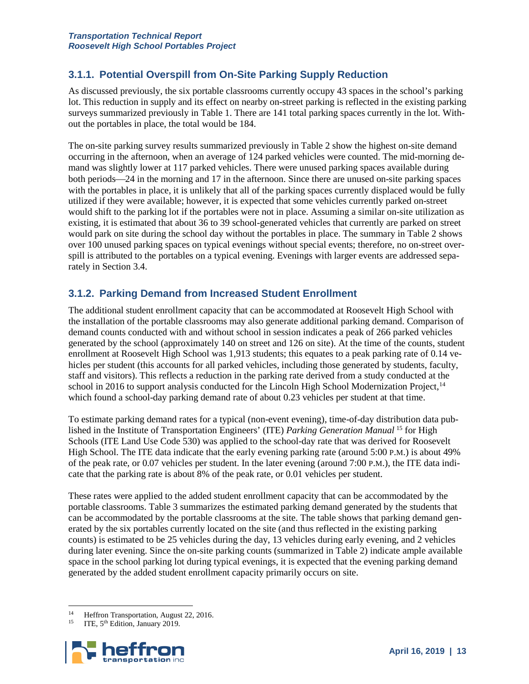### **3.1.1. Potential Overspill from On-Site Parking Supply Reduction**

As discussed previously, the six portable classrooms currently occupy 43 spaces in the school's parking lot. This reduction in supply and its effect on nearby on-street parking is reflected in the existing parking surveys summarized previously in [Table 1.](#page-11-0) There are 141 total parking spaces currently in the lot. Without the portables in place, the total would be 184.

The on-site parking survey results summarized previously in [Table 2](#page-12-0) show the highest on-site demand occurring in the afternoon, when an average of 124 parked vehicles were counted. The mid-morning demand was slightly lower at 117 parked vehicles. There were unused parking spaces available during both periods—24 in the morning and 17 in the afternoon. Since there are unused on-site parking spaces with the portables in place, it is unlikely that all of the parking spaces currently displaced would be fully utilized if they were available; however, it is expected that some vehicles currently parked on-street would shift to the parking lot if the portables were not in place. Assuming a similar on-site utilization as existing, it is estimated that about 36 to 39 school-generated vehicles that currently are parked on street would park on site during the school day without the portables in place. The summary in [Table 2](#page-12-0) shows over 100 unused parking spaces on typical evenings without special events; therefore, no on-street overspill is attributed to the portables on a typical evening. Evenings with larger events are addressed separately in Section [3.4.](#page-16-1)

#### **3.1.2. Parking Demand from Increased Student Enrollment**

The additional student enrollment capacity that can be accommodated at Roosevelt High School with the installation of the portable classrooms may also generate additional parking demand. Comparison of demand counts conducted with and without school in session indicates a peak of 266 parked vehicles generated by the school (approximately 140 on street and 126 on site). At the time of the counts, student enrollment at Roosevelt High School was 1,913 students; this equates to a peak parking rate of 0.14 vehicles per student (this accounts for all parked vehicles, including those generated by students, faculty, staff and visitors). This reflects a reduction in the parking rate derived from a study conducted at the school in 2016 to support analysis conducted for the Lincoln High School Modernization Project, <sup>[14](#page-14-0)</sup> which found a school-day parking demand rate of about 0.23 vehicles per student at that time.

To estimate parking demand rates for a typical (non-event evening), time-of-day distribution data published in the Institute of Transportation Engineers' (ITE) *Parking Generation Manual* [15](#page-14-1) for High Schools (ITE Land Use Code 530) was applied to the school-day rate that was derived for Roosevelt High School. The ITE data indicate that the early evening parking rate (around 5:00 P.M.) is about 49% of the peak rate, or 0.07 vehicles per student. In the later evening (around 7:00 P.M.), the ITE data indicate that the parking rate is about 8% of the peak rate, or 0.01 vehicles per student.

These rates were applied to the added student enrollment capacity that can be accommodated by the portable classrooms. [Table 3](#page-15-0) summarizes the estimated parking demand generated by the students that can be accommodated by the portable classrooms at the site. The table shows that parking demand generated by the six portables currently located on the site (and thus reflected in the existing parking counts) is estimated to be 25 vehicles during the day, 13 vehicles during early evening, and 2 vehicles during later evening. Since the on-site parking counts (summarized i[n Table 2\)](#page-12-0) indicate ample available space in the school parking lot during typical evenings, it is expected that the evening parking demand generated by the added student enrollment capacity primarily occurs on site.

<span id="page-14-1"></span><span id="page-14-0"></span>ITE, 5<sup>th</sup> Edition, January 2019.



<sup>&</sup>lt;sup>14</sup> Heffron Transportation, August 22, 2016.<br><sup>15</sup> ITE 5<sup>th</sup> Edition, January 2019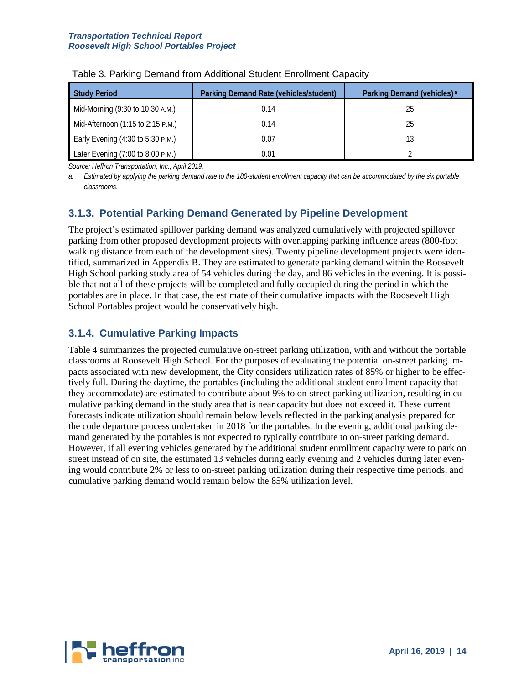| <b>Study Period</b>               | Parking Demand Rate (vehicles/student) | Parking Demand (vehicles) <sup>a</sup> |
|-----------------------------------|----------------------------------------|----------------------------------------|
| Mid-Morning (9:30 to 10:30 A.M.)  | 0.14                                   | 25                                     |
| Mid-Afternoon (1:15 to 2:15 P.M.) | 0.14                                   | 25                                     |
| Early Evening (4:30 to 5:30 P.M.) | 0.07                                   |                                        |
| Later Evening (7:00 to 8:00 P.M.) | 0.01                                   |                                        |

<span id="page-15-0"></span>

| Table 3. Parking Demand from Additional Student Enrollment Capacity |  |  |  |  |  |  |  |
|---------------------------------------------------------------------|--|--|--|--|--|--|--|
|---------------------------------------------------------------------|--|--|--|--|--|--|--|

*Source: Heffron Transportation, Inc., April 2019.*

*a. Estimated by applying the parking demand rate to the 180-student enrollment capacity that can be accommodated by the six portable classrooms.*

### **3.1.3. Potential Parking Demand Generated by Pipeline Development**

The project's estimated spillover parking demand was analyzed cumulatively with projected spillover parking from other proposed development projects with overlapping parking influence areas (800-foot walking distance from each of the development sites). Twenty pipeline development projects were identified, summarized in Appendix B. They are estimated to generate parking demand within the Roosevelt High School parking study area of 54 vehicles during the day, and 86 vehicles in the evening. It is possible that not all of these projects will be completed and fully occupied during the period in which the portables are in place. In that case, the estimate of their cumulative impacts with the Roosevelt High School Portables project would be conservatively high.

### **3.1.4. Cumulative Parking Impacts**

[Table 4](#page-16-0) summarizes the projected cumulative on-street parking utilization, with and without the portable classrooms at Roosevelt High School. For the purposes of evaluating the potential on-street parking impacts associated with new development, the City considers utilization rates of 85% or higher to be effectively full. During the daytime, the portables (including the additional student enrollment capacity that they accommodate) are estimated to contribute about 9% to on-street parking utilization, resulting in cumulative parking demand in the study area that is near capacity but does not exceed it. These current forecasts indicate utilization should remain below levels reflected in the parking analysis prepared for the code departure process undertaken in 2018 for the portables. In the evening, additional parking demand generated by the portables is not expected to typically contribute to on-street parking demand. However, if all evening vehicles generated by the additional student enrollment capacity were to park on street instead of on site, the estimated 13 vehicles during early evening and 2 vehicles during later evening would contribute 2% or less to on-street parking utilization during their respective time periods, and cumulative parking demand would remain below the 85% utilization level.

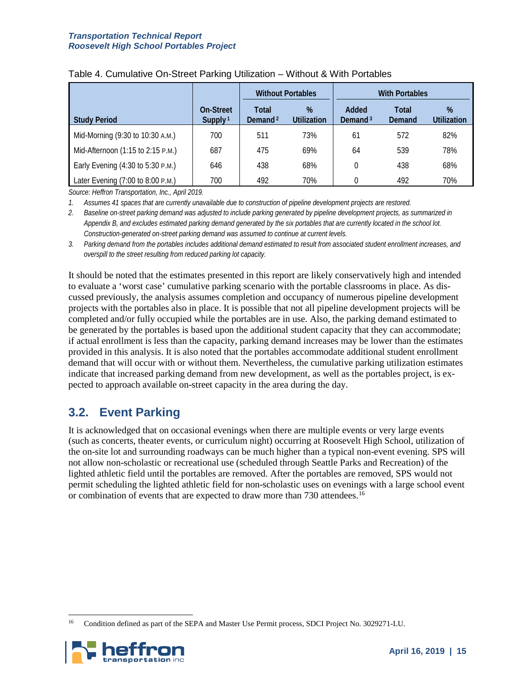|                                   |                                  |                              | <b>Without Portables</b> | <b>With Portables</b>        |                 |                     |  |  |  |  |  |  |  |  |
|-----------------------------------|----------------------------------|------------------------------|--------------------------|------------------------------|-----------------|---------------------|--|--|--|--|--|--|--|--|
| <b>Study Period</b>               | On-Street<br>Supply <sup>1</sup> | Total<br>Demand <sup>2</sup> | %<br>Utilization         | Added<br>Demand <sup>3</sup> | Total<br>Demand | $\%$<br>Utilization |  |  |  |  |  |  |  |  |
| Mid-Morning (9:30 to 10:30 A.M.)  | 700                              | 511                          | 73%                      | 61                           | 572             | 82%                 |  |  |  |  |  |  |  |  |
| Mid-Afternoon (1:15 to 2:15 P.M.) | 687                              | 475                          | 69%                      | 64                           | 539             | 78%                 |  |  |  |  |  |  |  |  |
| Early Evening (4:30 to 5:30 P.M.) | 646                              | 438                          | 68%                      |                              | 438             | 68%                 |  |  |  |  |  |  |  |  |
| Later Evening (7:00 to 8:00 P.M.) | 700                              | 492                          | 70%                      |                              | 492             | 70%                 |  |  |  |  |  |  |  |  |

#### <span id="page-16-0"></span>Table 4. Cumulative On-Street Parking Utilization – Without & With Portables

*Source: Heffron Transportation, Inc., April 2019.*

*1. Assumes 41 spaces that are currently unavailable due to construction of pipeline development projects are restored.*

*2. Baseline on-street parking demand was adjusted to include parking generated by pipeline development projects, as summarized in Appendix B, and excludes estimated parking demand generated by the six portables that are currently located in the school lot. Construction-generated on-street parking demand was assumed to continue at current levels.*

*3. Parking demand from the portables includes additional demand estimated to result from associated student enrollment increases, and overspill to the street resulting from reduced parking lot capacity.*

It should be noted that the estimates presented in this report are likely conservatively high and intended to evaluate a 'worst case' cumulative parking scenario with the portable classrooms in place. As discussed previously, the analysis assumes completion and occupancy of numerous pipeline development projects with the portables also in place. It is possible that not all pipeline development projects will be completed and/or fully occupied while the portables are in use. Also, the parking demand estimated to be generated by the portables is based upon the additional student capacity that they can accommodate; if actual enrollment is less than the capacity, parking demand increases may be lower than the estimates provided in this analysis. It is also noted that the portables accommodate additional student enrollment demand that will occur with or without them. Nevertheless, the cumulative parking utilization estimates indicate that increased parking demand from new development, as well as the portables project, is expected to approach available on-street capacity in the area during the day.

### <span id="page-16-1"></span>**3.2. Event Parking**

It is acknowledged that on occasional evenings when there are multiple events or very large events (such as concerts, theater events, or curriculum night) occurring at Roosevelt High School, utilization of the on-site lot and surrounding roadways can be much higher than a typical non-event evening. SPS will not allow non-scholastic or recreational use (scheduled through Seattle Parks and Recreation) of the lighted athletic field until the portables are removed. After the portables are removed, SPS would not permit scheduling the lighted athletic field for non-scholastic uses on evenings with a large school event or combination of events that are expected to draw more than 730 attendees.<sup>16</sup>

<span id="page-16-2"></span> <sup>16</sup> Condition defined as part of the SEPA and Master Use Permit process, SDCI Project No. 3029271-LU.

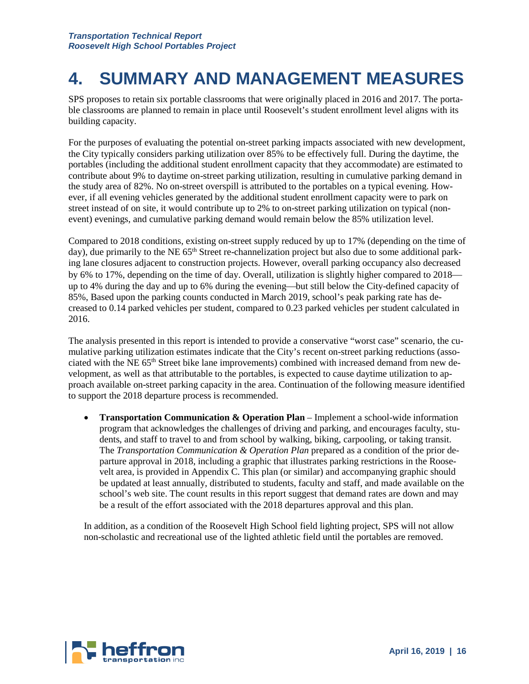## **4. SUMMARY AND MANAGEMENT MEASURES**

SPS proposes to retain six portable classrooms that were originally placed in 2016 and 2017. The portable classrooms are planned to remain in place until Roosevelt's student enrollment level aligns with its building capacity.

For the purposes of evaluating the potential on-street parking impacts associated with new development, the City typically considers parking utilization over 85% to be effectively full. During the daytime, the portables (including the additional student enrollment capacity that they accommodate) are estimated to contribute about 9% to daytime on-street parking utilization, resulting in cumulative parking demand in the study area of 82%. No on-street overspill is attributed to the portables on a typical evening. However, if all evening vehicles generated by the additional student enrollment capacity were to park on street instead of on site, it would contribute up to 2% to on-street parking utilization on typical (nonevent) evenings, and cumulative parking demand would remain below the 85% utilization level.

Compared to 2018 conditions, existing on-street supply reduced by up to 17% (depending on the time of day), due primarily to the NE 65<sup>th</sup> Street re-channelization project but also due to some additional parking lane closures adjacent to construction projects. However, overall parking occupancy also decreased by 6% to 17%, depending on the time of day. Overall, utilization is slightly higher compared to 2018 up to 4% during the day and up to 6% during the evening—but still below the City-defined capacity of 85%, Based upon the parking counts conducted in March 2019, school's peak parking rate has decreased to 0.14 parked vehicles per student, compared to 0.23 parked vehicles per student calculated in 2016.

The analysis presented in this report is intended to provide a conservative "worst case" scenario, the cumulative parking utilization estimates indicate that the City's recent on-street parking reductions (associated with the NE 65<sup>th</sup> Street bike lane improvements) combined with increased demand from new development, as well as that attributable to the portables, is expected to cause daytime utilization to approach available on-street parking capacity in the area. Continuation of the following measure identified to support the 2018 departure process is recommended.

• **Transportation Communication & Operation Plan** – Implement a school-wide information program that acknowledges the challenges of driving and parking, and encourages faculty, students, and staff to travel to and from school by walking, biking, carpooling, or taking transit. The *Transportation Communication & Operation Plan* prepared as a condition of the prior departure approval in 2018, including a graphic that illustrates parking restrictions in the Roosevelt area, is provided in Appendix C. This plan (or similar) and accompanying graphic should be updated at least annually, distributed to students, faculty and staff, and made available on the school's web site. The count results in this report suggest that demand rates are down and may be a result of the effort associated with the 2018 departures approval and this plan.

In addition, as a condition of the Roosevelt High School field lighting project, SPS will not allow non-scholastic and recreational use of the lighted athletic field until the portables are removed.

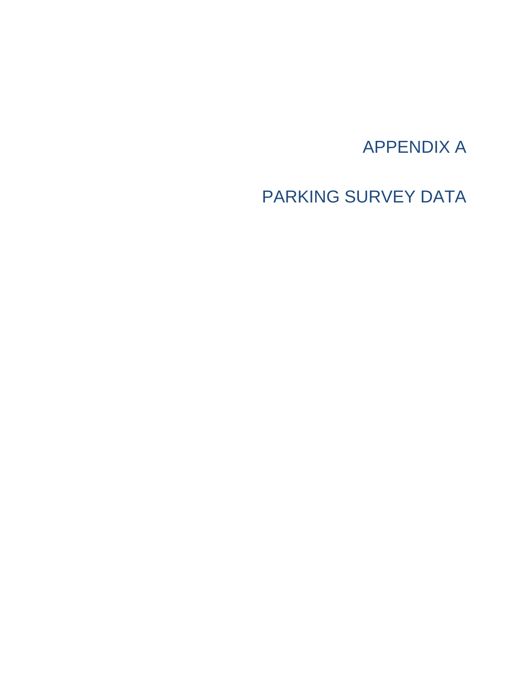## APPENDIX A

PARKING SURVEY DATA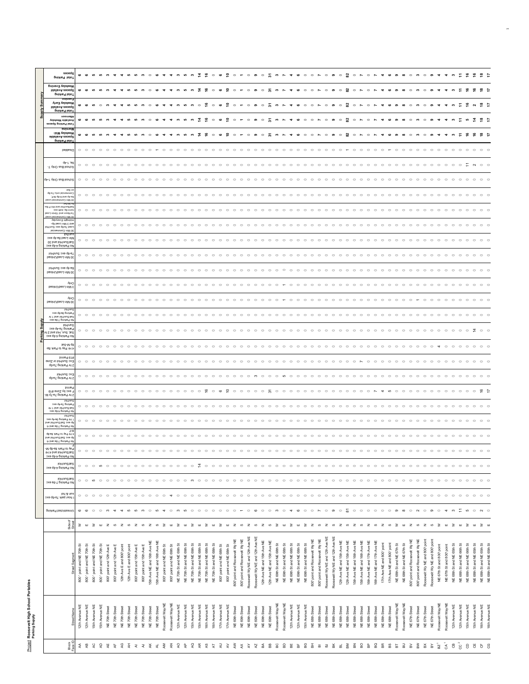| i<br>I |  |
|--------|--|
| í      |  |
|        |  |

|                | pniving latoT                                                                                                 | sepeds              | ဖ                         | ഄ                         | $\omega$                                                                                            |                           | $\sim$                                                                                                                                                                                        |                                  |                           |                           |                           |                             |                                                                   |                           |                                           |                           |                                                                   |                           |                           |                                                                   |                           | $\circ$                      |                               |                                 |                                                                                                        |                             |                             |                                                        |                           |                           |                             |                              |                              |                                                                    |                             |                                                                                      |                             |                                                            |                             |                            |                            |                           |                                                                   |                               |                                |                                |                             |                           |                                                                     |                           |                           |                                                     |
|----------------|---------------------------------------------------------------------------------------------------------------|---------------------|---------------------------|---------------------------|-----------------------------------------------------------------------------------------------------|---------------------------|-----------------------------------------------------------------------------------------------------------------------------------------------------------------------------------------------|----------------------------------|---------------------------|---------------------------|---------------------------|-----------------------------|-------------------------------------------------------------------|---------------------------|-------------------------------------------|---------------------------|-------------------------------------------------------------------|---------------------------|---------------------------|-------------------------------------------------------------------|---------------------------|------------------------------|-------------------------------|---------------------------------|--------------------------------------------------------------------------------------------------------|-----------------------------|-----------------------------|--------------------------------------------------------|---------------------------|---------------------------|-----------------------------|------------------------------|------------------------------|--------------------------------------------------------------------|-----------------------------|--------------------------------------------------------------------------------------|-----------------------------|------------------------------------------------------------|-----------------------------|----------------------------|----------------------------|---------------------------|-------------------------------------------------------------------|-------------------------------|--------------------------------|--------------------------------|-----------------------------|---------------------------|---------------------------------------------------------------------|---------------------------|---------------------------|-----------------------------------------------------|
|                | Меекфау Еvening<br>IdslisvA aeosq2                                                                            |                     | ဖ                         |                           |                                                                                                     |                           |                                                                                                                                                                                               |                                  |                           |                           |                           |                             |                                                                   |                           |                                           |                           |                                                                   |                           |                           |                                                                   | $\circ$                   |                              |                               | $\circ$                         |                                                                                                        | $\circ$                     |                             |                                                        |                           |                           |                             |                              |                              |                                                                    |                             |                                                                                      |                             |                                                            |                             |                            |                            |                           |                                                                   |                               |                                |                                |                             |                           |                                                                     |                           |                           |                                                     |
|                | Total Parking<br>Меекфау Еагіу                                                                                | buluəv              | $\mathbf{c}$              |                           |                                                                                                     |                           |                                                                                                                                                                                               |                                  |                           |                           |                           |                             |                                                                   |                           |                                           |                           |                                                                   | $\circ$                   |                           | $\circ$<br>$\epsilon$                                             | $\circ$                   | $\Box$                       |                               | $\circ$                         |                                                                                                        | $\circ$                     |                             |                                                        |                           |                           |                             |                              |                              |                                                                    | $\circ$                     |                                                                                      | $\circ$                     |                                                            |                             |                            |                            |                           |                                                                   |                               |                                |                                |                             |                           |                                                                     |                           |                           |                                                     |
| Supply         | IdslisvA asosq2<br>priving late<br>noomette                                                                   |                     |                           |                           |                                                                                                     |                           |                                                                                                                                                                                               |                                  |                           |                           |                           |                             |                                                                   |                           |                                           |                           |                                                                   |                           |                           |                                                                   |                           |                              |                               |                                 |                                                                                                        |                             |                             |                                                        |                           |                           |                             |                              |                              |                                                                    |                             |                                                                                      |                             |                                                            |                             |                            |                            |                           |                                                                   |                               |                                |                                |                             |                           |                                                                     |                           |                           |                                                     |
|                | vailable Weekday<br>Total Parking Spaces                                                                      | <b>Ruimon</b>       | ဖ                         |                           |                                                                                                     |                           |                                                                                                                                                                                               |                                  |                           |                           |                           |                             |                                                                   |                           |                                           |                           |                                                                   |                           |                           |                                                                   | $\overline{\phantom{0}}$  | $\circ$                      |                               | $\circ$                         |                                                                                                        | $\circ$                     | ᆽ                           |                                                        |                           |                           |                             |                              |                              |                                                                    | $\circ$                     | ្ណ                                                                                   | $\circ$                     |                                                            |                             |                            |                            |                           |                                                                   |                               |                                |                                |                             |                           |                                                                     |                           | 호<br>$\frac{8}{2}$        |                                                     |
|                | -рім увряеем<br>sldslisvA asosq2<br>oral Parking                                                              |                     | $\bullet$                 | ഄ                         |                                                                                                     |                           |                                                                                                                                                                                               |                                  |                           |                           |                           |                             |                                                                   |                           |                                           |                           | $\sim$                                                            |                           | ဖ                         | $\circ$<br>$\circ$                                                | $\overline{\phantom{a}}$  | $\circ$                      |                               | $\circ$                         | $\sigma$                                                                                               | $\circ$                     | <br>$\sim$                  |                                                        |                           |                           |                             |                              |                              |                                                                    | $\circ$                     | ន                                                                                    | $\circ$                     | $\circ$                                                    |                             |                            |                            |                           |                                                                   |                               |                                |                                |                             |                           |                                                                     |                           |                           |                                                     |
|                |                                                                                                               | pejqesi(            | $\circ$ $\circ$           |                           | $\circ$                                                                                             | $\circ$                   | $\circ$<br>$\circ$                                                                                                                                                                            | $\circ$                          | $\circ$                   | $\circ$                   | $\circ$                   | $\circ$                     | $\circ$<br>$\overline{ }$                                         | $\circ$                   | $\circ$                                   | $\circ$                   | $\circ$                                                           | $\circ$                   | $\circ$                   | $\circ$<br>$\circ$                                                | $\circ$                   | $\circ$                      | $\circ$                       | $\circ$                         | $\circ$                                                                                                | $\circ$                     | $\circ$<br>$\circ$          | $\circ$                                                | $\circ$                   | $\circ$                   | $\circ$                     | $\circ$                      | $\circ$                      | $\circ$<br>$\circ$                                                 | $\circ$                     | $\mathbf{r}$                                                                         | $\circ$                     | $\circ$<br>$\circ$                                         | $\circ$                     | $\circ$                    | $\mathbf{r}$               | $\circ$<br>$\circ$        | $\circ$                                                           | $\circ$                       | $\circ$                        | $\circ$                        | $\circ$                     | $\circ$<br>$\circ$        | $\circ$                                                             | $\circ$                   | $\circ$<br>$\circ$        |                                                     |
|                | -T vinO au8 loonos                                                                                            | dp-L'B(             | $\circ$                   | $\circ$                   | $\epsilon$                                                                                          |                           |                                                                                                                                                                                               |                                  |                           |                           |                           |                             |                                                                   |                           |                                           |                           |                                                                   |                           |                           |                                                                   |                           |                              |                               |                                 |                                                                                                        |                             |                             |                                                        |                           |                           |                             |                              |                              |                                                                    |                             |                                                                                      |                             |                                                            |                             |                            |                            |                           |                                                                   |                               |                                |                                |                             |                           |                                                                     |                           |                           |                                                     |
|                | gohool Bus Only 1-4p                                                                                          |                     | $\circ$                   | $\circ$                   | $\circ$                                                                                             | $\circ$                   | $\circ$<br>$\circ$                                                                                                                                                                            | $\circ$                          |                           | $\subset$                 | $\circ$                   | $\circ$                     | $\circ$<br>$\circ$                                                | $\subset$                 | $\subset$                                 | $\circ$                   | $\subset$                                                         | $\circ$                   | $\circ$                   | $\subset$<br>$\circ$                                              | $\circ$                   | $\subset$                    | $\circ$                       | $\circ$                         | $\circ$                                                                                                | $\circ$                     | $\circ$<br>$\circ$          | $\subset$                                              | $\circ$                   | $\circ$                   | $\circ$                     | $\circ$                      | $\subset$                    | $\circ$<br>$\circ$                                                 | $\circ$                     | $\circ$                                                                              | $\circ$                     | $\subset$<br>$\circ$                                       | $\circ$                     | $\subset$                  | $\circ$<br>$\circ$         | $\circ$                   | $\circ$                                                           | $\epsilon$                    | $\circ$                        | $\circ$                        | $\circ$                     | $\circ$<br>$\circ$        |                                                                     |                           |                           |                                                     |
|                | q8-67 ulno laiotemmo                                                                                          | peg o               | $\circ$                   | $\circ$                   | $\circ$                                                                                             |                           |                                                                                                                                                                                               |                                  |                           |                           |                           |                             |                                                                   |                           |                                           |                           |                                                                   |                           |                           |                                                                   |                           |                              |                               |                                 |                                                                                                        |                             |                             |                                                        |                           |                           |                             |                              |                              |                                                                    |                             |                                                                                      |                             |                                                            |                             |                            |                            |                           |                                                                   |                               |                                |                                |                             |                           |                                                                     |                           |                           |                                                     |
|                | '3-W dg-9 pue dy-el<br>6 Min Commercial Loa<br>e8 9 ida bns loHinu2ite                                        |                     |                           |                           |                                                                                                     |                           |                                                                                                                                                                                               |                                  |                           |                           |                           |                             |                                                                   |                           |                                           |                           |                                                                   |                           |                           |                                                                   |                           |                              |                               |                                 |                                                                                                        |                             |                             |                                                        |                           |                           |                             |                              |                              |                                                                    |                             |                                                                                      |                             |                                                            |                             |                            |                            |                           |                                                                   |                               |                                |                                |                             |                           |                                                                     |                           |                           |                                                     |
|                | so I nimat b na nooki-s<br>http://bran.com/<br>http://bran.com/<br>D Min Commercial Load<br>vsbynev3 Inginbin |                     |                           | $\circ$                   | $\circ$                                                                                             |                           |                                                                                                                                                                                               |                                  |                           |                           |                           |                             |                                                                   |                           |                                           |                           |                                                                   |                           |                           |                                                                   |                           |                              |                               |                                 |                                                                                                        |                             |                             |                                                        |                           |                           |                             |                              |                              |                                                                    |                             |                                                                                      |                             |                                                            |                             |                            |                            |                           |                                                                   |                               |                                |                                |                             |                           |                                                                     |                           |                           |                                                     |
|                | -dg peor uijy g put<br>oad 7a-6p exc Sun/H<br>lisionemmoO niM 08                                              |                     | $\circ$                   | $\circ$                   | $\circ$                                                                                             | $\circ$                   |                                                                                                                                                                                               |                                  |                           | $\subset$                 |                           |                             | $\circ$<br>$\circ$                                                | $\sim$                    | $\subset$                                 |                           | $\sim$                                                            | $\circ$                   | $\circ$                   | $\sim$<br>$\circ$                                                 | $\bigcap$                 | $\sqrt{2}$                   | $\circ$                       | $\sim$                          | $\sim$                                                                                                 | $\sim$                      |                             | $\sqrt{2}$                                             | $\sim$                    |                           |                             |                              |                              | $\bigcap$                                                          |                             |                                                                                      |                             |                                                            |                             |                            |                            |                           |                                                                   |                               |                                |                                |                             |                           |                                                                     |                           |                           |                                                     |
|                | lori/nuel<br>Min Load 8a-4p exc<br>OE pue joH/ung/leg<br>үо <sub>Ь</sub> эцкірд <sub>Ч</sub> -gb exc          |                     | $\circ$                   |                           |                                                                                                     |                           |                                                                                                                                                                                               |                                  |                           |                           |                           |                             |                                                                   |                           |                                           |                           |                                                                   |                           |                           |                                                                   |                           |                              |                               |                                 |                                                                                                        |                             |                             |                                                        |                           |                           |                             |                              |                              |                                                                    |                             |                                                                                      |                             |                                                            |                             |                            |                            |                           |                                                                   |                               |                                |                                |                             |                           |                                                                     |                           |                           |                                                     |
|                | joH/ung oxe dg-e<br>30 Min Load/Unload                                                                        |                     | $\circ$                   | $\circ$                   | $\circ$                                                                                             | $\circ$                   | $\circ$                                                                                                                                                                                       |                                  |                           |                           |                           |                             |                                                                   |                           |                                           |                           |                                                                   |                           |                           |                                                                   | $\bigcap$                 | $\sqrt{2}$                   | $\sim$                        | $\sim$                          | $\sim$                                                                                                 | $\sim$                      | $\sim$<br>$\bigcap$         | $\sqrt{2}$                                             | $\sim$                    | $\sim$                    | $\circ$                     | $\sim$                       | $\sqrt{2}$                   | $\bigcap$<br>$\bigcap$                                             | $\sim$                      | $\bigcap$                                                                            | $\sim$                      | $\sim$                                                     |                             |                            | $\bigcap$                  |                           |                                                                   |                               |                                |                                |                             |                           |                                                                     |                           |                           |                                                     |
|                | loH\nu2 oxe qh-sa<br>DBOINU\DBOT UIM 0                                                                        |                     | $\circ$                   |                           |                                                                                                     |                           |                                                                                                                                                                                               |                                  |                           |                           |                           |                             |                                                                   |                           |                                           |                           |                                                                   |                           |                           |                                                                   |                           |                              |                               |                                 |                                                                                                        |                             |                             |                                                        |                           |                           |                             |                              |                              |                                                                    |                             |                                                                                      |                             |                                                            |                             |                            |                            |                           |                                                                   |                               |                                |                                |                             |                           |                                                                     |                           |                           |                                                     |
|                | bsolnUbsoJ niM 8                                                                                              | <b>Ajug</b>         | $\circ$ $\circ$           |                           | $\circ$                                                                                             | $\circ$                   | $\circ$<br>$\circ$                                                                                                                                                                            | $\circ$                          | $\sim$                    | $\circ$                   | $\bigcap$                 | $\bigcap$                   | $\sim$<br>$\sim$                                                  | $\bigcap$                 | $\circ$                                   | $\circ$                   | $\bigcap$                                                         | $\circ$                   | $\circ$                   | $\circ$<br>$\circ$                                                | $\circ$                   | $\circ$                      | $\circ$                       | $\circ$                         | $\circ$                                                                                                | $\circ$                     | $\circ$<br>$\circ$          |                                                        | $\circ$                   | $\circ$                   | $\circ$                     | $\circ$                      | $\circ$                      | $\circ$<br>$\circ$                                                 | $\circ$                     | $\circ$                                                                              | $\circ$                     | $\circ$<br>$\circ$                                         | $\circ$                     | $\circ$                    | $\circ$                    | $\circ$<br>$\circ$        | $\circ$                                                           | $\circ$                       | $\circ$                        | $\circ$                        | $\circ$                     | $\sim$<br>$\bigcap$       |                                                                     |                           | $\circ$                   |                                                     |
|                |                                                                                                               | Ajuc                | $\circ$                   | $\circ$                   | $\circ$                                                                                             | $\circ$                   |                                                                                                                                                                                               |                                  |                           |                           |                           |                             |                                                                   |                           |                                           | $\circ$                   |                                                                   |                           |                           |                                                                   | $\circ$                   | $\circ$                      |                               |                                 |                                                                                                        |                             |                             |                                                        |                           |                           |                             | $\circ$                      | $\circ$                      | $\circ$<br>$\epsilon$                                              |                             | $\circ$                                                                              | $\circ$                     |                                                            | $\epsilon$                  |                            | $\circ$                    | $\circ$                   |                                                                   |                               |                                |                                |                             |                           |                                                                     |                           | $\circ$                   |                                                     |
|                | BeoInU\beoJ niM 08<br>paying ga-eg buxe                                                                       | <b>JOH/UN</b>       |                           |                           |                                                                                                     |                           |                                                                                                                                                                                               |                                  |                           |                           |                           |                             |                                                                   |                           |                                           |                           |                                                                   |                           |                           |                                                                   |                           |                              |                               |                                 |                                                                                                        |                             |                             |                                                        |                           |                           |                             |                              |                              |                                                                    |                             |                                                                                      |                             |                                                            |                             |                            |                            |                           |                                                                   |                               |                                |                                |                             |                           |                                                                     |                           |                           |                                                     |
|                | 1d 1 bns loH\nu2\te2<br>lo Parking 7-9a exc<br>рн/ung<br> рнише<br> рнише                                     |                     |                           | $\circ$ $\circ$           | $\circ$                                                                                             | $\circ$                   | $\circ$<br>$\circ$                                                                                                                                                                            | $\circ$                          | $\circ$                   | $\circ$                   | $\bigcap$                 | $\bigcap$                   | $\circ$<br>$\sim$                                                 | $\bigcap$                 | $\circ$                                   | $\circ$                   | $\circ$                                                           | $\circ$                   | $\circ$                   | $\circ$<br>$\circ$                                                | $\circ$                   | $\circ$                      | $\circ$                       | $\circ$                         | $\circ$                                                                                                | $\circ$                     | $\circ$<br>$\circ$          | $\circ$                                                | $\circ$                   | $\circ$                   | $\circ$                     | $\circ$                      | $\circ$                      | $\circ$<br>$\circ$                                                 | $\circ$                     | $\circ$                                                                              | $\circ$                     | $\circ$<br>$\circ$                                         | $\circ$                     | $\circ$                    | $\circ$                    | $\circ$<br>$\circ$        | $\circ$                                                           | $\circ$                       | $\circ$                        | $\circ$                        | $\circ$                     | $\circ$<br>$\circ$        |                                                                     | $\subset$                 | $\circ$                   |                                                     |
| Parking Supply | Sat, Sun, Hol and 21<br>No Parking 4-6p exc                                                                   |                     | $\circ$                   | $\circ$                   | $\epsilon$                                                                                          |                           |                                                                                                                                                                                               |                                  |                           |                           |                           |                             |                                                                   |                           |                                           |                           |                                                                   |                           |                           |                                                                   |                           |                              |                               |                                 |                                                                                                        |                             |                             |                                                        |                           |                           |                             |                              |                              |                                                                    |                             |                                                                                      |                             |                                                            |                             |                            |                            |                           |                                                                   |                               |                                |                                |                             |                           |                                                                     |                           |                           |                                                     |
|                | 4 Hr Pay to Park 8a-<br>Set                                                                                   |                     |                           | $\circ$ $\circ$           | $\circ$                                                                                             | $\circ$                   | $\circ$<br>$\circ$                                                                                                                                                                            | $\circ$                          | $\circ$                   | $\circ$                   |                           | $\circ$                     | $\circ$<br>$\circ$                                                | $\circ$                   | $\circ$                                   | $\circ$                   | $\circ$                                                           | $\circ$                   | $\circ$                   | $\circ$<br>$\circ$                                                | $\circ$                   | $\circ$                      | $\circ$                       | $\circ$                         | $\circ$                                                                                                | $\circ$                     | $\circ$<br>$\circ$          | $\circ$                                                | $\circ$                   | $\circ$                   | $\circ$                     | $\circ$                      | $\circ$                      | $\circ$<br>$\circ$                                                 | $\circ$                     | $\circ$                                                                              | $\circ$                     | $\circ$<br>$\circ$                                         | $\circ$                     | $\circ$                    | $\circ$                    | $\circ$<br>$\circ$        | $\circ$                                                           | $\circ$                       | $\circ$                        | $\subset$                      |                             |                           |                                                                     |                           | $\circ$                   |                                                     |
|                | firme <sup>q</sup> ett<br>Exc Sun/Hol or Zone<br>Exc Sun/Hol or Zone                                          |                     | $\circ$                   | $\circ$                   | $\circ$                                                                                             | $\circ$                   | $\circ$<br>$\circ$                                                                                                                                                                            |                                  |                           |                           |                           |                             | $\circ$                                                           |                           |                                           |                           |                                                                   |                           | $\circ$                   | $\circ$                                                           | $\circ$                   | $\subset$                    | $\circ$                       | $\circ$                         | $\circ$                                                                                                | $\circ$                     | $\circ$<br>$\circ$          | $\circ$                                                | $\circ$                   | $\circ$                   | $\circ$                     | $\circ$                      | $\circ$                      | $\circ$<br>$\circ$                                                 | $\circ$                     | $\circ$                                                                              | $\circ$                     | $\circ$                                                    | $\circ$                     | $\subset$                  | $\circ$                    | $\circ$                   | $\circ$                                                           |                               |                                |                                |                             |                           |                                                                     |                           |                           |                                                     |
|                | 2xc Sun/Hol                                                                                                   |                     | $\circ$                   | $\circ$                   | $\circ$                                                                                             | $\circ$                   |                                                                                                                                                                                               |                                  |                           |                           |                           |                             |                                                                   |                           |                                           |                           |                                                                   |                           |                           |                                                                   |                           |                              |                               |                                 |                                                                                                        |                             |                             |                                                        |                           |                           |                             |                              |                              |                                                                    |                             |                                                                                      |                             |                                                            |                             |                            |                            |                           |                                                                   |                               |                                |                                |                             |                           |                                                                     |                           |                           |                                                     |
|                | exc p) Zone #19<br>Parking 7a-7p M-                                                                           | nme                 | $\circ$                   | $\circ$                   | $\subset$                                                                                           |                           |                                                                                                                                                                                               |                                  |                           |                           |                           |                             |                                                                   |                           |                                           |                           |                                                                   | $\circ$                   | $\mathbf{9}$              | $\circ$<br>$\circ$                                                | $\subseteq$               | $\circ$                      | $\circ$                       | $\circ$                         | $\circ$                                                                                                | $\circ$                     | 。<br>$\circ$                | $\circ$                                                | $\circ$                   |                           |                             |                              |                              |                                                                    |                             |                                                                                      |                             |                                                            |                             |                            |                            |                           |                                                                   |                               |                                |                                |                             |                           |                                                                     |                           |                           |                                                     |
|                | arking 7a-4p exc                                                                                              | jo <sub>H/</sub> un | $\circ$                   | $\circ$                   |                                                                                                     |                           |                                                                                                                                                                                               |                                  |                           |                           |                           |                             |                                                                   |                           |                                           |                           |                                                                   |                           |                           |                                                                   |                           |                              |                               |                                 |                                                                                                        |                             |                             |                                                        |                           |                           |                             |                              |                              |                                                                    |                             |                                                                                      |                             |                                                            |                             |                            |                            |                           |                                                                   |                               |                                |                                |                             |                           |                                                                     |                           |                           |                                                     |
|                | oxe q8-b prixted over<br>1 Hr Parking 9a-4p exc                                                               | <b>JOH/UN</b>       | $\circ$                   | $\circ$                   | $\circ$                                                                                             | $\circ$                   |                                                                                                                                                                                               |                                  |                           |                           |                           |                             |                                                                   |                           |                                           |                           |                                                                   |                           |                           |                                                                   |                           |                              |                               |                                 |                                                                                                        |                             |                             |                                                        |                           |                           |                             |                              |                              |                                                                    |                             |                                                                                      |                             |                                                            |                             |                            |                            |                           |                                                                   |                               |                                |                                |                             |                           |                                                                     |                           |                           |                                                     |
|                | p exc 29//2nn/Hol and<br>-4 bns s8-T pnixhs¶ o                                                                | $\pm v$             |                           |                           |                                                                                                     |                           |                                                                                                                                                                                               |                                  |                           |                           |                           |                             |                                                                   |                           |                                           |                           |                                                                   |                           |                           |                                                                   |                           |                              |                               |                                 |                                                                                                        |                             |                             |                                                        |                           |                           |                             |                              |                              |                                                                    |                             |                                                                                      |                             |                                                            |                             |                            |                            |                           |                                                                   |                               |                                |                                |                             |                           |                                                                     |                           |                           |                                                     |
|                | ub-e8 xte9 to Park 8a-8p<br>sp exc 2at/2nn/Hol and<br>-b bns se-T pnixts 9 ok                                 |                     | $\circ$                   |                           |                                                                                                     |                           |                                                                                                                                                                                               |                                  |                           |                           |                           |                             |                                                                   |                           |                                           |                           |                                                                   |                           |                           |                                                                   |                           |                              |                               |                                 |                                                                                                        |                             |                             |                                                        |                           |                           |                             |                              |                              |                                                                    |                             |                                                                                      |                             |                                                            |                             |                            |                            |                           |                                                                   |                               |                                |                                |                             |                           |                                                                     |                           |                           |                                                     |
|                | Pay to Park 8a-8p M-<br>охө dg-b gnixhed ol/                                                                  |                     | $\circ$                   |                           |                                                                                                     |                           |                                                                                                                                                                                               |                                  |                           |                           |                           |                             |                                                                   |                           |                                           |                           |                                                                   |                           |                           |                                                                   |                           |                              |                               |                                 |                                                                                                        |                             |                             |                                                        |                           |                           |                             |                              |                              |                                                                    |                             |                                                                                      |                             |                                                            |                             |                            |                            |                           |                                                                   |                               |                                |                                |                             |                           |                                                                     |                           |                           |                                                     |
|                | loH/nu2\te2<br>No Parking 4-6p exc                                                                            |                     |                           |                           | $\circ\hspace{0.1cm} \circ \hspace{0.1cm}\circ\hspace{0.1cm}\circ\hspace{0.1cm}\hspace{0.1cm}\circ$ |                           | $\circ$                                                                                                                                                                                       | $\circ$                          | $\circ$                   | $\circ$                   | $\circ$                   | $\circ$                     | $\circ\hspace{0.15cm}\circ$                                       | $\circ$                   | $\circ$                                   | $\circ$                   | $\circ$                                                           | $\tilde{a}$               | $\circ$                   |                                                                   |                           |                              |                               |                                 |                                                                                                        |                             |                             |                                                        |                           |                           |                             |                              |                              |                                                                    |                             |                                                                                      |                             |                                                            |                             |                            |                            |                           |                                                                   |                               |                                |                                |                             |                           |                                                                     |                           | $\circ$<br>$\circ$        |                                                     |
|                | joH/unS/les<br>No Parking 7-9a exc                                                                            |                     |                           |                           |                                                                                                     |                           | $\circ \hspace{0.1cm}\circ \hspace{0.1cm} \hspace{0.1cm} \circ \hspace{0.1cm} \circ \hspace{0.1cm} \circ \hspace{0.1cm} \circ \hspace{0.1cm} \circ \hspace{0.1cm} \circ \hspace{0.1cm} \circ$ |                                  | $\circ$                   | $\circ$                   | $\circ$                   |                             | $\circ\hspace{0.1cm} \circ\hspace{0.1cm}\circ\hspace{0.1cm}\circ$ |                           | $\circ\hspace{0.15cm}\circ$               | $\circ$                   | $\infty$                                                          | $\circ$                   | $\circ$                   |                                                                   |                           |                              |                               |                                 |                                                                                                        |                             |                             |                                                        |                           |                           |                             |                              |                              |                                                                    |                             |                                                                                      |                             |                                                            |                             |                            |                            |                           |                                                                   |                               | $\circ$ $\circ$ $\circ$        | $\circ$                        | $\circ\hspace{0.15cm}\circ$ |                           | $\circ\hspace{0.1cm} \circ\hspace{0.1cm}\circ\hspace{0.1cm}\circ$   |                           | $\circ$                   |                                                     |
|                | iun & hol<br>hour park 7a-6p exc                                                                              |                     |                           | $\circ$ $\circ$ $\circ$   |                                                                                                     | $\circ$                   | $\circ$<br>$\circ$                                                                                                                                                                            | $\circ$                          | $\circ$                   | $\circ$                   | $\circ$                   | $\circ$                     | $\circ$<br>$\circ$                                                | $\blacktriangledown$      | $\circ$                                   | $\circ$                   | $\circ$                                                           | $\circ$                   | $\circ$                   | $\circ$<br>$\circ$                                                | $\circ$                   | $\circ$                      |                               |                                 | $\circ\hspace{0.1cm}\circ\hspace{0.1cm}\circ\hspace{0.1cm}\circ\hspace{0.1cm}\circ\hspace{0.1cm}\circ$ |                             | $\circ$                     |                                                        |                           | $\circ$ $\circ$ $\circ$   | $\circ\hspace{0.15cm}\circ$ |                              | $\circ$                      | $\circ\hspace{0.15cm}\circ$                                        |                             | $\circ\hspace{0.1cm} \circ\hspace{0.1cm}\circ\hspace{0.1cm}\circ\hspace{0.1cm}\circ$ |                             |                                                            | $\circ$ $\circ$ $\circ$     |                            | $\circ$ $\circ$            | $\circ$                   | $\circ$                                                           |                               | $\circ$ $\circ$                | $\circ$                        | $\circ$                     | $\circ$                   | $\circ\hspace{0.1cm} \circ\hspace{0.1cm} \circ\hspace{0.1cm} \circ$ |                           | $\circ$<br>$\circ$        |                                                     |
|                | Unrestricted Parking                                                                                          |                     | $\circ$ $\circ$           |                           | $\circ$                                                                                             | $\circ$                   | ო<br>$\blacktriangleleft$                                                                                                                                                                     | $\overline{4}$                   | 5                         | 5                         | ొ                         | െ ഗ                         | $\rightarrow$                                                     |                           | െ ന ഥ                                     |                           | $\circ\hspace{0.1cm} \circ\hspace{0.1cm}\circ\hspace{0.1cm}\circ$ |                           |                           | $\circ\hspace{0.1cm} \circ\hspace{0.1cm}\circ\hspace{0.1cm}\circ$ |                           |                              | $\circ$ $\sim$                | $\circ$ $\circ$                 |                                                                                                        |                             | $\circ$ $\circ$ $\circ$     | $\circ$                                                | $\rightarrow$             | $\circ$                   | $\circ$ $\circ$             |                              |                              | $\sim$ $\circ$ $\circ$                                             | $\circ$                     | ౖ                                                                                    |                             | $\circ\;\circ\;\circ\;\circ\;\circ\;\circ\;\bullet$        |                             |                            |                            | $\infty$                  |                                                                   | $\circ$ $\sim$                | $\circ$                        | ၜ                              | $\circ$                     | $\blacktriangleleft$      | $\circ$ $\frac{1}{2}$ $\circ$ $\circ$ $\circ$ $\circ$               |                           |                           |                                                     |
|                |                                                                                                               | Side of<br>Street   | ≿                         | ш                         | 3                                                                                                   | ш                         | $\boldsymbol{z}$<br>$\omega$                                                                                                                                                                  | z                                | ဖ                         | $\mathbb Z$               | S                         | $\boldsymbol{z}$            | $\omega$<br>3                                                     | ш                         | ₹                                         | ш                         | $\geq$                                                            | $\mathbf{m}$              | $\geq$                    | $\mathbf{m}$<br>3                                                 | ш                         | $\mathbb Z$                  | $\omega$                      | $\mathbf{z}$                    | $\omega$                                                                                               | 2 <sub>0</sub>              |                             | $\geq$<br>$\mathbf{m}$                                 | 3                         | $\mathbf{u}$              | $\geq$                      | $\mathbf{z}$                 | $\omega$                     | $\mathbf{z}$<br>$\omega$                                           | $\mathbb Z$                 | $\omega$                                                                             | $\mathbb Z$                 | $\omega$<br>$\mathbf{z}$                                   | $\omega$                    | $\mathbb Z$                | $\omega$                   | $\geq$                    | ш<br>$\mathbb Z$                                                  | $\omega$                      | $\mathsf z$                    | $\omega$                       | $\geq$                      | $\mathbf{u}$<br>₹         | $\mathbf{m}$                                                        | $\geq$                    | $\mathbf{m}$              | ₹                                                   |
|                |                                                                                                               |                     |                           |                           |                                                                                                     |                           |                                                                                                                                                                                               |                                  |                           |                           |                           |                             |                                                                   |                           |                                           |                           |                                                                   |                           |                           |                                                                   |                           |                              |                               |                                 |                                                                                                        |                             |                             |                                                        |                           |                           |                             |                              |                              |                                                                    |                             |                                                                                      |                             |                                                            |                             |                            |                            |                           |                                                                   |                               |                                |                                |                             |                           |                                                                     |                           |                           |                                                     |
|                |                                                                                                               |                     |                           |                           |                                                                                                     |                           |                                                                                                                                                                                               |                                  |                           |                           | 800" point and 15th Ave E | 15th Ave NE and 16th Ave NE | 15th Ave NE and 16th Ave NE                                       |                           |                                           |                           |                                                                   | NE 70th St and NE 68th St |                           | NE 70th Stand NE 68th St                                          |                           | 800 point and RooseveltWy NE | 800" point and RooseveltWy NE |                                 |                                                                                                        | 12th Ave NE and 15th Ave NE | 12th Ave NE and 15th Ave NE | NE 69th St and NE 68th St<br>NE 69th St and NE 68th St | NE 69th St and NE 68th St | NE 69th St and NE 68th St | NE 69th St and NE 68th St   | 800 point and RooseveltWy NE | 800 point and RooseveltWy NE |                                                                    | 12th Ave NE and 15th Ave NE | 12th Ave NE and 15th Ave NE                                                          | 15th Ave NE and 16th Ave NE | 15th Ave NE and 16th Ave NE<br>16th Ave NE and 17th Ave NE | 16th Ave NE and 17th Ave NE | 17th Ave NE and 800' point | 17th Ave NE and 800' point | NE 68th St and NE 67th St | <b>BOO</b> point and Roosevelt Wy NE<br>NE 68th St and NE 67th St | 800 point and Roosevelt Wy NE | Roosevelt Wy NE and 800" point | Roosevelt Wy NE and 800" point |                             |                           | NE 68th Stand NE 65th St<br>NE 68th St and NE 66th St               | NE 68th St and NE 66th St |                           |                                                     |
|                |                                                                                                               |                     | 800 'point and NE 70th St | 800 'point and NE 70th St | 800 'point and NE 70th St                                                                           | 800 'point and NE 70th St | 800" point and 12th Ave E<br>800° point and 12th Ave E                                                                                                                                        | 12th Ave E and 800' point        | 12th Ave E and 800' point | 800' point and 15th Ave E |                           |                             | 800" point and NE 69th St                                         | 800" point and NE 69th St | NE 70th St and NE 69th St                 | NE 70th St and NE 69th St | NE 70th St and NE 69th St                                         |                           | NE 70th St and NE 68th St | 800' point and NE 68th St                                         | 800' point and NE 68th St |                              |                               |                                 |                                                                                                        |                             |                             |                                                        |                           |                           |                             |                              |                              |                                                                    |                             |                                                                                      |                             |                                                            |                             |                            |                            |                           |                                                                   |                               |                                |                                | NE 67th St and 800' point   | NE 67th St and 800' point |                                                                     |                           | NE 68th St and NE 65th St | NE 68th St and NE 65th St<br>NE 68th St and NE 65th |
|                |                                                                                                               | Street Segr         |                           |                           |                                                                                                     |                           |                                                                                                                                                                                               |                                  |                           |                           |                           |                             |                                                                   |                           |                                           |                           |                                                                   |                           |                           |                                                                   |                           |                              |                               |                                 |                                                                                                        |                             |                             |                                                        |                           |                           |                             |                              |                              |                                                                    |                             |                                                                                      |                             |                                                            |                             |                            |                            |                           |                                                                   |                               |                                |                                |                             |                           |                                                                     |                           |                           |                                                     |
|                |                                                                                                               |                     |                           |                           |                                                                                                     |                           |                                                                                                                                                                                               |                                  |                           |                           |                           |                             |                                                                   |                           |                                           |                           |                                                                   |                           |                           |                                                                   |                           |                              |                               | Roosevelt Wy NE and 12th Ave NE | Roosevelt Wy NE and 12th Ave NE                                                                        |                             |                             |                                                        |                           |                           |                             |                              |                              | Roosevelt Wy NE and 12th Ave NE<br>Roosevelt Wy NE and 12th Ave NE |                             |                                                                                      |                             |                                                            |                             |                            |                            |                           |                                                                   |                               |                                |                                |                             |                           |                                                                     |                           |                           |                                                     |
|                |                                                                                                               |                     |                           |                           |                                                                                                     |                           |                                                                                                                                                                                               |                                  |                           |                           |                           |                             |                                                                   |                           |                                           |                           |                                                                   |                           |                           |                                                                   |                           |                              |                               |                                 |                                                                                                        |                             |                             |                                                        |                           |                           |                             |                              |                              |                                                                    |                             |                                                                                      |                             |                                                            |                             |                            |                            |                           |                                                                   |                               |                                |                                |                             |                           |                                                                     |                           |                           |                                                     |
|                |                                                                                                               |                     |                           |                           |                                                                                                     |                           |                                                                                                                                                                                               |                                  |                           |                           |                           |                             |                                                                   |                           |                                           |                           |                                                                   |                           |                           |                                                                   |                           |                              |                               |                                 |                                                                                                        |                             |                             |                                                        |                           |                           |                             |                              |                              |                                                                    |                             |                                                                                      |                             |                                                            |                             |                            |                            |                           |                                                                   |                               |                                |                                |                             |                           |                                                                     |                           |                           |                                                     |
|                |                                                                                                               |                     | 12th Avenue NE            | 12th Avenue NE            | 15th Avenue NE                                                                                      | 15th Avenue NE            | NE 70th Street                                                                                                                                                                                | NE 70th Street<br>NE 70th Street | NE 70th Street            | NE 70th Street            | NE 70th Street            | NE 70th Street              | Roosevelt Way NE<br>NE 70th Street                                | Roosevelt Way NE          | 12th Avenue NE                            | 12th Avenue NE            | 15th Avenue NE                                                    | 15th Avenue NE            | 16th Avenue NE            | 16th Avenue NE<br>17th Avenue NE                                  | 17th Avenue NE            | NE 69th Street               | NE 69th Street                | NE 69th Street                  | NE 69th Street                                                                                         | NE 69th Street              | NE 69th Street              | Roosevelt Way NE<br>Roosevelt Way NE                   | 12th Avenue NE            | 12th Avenue NE            | 15th Avenue NE              | NE 68th Street               | NE 68th Street               | NE 68th Street<br>NE 68th Street                                   | NE 68th Street              | NE 68th Street                                                                       | NE 68th Street              | NE 68th Street<br>NE 68th Street                           | NE 68th Street              | NE 68th Street             | NE 68th Street             | Roosevelt Way NE          | Roosevelt Way NE<br>NE 67th Street                                | NE 67th Street                | NE 67th Street                 | NE 67th Street                 | Roosevelt Way NE            | Roosevelt Way NE          | 12th Avenue NE<br>12th Avenue NE                                    | 15th Avenue NE            | 15th Avenue NE            | 16th Avenue NE<br>16th Avenue NE                    |
|                |                                                                                                               |                     |                           |                           |                                                                                                     |                           |                                                                                                                                                                                               |                                  |                           |                           |                           |                             |                                                                   |                           |                                           |                           |                                                                   |                           |                           |                                                                   |                           |                              |                               |                                 |                                                                                                        |                             |                             |                                                        |                           |                           |                             |                              |                              |                                                                    |                             |                                                                                      |                             |                                                            |                             |                            |                            |                           |                                                                   |                               |                                |                                |                             |                           |                                                                     |                           |                           |                                                     |
|                |                                                                                                               | Block<br>Face ID    | ₹                         | æ ⊊                       |                                                                                                     | ੨                         |                                                                                                                                                                                               |                                  |                           |                           |                           |                             | と が る 全 さ ち ち ち ち き                                               |                           | $\frac{2}{5}$ $\frac{5}{5}$ $\frac{5}{5}$ |                           |                                                                   |                           |                           |                                                                   |                           |                              |                               |                                 |                                                                                                        |                             | PC.                         | $\mathsf{B}$                                           | 品                         | $\frac{\mu}{10}$          | မ္မ                         | 풉                            |                              | <b>A A A A A A A A A A</b>                                         |                             |                                                                                      |                             | $_{\rm g}$<br>e,                                           | ខ្ល                         | ΒŘ                         | 8S                         | $\overline{\text{a}}$     | $\Xi$<br>$\geq$                                                   | $\mathop{\rm s}\nolimits$     | $_{\rm B}$                     | $\mathbb{S}^\times$            | $\bar{\Xi}$                 | $G^{\dagger}$<br>ප        | $\rm ^{c}C$                                                         | e,                        | <b>8 5 8</b>              |                                                     |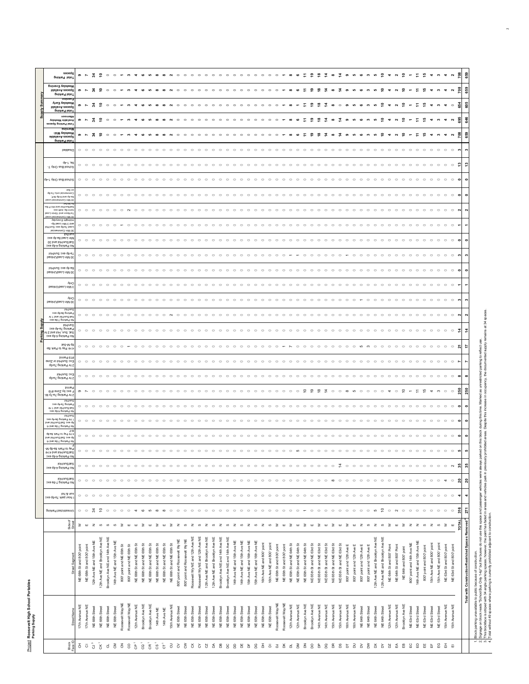| seoed<br>659<br>ã<br>봈<br>₽<br>$\circ$<br>$\circ$<br>ഉ<br>≌<br>ᅽ<br>∘<br>∘<br>≌<br>$\sim$<br>$\circ$<br>$\circ$<br>$\circ$<br>$\circ$<br>$\circ$<br>$\circ$<br>$\circ$<br>$\circ$<br>$\circ$<br>$\circ$<br>$\circ$<br>$\circ$<br>$\circ$<br>$\circ$<br>$\bullet$<br>$\overline{ }$<br>s<br>G<br>s<br>$\infty$<br>$\infty$<br>$\circ$<br>$\infty$<br>ၜ<br>s<br>$\sim$<br>$\infty$<br>pnivhs <sup>q</sup> latol<br>уевуарија Кер<br>659<br>ã<br>∘<br>≌<br>IdalisvA aeosqč<br>$\bullet$<br>$\circ$<br>$\overline{a}$<br>$\sim$<br>$\sim$<br>$\sim$<br>prixhed latol<br><b>Bulluev:</b><br>Меекфау Еагіу<br>នី<br>Ä<br>₽<br>ூ<br>$\frac{8}{2}$<br>$\overline{\phantom{0}}$<br>$\mathbf{C}$<br>ءِ<br>$\circ$<br>$\circ$<br>$\circ$<br>$\circ$<br>$\circ$<br>$\infty$<br>s<br>$\blacktriangledown$<br>െ<br>$\overline{ }$<br>c<br>$\circ$<br>$\circ$<br>$\circ$<br>IdalisvA aeosqč<br>Total Parking<br>uoou.ou<br>646<br>š<br>₽<br>vebiable Weekday<br>$\circ$<br>$\circ$<br>$\sim$<br>otal Parking Spaces<br>pninto<br>-biM үвbхөөV<br>659<br>₽<br>র<br>$\circ$<br>$\circ$<br>$\circ$<br>$\circ$<br>$\circ$<br>$\circ$<br>$\circ$<br>$\circ$<br>$\circ$<br>$\circ$<br>$\circ$<br>$\circ$<br>$\circ$<br>$\circ$<br>$\sim$<br>$\bullet$ $\sim$<br>∾<br>$\circ$<br>$\circ$<br>$\circ$<br>eldslisvA aeosq2<br>Lotal Parking<br>beldsaiC<br>$\circ$<br>$\circ$<br>$\circ$<br>$\circ$<br>dp-1. JB<br>಼<br>$\circ$ $\circ$<br>$\circ$<br>$\circ\circ\circ\circ\circ\circ$<br>$\circ$ $\circ$<br>$\circ$<br>$\begin{array}{cccccccccccccc} \circ & \circ & \circ & \circ & \circ & \circ & \circ & \circ & \circ \end{array}$<br><br>$\circ$ $\circ$<br>$\circ\hspace{0.1cm} \circ\hspace{0.1cm}\circ\hspace{0.1cm}\circ$<br>$\circ$ $\circ$<br>$\circ$<br>$\circ$<br>$\circ$<br>$\circ$<br>$\circ$<br>$\circ$ $\circ$<br>$\circ$<br>$\circ$<br>$\circ$<br>$\circ$<br>$\circ$<br>T vinO aud loonos<br>School Bus Only 1-4p<br>$\circ$<br>$\circ$<br>$\circ$<br>$\circ$<br>$\circ$<br>$\circ$<br>$\circ$<br>$\circ$<br>$\circ$<br>$\circ$<br>$\circ$<br>$\circ$<br>$\circ$<br>$\circ$<br>$\circ$<br>$\circ$<br>$\circ$<br>$\circ$<br>$\circ$<br>$\circ$<br>$\circ$<br>$\circ$<br>$\circ$<br>$\circ$<br>$\circ$<br>$\circ$<br>$\circ$<br>peg u<br>q8-67 ulno laioremmo<br>$\circ$ $\circ$<br>$\circ$<br>$\circ$<br>$\circ$<br>$\circ$<br>$\circ$<br>$\circ$<br>$\circ$<br>$\circ$<br>$\circ$<br>$\circ$<br>$\circ$<br>$\circ$<br>$\circ$<br>$\circ$<br>$\circ$<br>$\circ$<br>$\circ$<br>$\circ$<br>$\circ$<br>$\circ$<br>$\circ$<br>$\circ$<br>$\circ$<br>$\circ$<br>$\circ$<br>$\circ$<br>$\circ$<br>$\circ$<br>$\circ$<br>$\circ$<br>$\circ$<br>$\circ$<br>$\circ$<br>$\circ$<br>$\circ$<br>$\circ$<br>$\circ$<br>$\circ$<br>$\circ$<br>$\circ$<br>$\circ$<br>$\circ$<br>$\circ$<br>$\circ$<br>$\circ$<br>$\circ$<br>$\bullet$<br>$\circ$<br>$\subset$<br>$\epsilon$<br>$\circ$<br>$\epsilon$<br>$\circ$<br>$\circ$<br>'3-M q8-8 bns qb-s<br>U Min Commercial Load<br>te2-M o<br>18 9 id) bns loHinu2tr<br>oxa utod .qo-nno<br>$\circ$ $\circ$<br>$\circ$<br>$\circ$<br>$\circ$<br>$\circ$<br>$\circ$<br>$\sim$<br>$\circ$<br>$\circ$<br>$\circ$<br>$\circ$<br>$\circ$<br>$\circ$<br>$\circ$<br>$\circ$<br>$\circ$<br>$\circ$<br>$\circ$<br>$\circ$<br>$\circ$<br>$\circ$<br>$\circ$<br>$\circ$<br>$\circ$<br>$\circ$<br>$\circ$<br>$\circ$<br>$\circ$<br>$\circ$<br>$\circ$<br>$\circ$<br>$\circ$<br>$\circ$<br>$\circ$<br>$\circ$<br>$\circ$<br>$\circ$<br>$\circ$<br>$\circ$<br>$\circ$<br>$\circ$<br>$\circ$<br>$\circ$<br>$\circ$<br>$\circ$<br>$\circ$<br>$\circ$<br>$\circ$<br>$\circ$<br>$\circ$<br>$\circ$<br>$\circ$<br>$\circ$<br>60J nimč 1 bne noo <mark>v-s</mark><br>D Min Commercial Load<br>vebytev3 triginbir<br>-q8 beo.J niM & bn<br>$\circ$<br>$\circ$<br>$\circ$<br>$\circ$<br>$\circ$<br>OH/UNS OXO do-ey peor<br>IsionemmoO niM 0<br>lori/nu<br>Min Load 8a-4p exc<br>$\circ$<br>$\circ$<br>$\circ$<br>$\circ$<br>$\circ$<br>$\circ$<br>$\circ$<br>$\circ$<br>$\circ$<br>$\circ$<br>$\circ$<br>$\circ$<br>$\circ$<br>$\circ$<br>$\circ$<br>$\circ$<br>$\circ$<br>$\circ$<br>$\circ$<br>$\circ$<br>$\circ$<br>$\circ$<br>$\circ$<br>$\circ$<br>$\circ$<br>$\circ$<br>$\circ$<br>$\circ$<br>$\circ$<br>$\circ$<br>$\circ$<br>$\circ$<br>$\circ$<br>$\circ$<br>$\circ$<br>$\circ$<br>$\circ$<br>$\circ$<br>$\circ$<br>$\circ$<br>$\circ$<br>$\circ$<br>$\circ$<br>$\circ$<br>$\circ$<br>$\circ$<br>$\circ$<br>$\circ$<br>$\circ$<br>$\circ$<br>$\circ$<br>$\circ$<br>$\circ$<br>$\circ$<br>$\circ$<br>OE pue joH/ung/jeg<br>ho Parking 4-6p exc<br>e-gb exc 2nu/Hol<br>$\circ$<br>$\circ$<br>$\circ$<br>$\circ$<br>bsolnUbsoJ niM 08<br>loH\nu2 oxe qh-si<br>$\circ$<br>$\circ$<br>$\circ$<br>$\circ$<br>$\bigcap$<br>$\circ$<br>$\circ$<br>$\circ$<br>$\circ$<br>$\circ$<br>$\sim$<br>$\subset$<br>$\circ$<br>$\circ$<br>$\circ$<br>$\circ$<br>$\circ$<br>$\circ$<br>$\circ$<br>$\circ$<br>$\circ$<br>$\circ$<br>$\circ$<br>$\circ$<br>$\circ$<br>$\circ$<br>$\circ$<br>$\circ$<br>$\circ$<br>$\circ$<br>$\circ$<br>$\circ$<br>$\circ$<br>$\circ$<br>$\circ$<br>$\circ$<br>$\circ$<br>$\circ$<br>$\circ$<br>$\circ$<br>$\circ$<br>$\circ$<br>$\circ$<br>$\circ$<br>$\circ$<br>$\circ$<br>$\circ$<br>$\circ$<br>$\circ$<br>$\circ$<br>$\circ$<br>$\circ$<br>$\circ$<br>bsolnUbsoJ niM 08<br>huc<br>$\circ$<br>$\circ$<br>bsolnU\bso.J niM 8<br><b>Ajuc</b><br>$\circ$<br>$\circ$<br>$\circ$ $\circ$<br>$\circ$<br>$\circ$<br>$\circ$<br>$\circ$<br>$\circ$<br>$\circ$<br>$\circ$<br>$\circ$<br>$\circ$<br>$\circ$<br>$\circ$<br>$\circ$<br>$\circ$<br>$\circ$<br>$\circ$<br>$\circ$<br>$\circ$<br>$\circ$<br>$\circ$<br>$\circ$<br>$\circ$<br>$\circ$<br>$\circ$<br>$\circ$<br>$\circ$<br>$\circ$<br>$\circ$<br>$\circ$<br>$\circ$<br>$\circ$<br>$\circ$<br>$\circ$<br>$\circ$<br>$\circ$<br>$\circ$<br>$\circ$<br>$\circ$<br>$\circ$<br>$\circ$<br>$\circ$<br>$\circ$<br>$\circ$<br>$\circ$<br>$\circ$<br>$\circ$<br>$\circ$<br>$\circ$<br>$\circ$<br>$\circ$<br>c<br>bsolnUbsoJ niM 08<br>jo <sub>H/</sub> un<br>axe dg-eg bujye<br>$\circ$<br>$\circ$<br>$\circ$<br>$\circ$<br>$\circ$<br>$\circ$<br>$\circ$<br>$\circ$<br>$\circ$<br>$\circ$<br>$\circ$<br>$\circ$<br>$\circ$<br>$\circ$<br>$\circ$<br>$\circ$<br>$\circ$<br>$\circ$<br>$\circ$<br>$\circ$<br>$\circ$<br>$\circ$<br>$\circ$<br>$\circ$<br>$\circ$<br>$\circ$<br>$\circ$<br>$\circ$<br>$\circ$<br>$\circ$<br>$\circ$<br>$\circ$<br>$\circ$<br>$\circ$<br>$\circ$<br>$\circ$<br>$\circ$<br>$\circ$<br>$\circ$<br>$\circ$<br>$\circ$<br>$\circ$<br>$\circ$<br>$\circ$<br>$\circ$<br>$\circ$<br>$\circ$<br>$\circ$<br>$\circ$<br>$\circ$<br>$\circ$<br>C<br>$\sim$<br><b>JUL DUE JOH AIR STE</b><br>lo Parking 7-9a exc<br>jo <sub>H/uns</sub><br>эхө di-el gnixhe9<br>$\frac{4}{3}$<br>$\circ$ $\circ$<br>$\circ$<br>$\circ$<br>$\circ$<br>$\circ$<br>$\circ$<br>$\circ$<br>$\circ$<br>$\circ$<br>$\circ$<br>$\circ$<br>$\circ$<br>$\circ$<br>$\circ$<br>$\circ$<br>$\circ$<br>$\circ$<br>$\circ$<br>$\circ$<br>$\circ$<br>$\circ$<br>$\circ$<br>$\circ$<br>$\circ$<br>$\circ$<br>$\circ$<br>$\circ$<br>$\circ$<br>$\circ$<br>$\circ$<br>$\circ$<br>$\circ$<br>$\circ$<br>$\circ$<br>$\circ$<br>$\circ$<br>$\circ$<br>$\circ$<br>$\circ$<br>$\circ$<br>$\circ$<br>$\circ$<br>$\circ$<br>$\circ$<br>$\circ$<br>$\circ$<br>$\circ$<br>$\circ$<br>$\circ$<br>$\circ$<br>$\circ$<br>$\circ$<br>$\circ$<br>Sat, Sun, Hol and 21<br>охө dg-p бијуле <sub>с</sub> ор<br>te2-M q8<br>₽<br>$\circ$ $\circ$<br>$\circ$<br>$\circ$<br>$\circ$<br>$\circ$<br>$\circ$<br>$\circ$<br>$\circ$<br>$\circ$<br>$\circ$<br>$\circ$<br>$\circ$<br>$\circ$<br>$\circ$<br>$\circ$<br>$\circ$<br>$\circ$<br>$\circ$<br>$\circ$<br>$\circ$<br>$\circ$<br>$\circ$<br>$\circ$<br>$\circ$<br>$\circ$<br>$\circ$<br>$\circ$<br>S<br>$\circ$<br>$\circ$<br>$\circ$<br>$\circ$<br>$\circ$<br>$\circ$<br>$\circ$<br>$\circ$<br>$\circ$<br>$\circ$<br>$\subset$<br>$\circ$<br>$\circ$<br>$\circ$<br>$\circ$<br>$\circ$<br>ო<br>$\circ$<br>$\circ$<br>$\circ$<br><b>4 Hr Pay to Park 8a-</b><br>#imme9 et<br>Exc Sun/Hol or Zone<br>$\circ$<br>$\circ$<br>$\circ$<br>$\circ$<br>$\circ$<br>$\circ$<br>$\circ$<br>$\circ$<br>$\circ$<br>$\circ$<br>$\circ$<br>$\circ$<br>$\circ$<br>$\circ$<br>$\circ$<br>$\circ$<br>$\circ$<br>$\circ$<br>$\circ$<br>$\circ$<br>$\circ$<br>$\circ$<br>$\circ$<br>$\circ$<br>$\circ$<br>$\circ$<br>$\circ$<br>$\circ$<br>$\circ$<br>$\circ$<br>$\circ$<br>$\circ$<br>$\circ$<br>$\circ$<br>$\circ$<br>$\circ$<br>$\circ$<br>$\circ$<br>$\circ$<br>$\circ$<br>$\circ$<br>$\circ$<br>$\circ$<br>$\circ$<br>$\circ$<br>$\circ$<br>$\circ$<br>$\circ$<br>$\circ$<br>$\circ$<br>$\circ$<br>$\circ$<br>$\circ$<br>$\circ$<br>qð-67 gnixh69 1rl<br>loH/nu2 ox=<br>$\circ$ $\circ$<br>$\circ$<br>$\circ$<br>$\circ$<br>$\circ$<br>$\circ$<br>$\circ$<br>$\circ$<br>$\circ$<br>$\circ$<br>$\circ$<br>$\circ$<br>$\circ$<br>$\circ$<br>$\circ$<br>$\circ$<br>$\circ$<br>$\circ$<br>$\circ$<br>$\circ$<br>$\circ$<br>$\circ$<br>$\circ$<br>$\circ$<br>$\circ$<br>$\circ$<br>$\circ$<br>$\circ$<br>$\circ$<br>$\circ$<br>$\circ$<br>$\circ$<br>$\circ$<br>$\circ$<br>$\circ$<br>$\circ$<br>$\circ$<br>$\circ$<br>$\circ$<br>$\circ$<br>$\circ$<br>$\circ$<br>$\circ$<br>$\circ$<br>$\circ$<br>$\circ$<br>$\circ$<br>$\circ$<br>$\circ$<br>$\circ$<br>$\circ$<br>$\circ$<br>$\subset$<br>da-e7 pnixhe9 nd 9<br>timne<br>នី<br>exc pλ Soue #19<br>$\circ$<br>$\circ$<br>ာ<br>М qT-вT gnixhв9 тd !<br><b>JOH/UN</b><br>oxe dp-ez Buixie,<br>$\circ$<br>$\circ$<br>$\circ$<br>$\circ$<br>$\circ$<br>$\circ$<br>$\circ$<br>$\circ$<br>$\circ$<br>$\circ$<br>$\circ$<br>$\circ$<br>$\circ$<br>$\circ$<br>$\circ$<br>$\circ$<br>$\circ$<br>$\circ$<br>$\circ$<br>$\circ$<br>$\circ$<br>$\circ$<br>$\circ$<br>$\circ$<br>$\circ$<br>$\circ$<br>$\circ$<br>$\circ$<br>$\circ$<br>$\circ$<br>$\circ$<br>$\circ$<br>$\circ$<br>$\circ$<br>$\sim$<br>$\sim$<br>$\circ$<br>$\circ$<br>$\bigcap$<br>$\circ$<br>$\sim$<br>$\bigcap$<br>$\circ$<br>$\circ$<br>$\bigcap$<br>$\circ$<br>$\circ$<br>$\circ$<br>$\circ$<br>$\circ$<br>$\circ$<br>$\circ$<br>$\circ$<br>$\bullet$<br>TH I bns loH/nu2/te2<br>b Parking 4-6p exc<br>jo <sub>H/</sub> un<br>Hr Parking 9a-4p exc<br>$\circ$<br>$\circ$<br>$\circ$<br>$\circ$<br>$\circ$<br>$\circ$<br>$\circ$<br>$\circ$<br>$\circ$<br>$\circ$<br>$\circ$<br>$\circ$<br>$\circ$<br>$\circ$<br>$\circ$<br>$\circ$<br>$\circ$<br>$\circ$<br>$\circ$<br>$\circ$<br>$\circ$<br>$\circ$<br>$\circ$<br>$\circ$<br>$\circ$<br>$\circ$<br>$\circ$<br>$\circ$<br>$\circ$<br>$\circ$<br>pue joH/unS/Jeg oxe di<br>-b bns se-T gnixts9 of<br>$\pm$ 1<br>4 Hr Pay to Park 8a-8p<br>$\circ$<br>$\circ$<br>$\circ$<br>$\circ$<br>$\circ$<br>$\circ$<br>$\circ$<br>$\circ$<br>$\circ$<br>$\circ$<br>$\circ$<br>$\circ$<br>$\circ$<br>$\circ$<br>$\circ$<br>$\circ$<br>$\circ$<br>$\circ$<br>$\circ$<br>$\circ$<br>$\circ$<br>$\circ$<br>$\circ$<br>$\circ$<br>$\circ$<br>$\circ$<br>$\circ$<br>$\circ$<br>$\circ$<br>$\circ$<br>$\circ$<br>$\circ$<br>$\circ$<br>$\circ$<br>$\circ$<br>$\circ$<br>$\circ$<br>$\circ$<br>$\circ$<br>$\circ$<br>$\circ$<br>$\circ$<br>$\circ$<br>$\circ$<br>$\circ$<br>$\circ$<br>$\circ$<br>$\circ$<br>$\circ$<br>$\circ$<br>$\circ$<br>$\circ$<br>$\circ$<br>$\circ$<br>Sp exc Sat/Sun/Hol and<br>-a bns se-T pnixhs9 ol<br>oxe q8-b prixtng oM<br>H 1 b bns loHlnu2\te2<br>-M q8-e8 xhs9 ot ye9<br>$\circ$<br>$\circ$<br>$\circ$<br>$\circ$<br>$\circ$<br>$\circ$<br>$\circ$<br>$\circ$<br>io,<br>$\circ$<br>$\circ$<br>$\circ$<br>$\circ$<br>$\circ$<br>$\circ$<br>$\circ$<br>$\circ$<br>$\subset$<br>$\circ$<br>$\circ$<br>$\circ$<br>$\circ$<br>$\circ$<br>$\subset$<br>jo <sub>H/</sub> ung/leg<br>35<br>$\circ$ $\circ$<br>$\circ$<br>$\circ$ $\circ$ $\circ$<br>$\circ$<br>$\circ$<br>$\circ$<br>$\circ$<br>$\circ$<br>$\circ$<br>$\circ$<br>$\circ$<br>$\circ$<br>$\circ$<br>$\circ$<br>$\circ$<br>$\circ$<br>$\circ$<br>$\circ$<br>$\circ$<br>$\circ$<br>$\circ$<br>$\circ$<br>$\circ$<br>$\circ$<br>$\circ$<br>$\circ\hspace{0.1cm} \circ\hspace{0.1cm}\circ\hspace{0.1cm}\circ$<br>$\circ\hspace{0.1cm} \circ\hspace{0.1cm}\circ\hspace{0.1cm}\circ$<br>$\circ$<br>$\circ$<br>$\overline{4}$<br>$\circ$<br>$\circ$<br>$\circ$<br>$\circ$<br>$\circ$<br>$\circ$<br>$\circ$<br>$\circ$<br>$\circ$<br>$\circ$<br>$\circ$<br>$\circ$<br>$\circ$<br>$\circ$<br>$\circ$ $\sim$<br>$\circ$<br>ло <sub>b</sub> arking 4-6p exc<br>oxe al-Y printed over<br>ន<br>$\circ$<br>$\circ$<br>$\circ$<br>$\circ$<br>$\circ$<br>$\circ$<br>$\circ$<br>$\circ$<br>Ã<br>$\circ$<br>$\circ$<br>$\circ$<br>$\circ$<br>$\circ$<br>$\circ$<br>$\circ$<br>$\circ$<br>$\circ$<br>$\circ$<br>$\circ$<br>$\circ$<br>$\circ$<br>$\circ$<br>$\circ$<br>$\circ$<br>$\circ$<br>$\circ$<br>$\circ$<br>$\circ$<br>$\circ$<br>$\circ$<br>$\circ$<br>$\circ$<br>$\circ$<br>$\circ$<br>$\circ$<br>$\circ$<br>$\circ$<br>$\circ$<br>$\circ$<br>$\rightarrow$<br>$\circ$<br>$\circ$<br>$\circ$<br>$\circ$<br>$\circ$<br>$\circ$<br>$\circ$<br>$\circ$<br>$\circ$<br>$\circ$<br>$\infty$<br>$\circ$<br>$\circ$<br>$\circ$<br>un & hol<br>hour park 7a-6p exc<br>$\circ$<br>$\circ$<br>$\circ$<br>$\circ$<br>$\circ$<br>$\circ$<br>$\circ$<br>$\circ$<br>$\circ$<br>$\circ$<br>$\circ$<br>$\circ$<br>$\circ$<br>$\circ$<br>$\circ$<br>$\circ$<br>$\circ$<br>$\circ$<br>$\circ$<br>$\circ$<br>$\circ$<br>$\circ$<br>$\circ$<br>$\circ$<br>$\circ$<br>$\circ$<br>$\circ$<br>$\circ$<br>$\circ$<br>$\circ$<br>$\circ$<br>$\circ$<br>$\circ$<br>$\circ$<br>$\circ$<br>$\circ$<br>$\circ$<br>$\circ$<br>$\circ$<br>$\circ$<br>$\circ$<br>$\circ$<br>$\circ$<br>$\circ$<br>$\circ$<br>$\circ$<br>$\circ$<br>$\circ$<br>4<br>$\circ$<br>$\circ$<br>$\circ$<br>$\circ$<br>$\circ$<br>$\circ$<br>271<br>$\epsilon$<br>$\epsilon$<br>Jurestricted Parking<br>$\circ\hspace{0.15cm}\circ$<br>¥<br>$\circ$<br>$\circ$<br>$\circ$<br>$\circ$<br>$\circ$<br>$\circ$<br>$\circ$<br>$\circ$<br>$\circ$<br>$\circ$<br>$\circ$<br>$\circ$<br>$\circ$<br>$\circ$<br>$\circ$<br>$\circ$<br>$\circ$<br>ဖာ<br>$\circ$<br>$\sim$<br>$\circ$<br>$\circ$<br>$\circ$<br>$\circ$<br>$\circ$<br>$\circ$<br>$\circ$<br>$\circ$<br>$\circ$<br>S<br>$\infty$<br>$\circ$<br>$\circ$<br>$\circ$<br>$\circ$<br>$\circ$<br>$\circ$<br>$\circ$<br>$\circ$<br>$\circ$<br>$\circ$<br>$\circ$<br>$\circ$<br>$\circ$<br>$\circ$<br>$\circ$<br>$\infty$<br>Total with Construction-Restricted Spaces Removed <sup>4</sup><br>Side of<br>≿<br>$\geq$<br>$\geq$<br>$\geq$<br>$\geq$<br>$\boldsymbol{z}$<br>$\mathbf{z}$<br>$\omega$ $\mathbb{Z}$<br>$\geq$<br>$\geq$<br>$\geq$<br>$\geq$<br>$\mathbb Z$<br>$\mathbf{z}$<br>$\geq$<br>$\boldsymbol{z}$<br>$\mathbf{z}$<br>$\omega$ z<br>$\geq$<br>$\mathbf{u}$<br>ш<br>$\mathbf{z}$<br>$\omega$<br>$\omega$<br>$\omega$<br>$\mathbf{H}$<br>$\mathbf{H}$<br>$\mathbf{u}$<br>$\mathbf{u}$<br>$\mathbf{z}$<br>ဖ<br>$\omega$<br>$\mathbf{z}$<br>S<br>2 <sub>0</sub><br>$\omega$<br>$\mathbf{z}$<br>ဖာ<br>3<br>$\mathbf{m}$<br>$\mathbf{u}$<br>$\geq$<br>ш<br>ဖ<br>$\omega$<br>₹<br>ш<br>$\omega$<br>ш<br>ш<br>ш<br>ē<br>Brooklyn Ave NE and 14th Ave NE<br>Roosevelt Wy NE and 12th Ave NE<br>Roosevelt Wy NE and 12th Ave NE<br>Brooklyn Ave NE and 14th Ave NE<br>12th Ave NE and Brooklyn Ave NE<br>12th Ave NE and Brooklyn Ave NE<br>12th Ave NE and Brooklyn Ave NE<br>12th Ave NE and Brooklyn Ave NE<br>Brooklyn Ave NE and 14th Ave NE<br>12th Ave NE and Brooklyn Ave NE<br>800 point and RooseveltWy NE<br>800" point and Roosevelt Wy NE<br>14th Ave NE and 15th Ave NE<br>12th Ave NE and 15th Ave NE<br>14th Ave NE and 15th Ave NE<br>14th Ave NE and 15th Ave NE<br>15th Ave NE and 16th Ave NE<br>15th Ave NE and 16th Ave NE<br>14th Ave NE and 15th Ave NE<br>800" point and 14th Ave NE<br>15th Ave NE and 800' point<br>NE 66th St and NE 65th St<br>NE 66th St and NE 65th St<br>NE 66th St and NE 65th St<br>NE 66th St and NE 65th St<br>NE 66th St and NE 65th St<br>16th Ave NE and 800' point<br>16th Ave NE and 800' point<br>NE 65th Stand NE 64th St<br>NE 65th St and NE 64th St<br>NE 65th St and NE 63rd St<br>NE 65th St and NE 63rd St<br>NE 65th St and NE 63rd St<br>15th Ave NE and 800' point<br>NE 66th Stand NE 65th St<br>NE 65th St and NE 64th St<br>NE 65th St and NE 63rd St<br>NE 65th St and NE 63rd St<br>800" point and 12th Ave E<br>800' point and 12th Ave E<br>800" point and 12th Ave E<br>800" point and 12th Ave E<br>NE 68th St and 800' point<br>800" point and NE 65th St<br>800" point and NE 65th St<br>NE 65th St and 800' point<br>NE 64th St and 800' Point<br>NE 64th St and 800' Point<br>NE 63rd St and 800' point<br>NE 63rd St and 800' point<br>NE 65th Stand 800' point<br>800' point and 800' point<br>NE 68th St and 800' point<br>NE 64th and 800' point |  |  |  |  |  |  |  |  |
|-------------------------------------------------------------------------------------------------------------------------------------------------------------------------------------------------------------------------------------------------------------------------------------------------------------------------------------------------------------------------------------------------------------------------------------------------------------------------------------------------------------------------------------------------------------------------------------------------------------------------------------------------------------------------------------------------------------------------------------------------------------------------------------------------------------------------------------------------------------------------------------------------------------------------------------------------------------------------------------------------------------------------------------------------------------------------------------------------------------------------------------------------------------------------------------------------------------------------------------------------------------------------------------------------------------------------------------------------------------------------------------------------------------------------------------------------------------------------------------------------------------------------------------------------------------------------------------------------------------------------------------------------------------------------------------------------------------------------------------------------------------------------------------------------------------------------------------------------------------------------------------------------------------------------------------------------------------------------------------------------------------------------------------------------------------------------------------------------------------------------------------------------------------------------------------------------------------------------------------------------------------------------------------------------------------------------------------------------------------------------------------------------------------------------------------------------------------------------------------------------------------------------------------------------------------------------------------------------------------------------------------------------------------------------------------------------------------------------------------------------------------------------------------------------------------------------------------------------------------------------------------------------------------------------------------------------------------------------------------------------------------------------------------------------------------------------------------------------------------------------------------------------------------------------------------------------------------------------------------------------------------------------------------------------------------------------------------------------------------------------------------------------------------------------------------------------------------------------------------------------------------------------------------------------------------------------------------------------------------------------------------------------------------------------------------------------------------------------------------------------------------------------------------------------------------------------------------------------------------------------------------------------------------------------------------------------------------------------------------------------------------------------------------------------------------------------------------------------------------------------------------------------------------------------------------------------------------------------------------------------------------------------------------------------------------------------------------------------------------------------------------------------------------------------------------------------------------------------------------------------------------------------------------------------------------------------------------------------------------------------------------------------------------------------------------------------------------------------------------------------------------------------------------------------------------------------------------------------------------------------------------------------------------------------------------------------------------------------------------------------------------------------------------------------------------------------------------------------------------------------------------------------------------------------------------------------------------------------------------------------------------------------------------------------------------------------------------------------------------------------------------------------------------------------------------------------------------------------------------------------------------------------------------------------------------------------------------------------------------------------------------------------------------------------------------------------------------------------------------------------------------------------------------------------------------------------------------------------------------------------------------------------------------------------------------------------------------------------------------------------------------------------------------------------------------------------------------------------------------------------------------------------------------------------------------------------------------------------------------------------------------------------------------------------------------------------------------------------------------------------------------------------------------------------------------------------------------------------------------------------------------------------------------------------------------------------------------------------------------------------------------------------------------------------------------------------------------------------------------------------------------------------------------------------------------------------------------------------------------------------------------------------------------------------------------------------------------------------------------------------------------------------------------------------------------------------------------------------------------------------------------------------------------------------------------------------------------------------------------------------------------------------------------------------------------------------------------------------------------------------------------------------------------------------------------------------------------------------------------------------------------------------------------------------------------------------------------------------------------------------------------------------------------------------------------------------------------------------------------------------------------------------------------------------------------------------------------------------------------------------------------------------------------------------------------------------------------------------------------------------------------------------------------------------------------------------------------------------------------------------------------------------------------------------------------------------------------------------------------------------------------------------------------------------------------------------------------------------------------------------------------------------------------------------------------------------------------------------------------------------------------------------------------------------------------------------------------------------------------------------------------------------------------------------------------------------------------------------------------------------------------------------------------------------------------------------------------------------------------------------------------------------------------------------------------------------------------------------------------------------------------------------------------------------------------------------------------------------------------------------------------------------------------------------------------------------------------------------------------------------------------------------------------------------------------------------------------------------------------------------------------------------------------------------------------------------------------------------------------------------------------------------------------------------------------------------------------------------------------------------------------------------------------------------------------------------------------------------------------------------------------------------------------------------------------------------------------------------------------------------------------------------------------------------------------------------------------------------------------------------------------------------------------------------------------------------------------------------------------------------------------------------------------------------------------------------------------------------------------------------------------------------------------------------------------------------------------------------------------------------------------------------------------------------------------------------------------------------------------------------------------------------------------------------------------------------------------------------------------------------------------------------------------------------------------------------------------------------------------------------------------------------------------------------------------------------------------------------------------------------------------------------------------------------------------------------------------------------------------------------------------------------------------------------------------------------------------------------------------------------------------------------------------------------------------------------------------------------------------------------------------------------------------------------------------------------------------------------------------------------------------------------------------------------------------------------------------------------------------------------------------------------------------------------------------------------------------------------------------------------------------------------------------------------------------------------------------------------------------------------------------------------------------------------------------------------------------------------------------------------------------------------------------------------------------------------------------------------------------------------------------------------------------------------------------------------------------------------------------------------------------------------------------------------------------------------------------------------------------------------------------------------------------------------------------------------------------------------------------------------------------------------------------------------------------------------------------------------------------------------------------------------------------------------------------------------------------------------------------------------------------------------------------------------------------------------------------------------------------------------------------------------------------------------------------------------------------------------------------------------------------------------------------------------------------------------------------------------------------------------------------------------------------------------------------------------------------------------------------------------------------------------------------------------------------------------------------------------------------------------------------------------------------------------------------------------------------------------------------------------------------------------------------------------------------------------------------------------------------------------------------------------------------------------------------------------------------------------------------------------------------------------------------------------------------------------------------------------------------------------------------------------------------------------------------------------------------------------------------------------------------------------------------------------------------------------------------------------------------------------------------------------------------------------------------------------------------------------------------------------------------------------------------------------------------------------------------------------------------------------------------------------------------------------------------------------------------------------------------------------------------------------------------------------------------------------------------------------------------------------------------------------------------------------------------------------------------------------------------------------------------------------------------------------------------------------------------------------------------------------------------------------------------------------------------------------------------------------------------------------------------------------------------------------------------------------------------------------------------------------------------------------------------------------------------------------------------------------------------------------------------------------------------------------------------------------------------------------------------------------------------------------------------------------------------------------------------------------------------------------------------------------------------------------------------------------------------------------------------------------------------------------------------------------------------------------------------------------------------------------------------------------------------------------------------------------------------------------------------------------------------------------------------------------------------------------------------------------------------------------------------------------------------------------------------------------------------------------------------------------------------------------------------------------------------------------------------------------------------------------------------------------------------------------------------------------------------------------------------------------------------------------------------------------------------------------------------------------------------------------------------------------------------------------------------------------------------------------------------------------------------------------------------------------------------------------------------------------------------------------------------------------------------------------------------------------------------------------------------------------------------------------------------------------------------|--|--|--|--|--|--|--|--|
|                                                                                                                                                                                                                                                                                                                                                                                                                                                                                                                                                                                                                                                                                                                                                                                                                                                                                                                                                                                                                                                                                                                                                                                                                                                                                                                                                                                                                                                                                                                                                                                                                                                                                                                                                                                                                                                                                                                                                                                                                                                                                                                                                                                                                                                                                                                                                                                                                                                                                                                                                                                                                                                                                                                                                                                                                                                                                                                                                                                                                                                                                                                                                                                                                                                                                                                                                                                                                                                                                                                                                                                                                                                                                                                                                                                                                                                                                                                                                                                                                                                                                                                                                                                                                                                                                                                                                                                                                                                                                                                                                                                                                                                                                                                                                                                                                                                                                                                                                                                                                                                                                                                                                                                                                                                                                                                                                                                                                                                                                                                                                                                                                                                                                                                                                                                                                                                                                                                                                                                                                                                                                                                                                                                                                                                                                                                                                                                                                                                                                                                                                                                                                                                                                                                                                                                                                                                                                                                                                                                                                                                                                                                                                                                                                                                                                                                                                                                                                                                                                                                                                                                                                                                                                                                                                                                                                                                                                                                                                                                                                                                                                                                                                                                                                                                                                                                                                                                                                                                                                                                                                                                                                                                                                                                                                                                                                                                                                                                                                                                                                                                                                                                                                                                                                                                                                                                                                                                                                                                                                                                                                                                                                                                                                                                                                                                                                                                                                                                                                                                                                                                                                                                                                                                                                                                                                                                                                                                                                                                                                                                                                                                                                                                                                                                                                                                                                                                                                                                                                                                                                                                                                                                                                                                                                                                                                                                                                                                                                                                                                                                                                                                                                                                                                                                                                                                                                                                                                                                                                                                                                                                                                                                                                                                                                                                                                                                                                                                                                                                                                                                                                                                                                                                                                                                                                                                                                                                                                                                                                                                                                                                                                                                                                                                                                                                                                                                                                                                                                                                                                                                                                                                                                                                                                                                                                                                                                                                                                                                                                                                                                                                                                                                                                                                                                                                                                                                                                                                                                                                                                                                                                                                                                                                                                                                                                                                                                                                                                                                                                                                                                                                                                                                                                                                                                                                                                                                                                                                                                                                                                                                                                                                                                                                                                                                                                                                                                                                                                                                                                                                                                                                                                                                                                                                                                                                                                                                                                                                                                                                                                                                                                                                                                                                                                                                                                                                                             |  |  |  |  |  |  |  |  |
|                                                                                                                                                                                                                                                                                                                                                                                                                                                                                                                                                                                                                                                                                                                                                                                                                                                                                                                                                                                                                                                                                                                                                                                                                                                                                                                                                                                                                                                                                                                                                                                                                                                                                                                                                                                                                                                                                                                                                                                                                                                                                                                                                                                                                                                                                                                                                                                                                                                                                                                                                                                                                                                                                                                                                                                                                                                                                                                                                                                                                                                                                                                                                                                                                                                                                                                                                                                                                                                                                                                                                                                                                                                                                                                                                                                                                                                                                                                                                                                                                                                                                                                                                                                                                                                                                                                                                                                                                                                                                                                                                                                                                                                                                                                                                                                                                                                                                                                                                                                                                                                                                                                                                                                                                                                                                                                                                                                                                                                                                                                                                                                                                                                                                                                                                                                                                                                                                                                                                                                                                                                                                                                                                                                                                                                                                                                                                                                                                                                                                                                                                                                                                                                                                                                                                                                                                                                                                                                                                                                                                                                                                                                                                                                                                                                                                                                                                                                                                                                                                                                                                                                                                                                                                                                                                                                                                                                                                                                                                                                                                                                                                                                                                                                                                                                                                                                                                                                                                                                                                                                                                                                                                                                                                                                                                                                                                                                                                                                                                                                                                                                                                                                                                                                                                                                                                                                                                                                                                                                                                                                                                                                                                                                                                                                                                                                                                                                                                                                                                                                                                                                                                                                                                                                                                                                                                                                                                                                                                                                                                                                                                                                                                                                                                                                                                                                                                                                                                                                                                                                                                                                                                                                                                                                                                                                                                                                                                                                                                                                                                                                                                                                                                                                                                                                                                                                                                                                                                                                                                                                                                                                                                                                                                                                                                                                                                                                                                                                                                                                                                                                                                                                                                                                                                                                                                                                                                                                                                                                                                                                                                                                                                                                                                                                                                                                                                                                                                                                                                                                                                                                                                                                                                                                                                                                                                                                                                                                                                                                                                                                                                                                                                                                                                                                                                                                                                                                                                                                                                                                                                                                                                                                                                                                                                                                                                                                                                                                                                                                                                                                                                                                                                                                                                                                                                                                                                                                                                                                                                                                                                                                                                                                                                                                                                                                                                                                                                                                                                                                                                                                                                                                                                                                                                                                                                                                                                                                                                                                                                                                                                                                                                                                                                                                                                                                                                                                                             |  |  |  |  |  |  |  |  |
|                                                                                                                                                                                                                                                                                                                                                                                                                                                                                                                                                                                                                                                                                                                                                                                                                                                                                                                                                                                                                                                                                                                                                                                                                                                                                                                                                                                                                                                                                                                                                                                                                                                                                                                                                                                                                                                                                                                                                                                                                                                                                                                                                                                                                                                                                                                                                                                                                                                                                                                                                                                                                                                                                                                                                                                                                                                                                                                                                                                                                                                                                                                                                                                                                                                                                                                                                                                                                                                                                                                                                                                                                                                                                                                                                                                                                                                                                                                                                                                                                                                                                                                                                                                                                                                                                                                                                                                                                                                                                                                                                                                                                                                                                                                                                                                                                                                                                                                                                                                                                                                                                                                                                                                                                                                                                                                                                                                                                                                                                                                                                                                                                                                                                                                                                                                                                                                                                                                                                                                                                                                                                                                                                                                                                                                                                                                                                                                                                                                                                                                                                                                                                                                                                                                                                                                                                                                                                                                                                                                                                                                                                                                                                                                                                                                                                                                                                                                                                                                                                                                                                                                                                                                                                                                                                                                                                                                                                                                                                                                                                                                                                                                                                                                                                                                                                                                                                                                                                                                                                                                                                                                                                                                                                                                                                                                                                                                                                                                                                                                                                                                                                                                                                                                                                                                                                                                                                                                                                                                                                                                                                                                                                                                                                                                                                                                                                                                                                                                                                                                                                                                                                                                                                                                                                                                                                                                                                                                                                                                                                                                                                                                                                                                                                                                                                                                                                                                                                                                                                                                                                                                                                                                                                                                                                                                                                                                                                                                                                                                                                                                                                                                                                                                                                                                                                                                                                                                                                                                                                                                                                                                                                                                                                                                                                                                                                                                                                                                                                                                                                                                                                                                                                                                                                                                                                                                                                                                                                                                                                                                                                                                                                                                                                                                                                                                                                                                                                                                                                                                                                                                                                                                                                                                                                                                                                                                                                                                                                                                                                                                                                                                                                                                                                                                                                                                                                                                                                                                                                                                                                                                                                                                                                                                                                                                                                                                                                                                                                                                                                                                                                                                                                                                                                                                                                                                                                                                                                                                                                                                                                                                                                                                                                                                                                                                                                                                                                                                                                                                                                                                                                                                                                                                                                                                                                                                                                                                                                                                                                                                                                                                                                                                                                                                                                                                                                                                                             |  |  |  |  |  |  |  |  |
|                                                                                                                                                                                                                                                                                                                                                                                                                                                                                                                                                                                                                                                                                                                                                                                                                                                                                                                                                                                                                                                                                                                                                                                                                                                                                                                                                                                                                                                                                                                                                                                                                                                                                                                                                                                                                                                                                                                                                                                                                                                                                                                                                                                                                                                                                                                                                                                                                                                                                                                                                                                                                                                                                                                                                                                                                                                                                                                                                                                                                                                                                                                                                                                                                                                                                                                                                                                                                                                                                                                                                                                                                                                                                                                                                                                                                                                                                                                                                                                                                                                                                                                                                                                                                                                                                                                                                                                                                                                                                                                                                                                                                                                                                                                                                                                                                                                                                                                                                                                                                                                                                                                                                                                                                                                                                                                                                                                                                                                                                                                                                                                                                                                                                                                                                                                                                                                                                                                                                                                                                                                                                                                                                                                                                                                                                                                                                                                                                                                                                                                                                                                                                                                                                                                                                                                                                                                                                                                                                                                                                                                                                                                                                                                                                                                                                                                                                                                                                                                                                                                                                                                                                                                                                                                                                                                                                                                                                                                                                                                                                                                                                                                                                                                                                                                                                                                                                                                                                                                                                                                                                                                                                                                                                                                                                                                                                                                                                                                                                                                                                                                                                                                                                                                                                                                                                                                                                                                                                                                                                                                                                                                                                                                                                                                                                                                                                                                                                                                                                                                                                                                                                                                                                                                                                                                                                                                                                                                                                                                                                                                                                                                                                                                                                                                                                                                                                                                                                                                                                                                                                                                                                                                                                                                                                                                                                                                                                                                                                                                                                                                                                                                                                                                                                                                                                                                                                                                                                                                                                                                                                                                                                                                                                                                                                                                                                                                                                                                                                                                                                                                                                                                                                                                                                                                                                                                                                                                                                                                                                                                                                                                                                                                                                                                                                                                                                                                                                                                                                                                                                                                                                                                                                                                                                                                                                                                                                                                                                                                                                                                                                                                                                                                                                                                                                                                                                                                                                                                                                                                                                                                                                                                                                                                                                                                                                                                                                                                                                                                                                                                                                                                                                                                                                                                                                                                                                                                                                                                                                                                                                                                                                                                                                                                                                                                                                                                                                                                                                                                                                                                                                                                                                                                                                                                                                                                                                                                                                                                                                                                                                                                                                                                                                                                                                                                                                                                                             |  |  |  |  |  |  |  |  |
|                                                                                                                                                                                                                                                                                                                                                                                                                                                                                                                                                                                                                                                                                                                                                                                                                                                                                                                                                                                                                                                                                                                                                                                                                                                                                                                                                                                                                                                                                                                                                                                                                                                                                                                                                                                                                                                                                                                                                                                                                                                                                                                                                                                                                                                                                                                                                                                                                                                                                                                                                                                                                                                                                                                                                                                                                                                                                                                                                                                                                                                                                                                                                                                                                                                                                                                                                                                                                                                                                                                                                                                                                                                                                                                                                                                                                                                                                                                                                                                                                                                                                                                                                                                                                                                                                                                                                                                                                                                                                                                                                                                                                                                                                                                                                                                                                                                                                                                                                                                                                                                                                                                                                                                                                                                                                                                                                                                                                                                                                                                                                                                                                                                                                                                                                                                                                                                                                                                                                                                                                                                                                                                                                                                                                                                                                                                                                                                                                                                                                                                                                                                                                                                                                                                                                                                                                                                                                                                                                                                                                                                                                                                                                                                                                                                                                                                                                                                                                                                                                                                                                                                                                                                                                                                                                                                                                                                                                                                                                                                                                                                                                                                                                                                                                                                                                                                                                                                                                                                                                                                                                                                                                                                                                                                                                                                                                                                                                                                                                                                                                                                                                                                                                                                                                                                                                                                                                                                                                                                                                                                                                                                                                                                                                                                                                                                                                                                                                                                                                                                                                                                                                                                                                                                                                                                                                                                                                                                                                                                                                                                                                                                                                                                                                                                                                                                                                                                                                                                                                                                                                                                                                                                                                                                                                                                                                                                                                                                                                                                                                                                                                                                                                                                                                                                                                                                                                                                                                                                                                                                                                                                                                                                                                                                                                                                                                                                                                                                                                                                                                                                                                                                                                                                                                                                                                                                                                                                                                                                                                                                                                                                                                                                                                                                                                                                                                                                                                                                                                                                                                                                                                                                                                                                                                                                                                                                                                                                                                                                                                                                                                                                                                                                                                                                                                                                                                                                                                                                                                                                                                                                                                                                                                                                                                                                                                                                                                                                                                                                                                                                                                                                                                                                                                                                                                                                                                                                                                                                                                                                                                                                                                                                                                                                                                                                                                                                                                                                                                                                                                                                                                                                                                                                                                                                                                                                                                                                                                                                                                                                                                                                                                                                                                                                                                                                                                                                                             |  |  |  |  |  |  |  |  |
|                                                                                                                                                                                                                                                                                                                                                                                                                                                                                                                                                                                                                                                                                                                                                                                                                                                                                                                                                                                                                                                                                                                                                                                                                                                                                                                                                                                                                                                                                                                                                                                                                                                                                                                                                                                                                                                                                                                                                                                                                                                                                                                                                                                                                                                                                                                                                                                                                                                                                                                                                                                                                                                                                                                                                                                                                                                                                                                                                                                                                                                                                                                                                                                                                                                                                                                                                                                                                                                                                                                                                                                                                                                                                                                                                                                                                                                                                                                                                                                                                                                                                                                                                                                                                                                                                                                                                                                                                                                                                                                                                                                                                                                                                                                                                                                                                                                                                                                                                                                                                                                                                                                                                                                                                                                                                                                                                                                                                                                                                                                                                                                                                                                                                                                                                                                                                                                                                                                                                                                                                                                                                                                                                                                                                                                                                                                                                                                                                                                                                                                                                                                                                                                                                                                                                                                                                                                                                                                                                                                                                                                                                                                                                                                                                                                                                                                                                                                                                                                                                                                                                                                                                                                                                                                                                                                                                                                                                                                                                                                                                                                                                                                                                                                                                                                                                                                                                                                                                                                                                                                                                                                                                                                                                                                                                                                                                                                                                                                                                                                                                                                                                                                                                                                                                                                                                                                                                                                                                                                                                                                                                                                                                                                                                                                                                                                                                                                                                                                                                                                                                                                                                                                                                                                                                                                                                                                                                                                                                                                                                                                                                                                                                                                                                                                                                                                                                                                                                                                                                                                                                                                                                                                                                                                                                                                                                                                                                                                                                                                                                                                                                                                                                                                                                                                                                                                                                                                                                                                                                                                                                                                                                                                                                                                                                                                                                                                                                                                                                                                                                                                                                                                                                                                                                                                                                                                                                                                                                                                                                                                                                                                                                                                                                                                                                                                                                                                                                                                                                                                                                                                                                                                                                                                                                                                                                                                                                                                                                                                                                                                                                                                                                                                                                                                                                                                                                                                                                                                                                                                                                                                                                                                                                                                                                                                                                                                                                                                                                                                                                                                                                                                                                                                                                                                                                                                                                                                                                                                                                                                                                                                                                                                                                                                                                                                                                                                                                                                                                                                                                                                                                                                                                                                                                                                                                                                                                                                                                                                                                                                                                                                                                                                                                                                                                                                                                                                                             |  |  |  |  |  |  |  |  |
|                                                                                                                                                                                                                                                                                                                                                                                                                                                                                                                                                                                                                                                                                                                                                                                                                                                                                                                                                                                                                                                                                                                                                                                                                                                                                                                                                                                                                                                                                                                                                                                                                                                                                                                                                                                                                                                                                                                                                                                                                                                                                                                                                                                                                                                                                                                                                                                                                                                                                                                                                                                                                                                                                                                                                                                                                                                                                                                                                                                                                                                                                                                                                                                                                                                                                                                                                                                                                                                                                                                                                                                                                                                                                                                                                                                                                                                                                                                                                                                                                                                                                                                                                                                                                                                                                                                                                                                                                                                                                                                                                                                                                                                                                                                                                                                                                                                                                                                                                                                                                                                                                                                                                                                                                                                                                                                                                                                                                                                                                                                                                                                                                                                                                                                                                                                                                                                                                                                                                                                                                                                                                                                                                                                                                                                                                                                                                                                                                                                                                                                                                                                                                                                                                                                                                                                                                                                                                                                                                                                                                                                                                                                                                                                                                                                                                                                                                                                                                                                                                                                                                                                                                                                                                                                                                                                                                                                                                                                                                                                                                                                                                                                                                                                                                                                                                                                                                                                                                                                                                                                                                                                                                                                                                                                                                                                                                                                                                                                                                                                                                                                                                                                                                                                                                                                                                                                                                                                                                                                                                                                                                                                                                                                                                                                                                                                                                                                                                                                                                                                                                                                                                                                                                                                                                                                                                                                                                                                                                                                                                                                                                                                                                                                                                                                                                                                                                                                                                                                                                                                                                                                                                                                                                                                                                                                                                                                                                                                                                                                                                                                                                                                                                                                                                                                                                                                                                                                                                                                                                                                                                                                                                                                                                                                                                                                                                                                                                                                                                                                                                                                                                                                                                                                                                                                                                                                                                                                                                                                                                                                                                                                                                                                                                                                                                                                                                                                                                                                                                                                                                                                                                                                                                                                                                                                                                                                                                                                                                                                                                                                                                                                                                                                                                                                                                                                                                                                                                                                                                                                                                                                                                                                                                                                                                                                                                                                                                                                                                                                                                                                                                                                                                                                                                                                                                                                                                                                                                                                                                                                                                                                                                                                                                                                                                                                                                                                                                                                                                                                                                                                                                                                                                                                                                                                                                                                                                                                                                                                                                                                                                                                                                                                                                                                                                                                                                                                                             |  |  |  |  |  |  |  |  |
|                                                                                                                                                                                                                                                                                                                                                                                                                                                                                                                                                                                                                                                                                                                                                                                                                                                                                                                                                                                                                                                                                                                                                                                                                                                                                                                                                                                                                                                                                                                                                                                                                                                                                                                                                                                                                                                                                                                                                                                                                                                                                                                                                                                                                                                                                                                                                                                                                                                                                                                                                                                                                                                                                                                                                                                                                                                                                                                                                                                                                                                                                                                                                                                                                                                                                                                                                                                                                                                                                                                                                                                                                                                                                                                                                                                                                                                                                                                                                                                                                                                                                                                                                                                                                                                                                                                                                                                                                                                                                                                                                                                                                                                                                                                                                                                                                                                                                                                                                                                                                                                                                                                                                                                                                                                                                                                                                                                                                                                                                                                                                                                                                                                                                                                                                                                                                                                                                                                                                                                                                                                                                                                                                                                                                                                                                                                                                                                                                                                                                                                                                                                                                                                                                                                                                                                                                                                                                                                                                                                                                                                                                                                                                                                                                                                                                                                                                                                                                                                                                                                                                                                                                                                                                                                                                                                                                                                                                                                                                                                                                                                                                                                                                                                                                                                                                                                                                                                                                                                                                                                                                                                                                                                                                                                                                                                                                                                                                                                                                                                                                                                                                                                                                                                                                                                                                                                                                                                                                                                                                                                                                                                                                                                                                                                                                                                                                                                                                                                                                                                                                                                                                                                                                                                                                                                                                                                                                                                                                                                                                                                                                                                                                                                                                                                                                                                                                                                                                                                                                                                                                                                                                                                                                                                                                                                                                                                                                                                                                                                                                                                                                                                                                                                                                                                                                                                                                                                                                                                                                                                                                                                                                                                                                                                                                                                                                                                                                                                                                                                                                                                                                                                                                                                                                                                                                                                                                                                                                                                                                                                                                                                                                                                                                                                                                                                                                                                                                                                                                                                                                                                                                                                                                                                                                                                                                                                                                                                                                                                                                                                                                                                                                                                                                                                                                                                                                                                                                                                                                                                                                                                                                                                                                                                                                                                                                                                                                                                                                                                                                                                                                                                                                                                                                                                                                                                                                                                                                                                                                                                                                                                                                                                                                                                                                                                                                                                                                                                                                                                                                                                                                                                                                                                                                                                                                                                                                                                                                                                                                                                                                                                                                                                                                                                                                                                                                                                                             |  |  |  |  |  |  |  |  |
|                                                                                                                                                                                                                                                                                                                                                                                                                                                                                                                                                                                                                                                                                                                                                                                                                                                                                                                                                                                                                                                                                                                                                                                                                                                                                                                                                                                                                                                                                                                                                                                                                                                                                                                                                                                                                                                                                                                                                                                                                                                                                                                                                                                                                                                                                                                                                                                                                                                                                                                                                                                                                                                                                                                                                                                                                                                                                                                                                                                                                                                                                                                                                                                                                                                                                                                                                                                                                                                                                                                                                                                                                                                                                                                                                                                                                                                                                                                                                                                                                                                                                                                                                                                                                                                                                                                                                                                                                                                                                                                                                                                                                                                                                                                                                                                                                                                                                                                                                                                                                                                                                                                                                                                                                                                                                                                                                                                                                                                                                                                                                                                                                                                                                                                                                                                                                                                                                                                                                                                                                                                                                                                                                                                                                                                                                                                                                                                                                                                                                                                                                                                                                                                                                                                                                                                                                                                                                                                                                                                                                                                                                                                                                                                                                                                                                                                                                                                                                                                                                                                                                                                                                                                                                                                                                                                                                                                                                                                                                                                                                                                                                                                                                                                                                                                                                                                                                                                                                                                                                                                                                                                                                                                                                                                                                                                                                                                                                                                                                                                                                                                                                                                                                                                                                                                                                                                                                                                                                                                                                                                                                                                                                                                                                                                                                                                                                                                                                                                                                                                                                                                                                                                                                                                                                                                                                                                                                                                                                                                                                                                                                                                                                                                                                                                                                                                                                                                                                                                                                                                                                                                                                                                                                                                                                                                                                                                                                                                                                                                                                                                                                                                                                                                                                                                                                                                                                                                                                                                                                                                                                                                                                                                                                                                                                                                                                                                                                                                                                                                                                                                                                                                                                                                                                                                                                                                                                                                                                                                                                                                                                                                                                                                                                                                                                                                                                                                                                                                                                                                                                                                                                                                                                                                                                                                                                                                                                                                                                                                                                                                                                                                                                                                                                                                                                                                                                                                                                                                                                                                                                                                                                                                                                                                                                                                                                                                                                                                                                                                                                                                                                                                                                                                                                                                                                                                                                                                                                                                                                                                                                                                                                                                                                                                                                                                                                                                                                                                                                                                                                                                                                                                                                                                                                                                                                                                                                                                                                                                                                                                                                                                                                                                                                                                                                                                                                                                                             |  |  |  |  |  |  |  |  |
|                                                                                                                                                                                                                                                                                                                                                                                                                                                                                                                                                                                                                                                                                                                                                                                                                                                                                                                                                                                                                                                                                                                                                                                                                                                                                                                                                                                                                                                                                                                                                                                                                                                                                                                                                                                                                                                                                                                                                                                                                                                                                                                                                                                                                                                                                                                                                                                                                                                                                                                                                                                                                                                                                                                                                                                                                                                                                                                                                                                                                                                                                                                                                                                                                                                                                                                                                                                                                                                                                                                                                                                                                                                                                                                                                                                                                                                                                                                                                                                                                                                                                                                                                                                                                                                                                                                                                                                                                                                                                                                                                                                                                                                                                                                                                                                                                                                                                                                                                                                                                                                                                                                                                                                                                                                                                                                                                                                                                                                                                                                                                                                                                                                                                                                                                                                                                                                                                                                                                                                                                                                                                                                                                                                                                                                                                                                                                                                                                                                                                                                                                                                                                                                                                                                                                                                                                                                                                                                                                                                                                                                                                                                                                                                                                                                                                                                                                                                                                                                                                                                                                                                                                                                                                                                                                                                                                                                                                                                                                                                                                                                                                                                                                                                                                                                                                                                                                                                                                                                                                                                                                                                                                                                                                                                                                                                                                                                                                                                                                                                                                                                                                                                                                                                                                                                                                                                                                                                                                                                                                                                                                                                                                                                                                                                                                                                                                                                                                                                                                                                                                                                                                                                                                                                                                                                                                                                                                                                                                                                                                                                                                                                                                                                                                                                                                                                                                                                                                                                                                                                                                                                                                                                                                                                                                                                                                                                                                                                                                                                                                                                                                                                                                                                                                                                                                                                                                                                                                                                                                                                                                                                                                                                                                                                                                                                                                                                                                                                                                                                                                                                                                                                                                                                                                                                                                                                                                                                                                                                                                                                                                                                                                                                                                                                                                                                                                                                                                                                                                                                                                                                                                                                                                                                                                                                                                                                                                                                                                                                                                                                                                                                                                                                                                                                                                                                                                                                                                                                                                                                                                                                                                                                                                                                                                                                                                                                                                                                                                                                                                                                                                                                                                                                                                                                                                                                                                                                                                                                                                                                                                                                                                                                                                                                                                                                                                                                                                                                                                                                                                                                                                                                                                                                                                                                                                                                                                                                                                                                                                                                                                                                                                                                                                                                                                                                                                                                                             |  |  |  |  |  |  |  |  |
|                                                                                                                                                                                                                                                                                                                                                                                                                                                                                                                                                                                                                                                                                                                                                                                                                                                                                                                                                                                                                                                                                                                                                                                                                                                                                                                                                                                                                                                                                                                                                                                                                                                                                                                                                                                                                                                                                                                                                                                                                                                                                                                                                                                                                                                                                                                                                                                                                                                                                                                                                                                                                                                                                                                                                                                                                                                                                                                                                                                                                                                                                                                                                                                                                                                                                                                                                                                                                                                                                                                                                                                                                                                                                                                                                                                                                                                                                                                                                                                                                                                                                                                                                                                                                                                                                                                                                                                                                                                                                                                                                                                                                                                                                                                                                                                                                                                                                                                                                                                                                                                                                                                                                                                                                                                                                                                                                                                                                                                                                                                                                                                                                                                                                                                                                                                                                                                                                                                                                                                                                                                                                                                                                                                                                                                                                                                                                                                                                                                                                                                                                                                                                                                                                                                                                                                                                                                                                                                                                                                                                                                                                                                                                                                                                                                                                                                                                                                                                                                                                                                                                                                                                                                                                                                                                                                                                                                                                                                                                                                                                                                                                                                                                                                                                                                                                                                                                                                                                                                                                                                                                                                                                                                                                                                                                                                                                                                                                                                                                                                                                                                                                                                                                                                                                                                                                                                                                                                                                                                                                                                                                                                                                                                                                                                                                                                                                                                                                                                                                                                                                                                                                                                                                                                                                                                                                                                                                                                                                                                                                                                                                                                                                                                                                                                                                                                                                                                                                                                                                                                                                                                                                                                                                                                                                                                                                                                                                                                                                                                                                                                                                                                                                                                                                                                                                                                                                                                                                                                                                                                                                                                                                                                                                                                                                                                                                                                                                                                                                                                                                                                                                                                                                                                                                                                                                                                                                                                                                                                                                                                                                                                                                                                                                                                                                                                                                                                                                                                                                                                                                                                                                                                                                                                                                                                                                                                                                                                                                                                                                                                                                                                                                                                                                                                                                                                                                                                                                                                                                                                                                                                                                                                                                                                                                                                                                                                                                                                                                                                                                                                                                                                                                                                                                                                                                                                                                                                                                                                                                                                                                                                                                                                                                                                                                                                                                                                                                                                                                                                                                                                                                                                                                                                                                                                                                                                                                                                                                                                                                                                                                                                                                                                                                                                                                                                                                                                                             |  |  |  |  |  |  |  |  |
|                                                                                                                                                                                                                                                                                                                                                                                                                                                                                                                                                                                                                                                                                                                                                                                                                                                                                                                                                                                                                                                                                                                                                                                                                                                                                                                                                                                                                                                                                                                                                                                                                                                                                                                                                                                                                                                                                                                                                                                                                                                                                                                                                                                                                                                                                                                                                                                                                                                                                                                                                                                                                                                                                                                                                                                                                                                                                                                                                                                                                                                                                                                                                                                                                                                                                                                                                                                                                                                                                                                                                                                                                                                                                                                                                                                                                                                                                                                                                                                                                                                                                                                                                                                                                                                                                                                                                                                                                                                                                                                                                                                                                                                                                                                                                                                                                                                                                                                                                                                                                                                                                                                                                                                                                                                                                                                                                                                                                                                                                                                                                                                                                                                                                                                                                                                                                                                                                                                                                                                                                                                                                                                                                                                                                                                                                                                                                                                                                                                                                                                                                                                                                                                                                                                                                                                                                                                                                                                                                                                                                                                                                                                                                                                                                                                                                                                                                                                                                                                                                                                                                                                                                                                                                                                                                                                                                                                                                                                                                                                                                                                                                                                                                                                                                                                                                                                                                                                                                                                                                                                                                                                                                                                                                                                                                                                                                                                                                                                                                                                                                                                                                                                                                                                                                                                                                                                                                                                                                                                                                                                                                                                                                                                                                                                                                                                                                                                                                                                                                                                                                                                                                                                                                                                                                                                                                                                                                                                                                                                                                                                                                                                                                                                                                                                                                                                                                                                                                                                                                                                                                                                                                                                                                                                                                                                                                                                                                                                                                                                                                                                                                                                                                                                                                                                                                                                                                                                                                                                                                                                                                                                                                                                                                                                                                                                                                                                                                                                                                                                                                                                                                                                                                                                                                                                                                                                                                                                                                                                                                                                                                                                                                                                                                                                                                                                                                                                                                                                                                                                                                                                                                                                                                                                                                                                                                                                                                                                                                                                                                                                                                                                                                                                                                                                                                                                                                                                                                                                                                                                                                                                                                                                                                                                                                                                                                                                                                                                                                                                                                                                                                                                                                                                                                                                                                                                                                                                                                                                                                                                                                                                                                                                                                                                                                                                                                                                                                                                                                                                                                                                                                                                                                                                                                                                                                                                                                                                                                                                                                                                                                                                                                                                                                                                                                                                                                                                                             |  |  |  |  |  |  |  |  |
|                                                                                                                                                                                                                                                                                                                                                                                                                                                                                                                                                                                                                                                                                                                                                                                                                                                                                                                                                                                                                                                                                                                                                                                                                                                                                                                                                                                                                                                                                                                                                                                                                                                                                                                                                                                                                                                                                                                                                                                                                                                                                                                                                                                                                                                                                                                                                                                                                                                                                                                                                                                                                                                                                                                                                                                                                                                                                                                                                                                                                                                                                                                                                                                                                                                                                                                                                                                                                                                                                                                                                                                                                                                                                                                                                                                                                                                                                                                                                                                                                                                                                                                                                                                                                                                                                                                                                                                                                                                                                                                                                                                                                                                                                                                                                                                                                                                                                                                                                                                                                                                                                                                                                                                                                                                                                                                                                                                                                                                                                                                                                                                                                                                                                                                                                                                                                                                                                                                                                                                                                                                                                                                                                                                                                                                                                                                                                                                                                                                                                                                                                                                                                                                                                                                                                                                                                                                                                                                                                                                                                                                                                                                                                                                                                                                                                                                                                                                                                                                                                                                                                                                                                                                                                                                                                                                                                                                                                                                                                                                                                                                                                                                                                                                                                                                                                                                                                                                                                                                                                                                                                                                                                                                                                                                                                                                                                                                                                                                                                                                                                                                                                                                                                                                                                                                                                                                                                                                                                                                                                                                                                                                                                                                                                                                                                                                                                                                                                                                                                                                                                                                                                                                                                                                                                                                                                                                                                                                                                                                                                                                                                                                                                                                                                                                                                                                                                                                                                                                                                                                                                                                                                                                                                                                                                                                                                                                                                                                                                                                                                                                                                                                                                                                                                                                                                                                                                                                                                                                                                                                                                                                                                                                                                                                                                                                                                                                                                                                                                                                                                                                                                                                                                                                                                                                                                                                                                                                                                                                                                                                                                                                                                                                                                                                                                                                                                                                                                                                                                                                                                                                                                                                                                                                                                                                                                                                                                                                                                                                                                                                                                                                                                                                                                                                                                                                                                                                                                                                                                                                                                                                                                                                                                                                                                                                                                                                                                                                                                                                                                                                                                                                                                                                                                                                                                                                                                                                                                                                                                                                                                                                                                                                                                                                                                                                                                                                                                                                                                                                                                                                                                                                                                                                                                                                                                                                                                                                                                                                                                                                                                                                                                                                                                                                                                                                                                                                                             |  |  |  |  |  |  |  |  |
|                                                                                                                                                                                                                                                                                                                                                                                                                                                                                                                                                                                                                                                                                                                                                                                                                                                                                                                                                                                                                                                                                                                                                                                                                                                                                                                                                                                                                                                                                                                                                                                                                                                                                                                                                                                                                                                                                                                                                                                                                                                                                                                                                                                                                                                                                                                                                                                                                                                                                                                                                                                                                                                                                                                                                                                                                                                                                                                                                                                                                                                                                                                                                                                                                                                                                                                                                                                                                                                                                                                                                                                                                                                                                                                                                                                                                                                                                                                                                                                                                                                                                                                                                                                                                                                                                                                                                                                                                                                                                                                                                                                                                                                                                                                                                                                                                                                                                                                                                                                                                                                                                                                                                                                                                                                                                                                                                                                                                                                                                                                                                                                                                                                                                                                                                                                                                                                                                                                                                                                                                                                                                                                                                                                                                                                                                                                                                                                                                                                                                                                                                                                                                                                                                                                                                                                                                                                                                                                                                                                                                                                                                                                                                                                                                                                                                                                                                                                                                                                                                                                                                                                                                                                                                                                                                                                                                                                                                                                                                                                                                                                                                                                                                                                                                                                                                                                                                                                                                                                                                                                                                                                                                                                                                                                                                                                                                                                                                                                                                                                                                                                                                                                                                                                                                                                                                                                                                                                                                                                                                                                                                                                                                                                                                                                                                                                                                                                                                                                                                                                                                                                                                                                                                                                                                                                                                                                                                                                                                                                                                                                                                                                                                                                                                                                                                                                                                                                                                                                                                                                                                                                                                                                                                                                                                                                                                                                                                                                                                                                                                                                                                                                                                                                                                                                                                                                                                                                                                                                                                                                                                                                                                                                                                                                                                                                                                                                                                                                                                                                                                                                                                                                                                                                                                                                                                                                                                                                                                                                                                                                                                                                                                                                                                                                                                                                                                                                                                                                                                                                                                                                                                                                                                                                                                                                                                                                                                                                                                                                                                                                                                                                                                                                                                                                                                                                                                                                                                                                                                                                                                                                                                                                                                                                                                                                                                                                                                                                                                                                                                                                                                                                                                                                                                                                                                                                                                                                                                                                                                                                                                                                                                                                                                                                                                                                                                                                                                                                                                                                                                                                                                                                                                                                                                                                                                                                                                                                                                                                                                                                                                                                                                                                                                                                                                                                                                                                                             |  |  |  |  |  |  |  |  |
|                                                                                                                                                                                                                                                                                                                                                                                                                                                                                                                                                                                                                                                                                                                                                                                                                                                                                                                                                                                                                                                                                                                                                                                                                                                                                                                                                                                                                                                                                                                                                                                                                                                                                                                                                                                                                                                                                                                                                                                                                                                                                                                                                                                                                                                                                                                                                                                                                                                                                                                                                                                                                                                                                                                                                                                                                                                                                                                                                                                                                                                                                                                                                                                                                                                                                                                                                                                                                                                                                                                                                                                                                                                                                                                                                                                                                                                                                                                                                                                                                                                                                                                                                                                                                                                                                                                                                                                                                                                                                                                                                                                                                                                                                                                                                                                                                                                                                                                                                                                                                                                                                                                                                                                                                                                                                                                                                                                                                                                                                                                                                                                                                                                                                                                                                                                                                                                                                                                                                                                                                                                                                                                                                                                                                                                                                                                                                                                                                                                                                                                                                                                                                                                                                                                                                                                                                                                                                                                                                                                                                                                                                                                                                                                                                                                                                                                                                                                                                                                                                                                                                                                                                                                                                                                                                                                                                                                                                                                                                                                                                                                                                                                                                                                                                                                                                                                                                                                                                                                                                                                                                                                                                                                                                                                                                                                                                                                                                                                                                                                                                                                                                                                                                                                                                                                                                                                                                                                                                                                                                                                                                                                                                                                                                                                                                                                                                                                                                                                                                                                                                                                                                                                                                                                                                                                                                                                                                                                                                                                                                                                                                                                                                                                                                                                                                                                                                                                                                                                                                                                                                                                                                                                                                                                                                                                                                                                                                                                                                                                                                                                                                                                                                                                                                                                                                                                                                                                                                                                                                                                                                                                                                                                                                                                                                                                                                                                                                                                                                                                                                                                                                                                                                                                                                                                                                                                                                                                                                                                                                                                                                                                                                                                                                                                                                                                                                                                                                                                                                                                                                                                                                                                                                                                                                                                                                                                                                                                                                                                                                                                                                                                                                                                                                                                                                                                                                                                                                                                                                                                                                                                                                                                                                                                                                                                                                                                                                                                                                                                                                                                                                                                                                                                                                                                                                                                                                                                                                                                                                                                                                                                                                                                                                                                                                                                                                                                                                                                                                                                                                                                                                                                                                                                                                                                                                                                                                                                                                                                                                                                                                                                                                                                                                                                                                                                                                                                                             |  |  |  |  |  |  |  |  |
|                                                                                                                                                                                                                                                                                                                                                                                                                                                                                                                                                                                                                                                                                                                                                                                                                                                                                                                                                                                                                                                                                                                                                                                                                                                                                                                                                                                                                                                                                                                                                                                                                                                                                                                                                                                                                                                                                                                                                                                                                                                                                                                                                                                                                                                                                                                                                                                                                                                                                                                                                                                                                                                                                                                                                                                                                                                                                                                                                                                                                                                                                                                                                                                                                                                                                                                                                                                                                                                                                                                                                                                                                                                                                                                                                                                                                                                                                                                                                                                                                                                                                                                                                                                                                                                                                                                                                                                                                                                                                                                                                                                                                                                                                                                                                                                                                                                                                                                                                                                                                                                                                                                                                                                                                                                                                                                                                                                                                                                                                                                                                                                                                                                                                                                                                                                                                                                                                                                                                                                                                                                                                                                                                                                                                                                                                                                                                                                                                                                                                                                                                                                                                                                                                                                                                                                                                                                                                                                                                                                                                                                                                                                                                                                                                                                                                                                                                                                                                                                                                                                                                                                                                                                                                                                                                                                                                                                                                                                                                                                                                                                                                                                                                                                                                                                                                                                                                                                                                                                                                                                                                                                                                                                                                                                                                                                                                                                                                                                                                                                                                                                                                                                                                                                                                                                                                                                                                                                                                                                                                                                                                                                                                                                                                                                                                                                                                                                                                                                                                                                                                                                                                                                                                                                                                                                                                                                                                                                                                                                                                                                                                                                                                                                                                                                                                                                                                                                                                                                                                                                                                                                                                                                                                                                                                                                                                                                                                                                                                                                                                                                                                                                                                                                                                                                                                                                                                                                                                                                                                                                                                                                                                                                                                                                                                                                                                                                                                                                                                                                                                                                                                                                                                                                                                                                                                                                                                                                                                                                                                                                                                                                                                                                                                                                                                                                                                                                                                                                                                                                                                                                                                                                                                                                                                                                                                                                                                                                                                                                                                                                                                                                                                                                                                                                                                                                                                                                                                                                                                                                                                                                                                                                                                                                                                                                                                                                                                                                                                                                                                                                                                                                                                                                                                                                                                                                                                                                                                                                                                                                                                                                                                                                                                                                                                                                                                                                                                                                                                                                                                                                                                                                                                                                                                                                                                                                                                                                                                                                                                                                                                                                                                                                                                                                                                                                                                                                                             |  |  |  |  |  |  |  |  |
|                                                                                                                                                                                                                                                                                                                                                                                                                                                                                                                                                                                                                                                                                                                                                                                                                                                                                                                                                                                                                                                                                                                                                                                                                                                                                                                                                                                                                                                                                                                                                                                                                                                                                                                                                                                                                                                                                                                                                                                                                                                                                                                                                                                                                                                                                                                                                                                                                                                                                                                                                                                                                                                                                                                                                                                                                                                                                                                                                                                                                                                                                                                                                                                                                                                                                                                                                                                                                                                                                                                                                                                                                                                                                                                                                                                                                                                                                                                                                                                                                                                                                                                                                                                                                                                                                                                                                                                                                                                                                                                                                                                                                                                                                                                                                                                                                                                                                                                                                                                                                                                                                                                                                                                                                                                                                                                                                                                                                                                                                                                                                                                                                                                                                                                                                                                                                                                                                                                                                                                                                                                                                                                                                                                                                                                                                                                                                                                                                                                                                                                                                                                                                                                                                                                                                                                                                                                                                                                                                                                                                                                                                                                                                                                                                                                                                                                                                                                                                                                                                                                                                                                                                                                                                                                                                                                                                                                                                                                                                                                                                                                                                                                                                                                                                                                                                                                                                                                                                                                                                                                                                                                                                                                                                                                                                                                                                                                                                                                                                                                                                                                                                                                                                                                                                                                                                                                                                                                                                                                                                                                                                                                                                                                                                                                                                                                                                                                                                                                                                                                                                                                                                                                                                                                                                                                                                                                                                                                                                                                                                                                                                                                                                                                                                                                                                                                                                                                                                                                                                                                                                                                                                                                                                                                                                                                                                                                                                                                                                                                                                                                                                                                                                                                                                                                                                                                                                                                                                                                                                                                                                                                                                                                                                                                                                                                                                                                                                                                                                                                                                                                                                                                                                                                                                                                                                                                                                                                                                                                                                                                                                                                                                                                                                                                                                                                                                                                                                                                                                                                                                                                                                                                                                                                                                                                                                                                                                                                                                                                                                                                                                                                                                                                                                                                                                                                                                                                                                                                                                                                                                                                                                                                                                                                                                                                                                                                                                                                                                                                                                                                                                                                                                                                                                                                                                                                                                                                                                                                                                                                                                                                                                                                                                                                                                                                                                                                                                                                                                                                                                                                                                                                                                                                                                                                                                                                                                                                                                                                                                                                                                                                                                                                                                                                                                                                                                                                                             |  |  |  |  |  |  |  |  |
|                                                                                                                                                                                                                                                                                                                                                                                                                                                                                                                                                                                                                                                                                                                                                                                                                                                                                                                                                                                                                                                                                                                                                                                                                                                                                                                                                                                                                                                                                                                                                                                                                                                                                                                                                                                                                                                                                                                                                                                                                                                                                                                                                                                                                                                                                                                                                                                                                                                                                                                                                                                                                                                                                                                                                                                                                                                                                                                                                                                                                                                                                                                                                                                                                                                                                                                                                                                                                                                                                                                                                                                                                                                                                                                                                                                                                                                                                                                                                                                                                                                                                                                                                                                                                                                                                                                                                                                                                                                                                                                                                                                                                                                                                                                                                                                                                                                                                                                                                                                                                                                                                                                                                                                                                                                                                                                                                                                                                                                                                                                                                                                                                                                                                                                                                                                                                                                                                                                                                                                                                                                                                                                                                                                                                                                                                                                                                                                                                                                                                                                                                                                                                                                                                                                                                                                                                                                                                                                                                                                                                                                                                                                                                                                                                                                                                                                                                                                                                                                                                                                                                                                                                                                                                                                                                                                                                                                                                                                                                                                                                                                                                                                                                                                                                                                                                                                                                                                                                                                                                                                                                                                                                                                                                                                                                                                                                                                                                                                                                                                                                                                                                                                                                                                                                                                                                                                                                                                                                                                                                                                                                                                                                                                                                                                                                                                                                                                                                                                                                                                                                                                                                                                                                                                                                                                                                                                                                                                                                                                                                                                                                                                                                                                                                                                                                                                                                                                                                                                                                                                                                                                                                                                                                                                                                                                                                                                                                                                                                                                                                                                                                                                                                                                                                                                                                                                                                                                                                                                                                                                                                                                                                                                                                                                                                                                                                                                                                                                                                                                                                                                                                                                                                                                                                                                                                                                                                                                                                                                                                                                                                                                                                                                                                                                                                                                                                                                                                                                                                                                                                                                                                                                                                                                                                                                                                                                                                                                                                                                                                                                                                                                                                                                                                                                                                                                                                                                                                                                                                                                                                                                                                                                                                                                                                                                                                                                                                                                                                                                                                                                                                                                                                                                                                                                                                                                                                                                                                                                                                                                                                                                                                                                                                                                                                                                                                                                                                                                                                                                                                                                                                                                                                                                                                                                                                                                                                                                                                                                                                                                                                                                                                                                                                                                                                                                                                                                                             |  |  |  |  |  |  |  |  |
|                                                                                                                                                                                                                                                                                                                                                                                                                                                                                                                                                                                                                                                                                                                                                                                                                                                                                                                                                                                                                                                                                                                                                                                                                                                                                                                                                                                                                                                                                                                                                                                                                                                                                                                                                                                                                                                                                                                                                                                                                                                                                                                                                                                                                                                                                                                                                                                                                                                                                                                                                                                                                                                                                                                                                                                                                                                                                                                                                                                                                                                                                                                                                                                                                                                                                                                                                                                                                                                                                                                                                                                                                                                                                                                                                                                                                                                                                                                                                                                                                                                                                                                                                                                                                                                                                                                                                                                                                                                                                                                                                                                                                                                                                                                                                                                                                                                                                                                                                                                                                                                                                                                                                                                                                                                                                                                                                                                                                                                                                                                                                                                                                                                                                                                                                                                                                                                                                                                                                                                                                                                                                                                                                                                                                                                                                                                                                                                                                                                                                                                                                                                                                                                                                                                                                                                                                                                                                                                                                                                                                                                                                                                                                                                                                                                                                                                                                                                                                                                                                                                                                                                                                                                                                                                                                                                                                                                                                                                                                                                                                                                                                                                                                                                                                                                                                                                                                                                                                                                                                                                                                                                                                                                                                                                                                                                                                                                                                                                                                                                                                                                                                                                                                                                                                                                                                                                                                                                                                                                                                                                                                                                                                                                                                                                                                                                                                                                                                                                                                                                                                                                                                                                                                                                                                                                                                                                                                                                                                                                                                                                                                                                                                                                                                                                                                                                                                                                                                                                                                                                                                                                                                                                                                                                                                                                                                                                                                                                                                                                                                                                                                                                                                                                                                                                                                                                                                                                                                                                                                                                                                                                                                                                                                                                                                                                                                                                                                                                                                                                                                                                                                                                                                                                                                                                                                                                                                                                                                                                                                                                                                                                                                                                                                                                                                                                                                                                                                                                                                                                                                                                                                                                                                                                                                                                                                                                                                                                                                                                                                                                                                                                                                                                                                                                                                                                                                                                                                                                                                                                                                                                                                                                                                                                                                                                                                                                                                                                                                                                                                                                                                                                                                                                                                                                                                                                                                                                                                                                                                                                                                                                                                                                                                                                                                                                                                                                                                                                                                                                                                                                                                                                                                                                                                                                                                                                                                                                                                                                                                                                                                                                                                                                                                                                                                                                                                                                                             |  |  |  |  |  |  |  |  |
|                                                                                                                                                                                                                                                                                                                                                                                                                                                                                                                                                                                                                                                                                                                                                                                                                                                                                                                                                                                                                                                                                                                                                                                                                                                                                                                                                                                                                                                                                                                                                                                                                                                                                                                                                                                                                                                                                                                                                                                                                                                                                                                                                                                                                                                                                                                                                                                                                                                                                                                                                                                                                                                                                                                                                                                                                                                                                                                                                                                                                                                                                                                                                                                                                                                                                                                                                                                                                                                                                                                                                                                                                                                                                                                                                                                                                                                                                                                                                                                                                                                                                                                                                                                                                                                                                                                                                                                                                                                                                                                                                                                                                                                                                                                                                                                                                                                                                                                                                                                                                                                                                                                                                                                                                                                                                                                                                                                                                                                                                                                                                                                                                                                                                                                                                                                                                                                                                                                                                                                                                                                                                                                                                                                                                                                                                                                                                                                                                                                                                                                                                                                                                                                                                                                                                                                                                                                                                                                                                                                                                                                                                                                                                                                                                                                                                                                                                                                                                                                                                                                                                                                                                                                                                                                                                                                                                                                                                                                                                                                                                                                                                                                                                                                                                                                                                                                                                                                                                                                                                                                                                                                                                                                                                                                                                                                                                                                                                                                                                                                                                                                                                                                                                                                                                                                                                                                                                                                                                                                                                                                                                                                                                                                                                                                                                                                                                                                                                                                                                                                                                                                                                                                                                                                                                                                                                                                                                                                                                                                                                                                                                                                                                                                                                                                                                                                                                                                                                                                                                                                                                                                                                                                                                                                                                                                                                                                                                                                                                                                                                                                                                                                                                                                                                                                                                                                                                                                                                                                                                                                                                                                                                                                                                                                                                                                                                                                                                                                                                                                                                                                                                                                                                                                                                                                                                                                                                                                                                                                                                                                                                                                                                                                                                                                                                                                                                                                                                                                                                                                                                                                                                                                                                                                                                                                                                                                                                                                                                                                                                                                                                                                                                                                                                                                                                                                                                                                                                                                                                                                                                                                                                                                                                                                                                                                                                                                                                                                                                                                                                                                                                                                                                                                                                                                                                                                                                                                                                                                                                                                                                                                                                                                                                                                                                                                                                                                                                                                                                                                                                                                                                                                                                                                                                                                                                                                                                                                                                                                                                                                                                                                                                                                                                                                                                                                                                                                                             |  |  |  |  |  |  |  |  |
|                                                                                                                                                                                                                                                                                                                                                                                                                                                                                                                                                                                                                                                                                                                                                                                                                                                                                                                                                                                                                                                                                                                                                                                                                                                                                                                                                                                                                                                                                                                                                                                                                                                                                                                                                                                                                                                                                                                                                                                                                                                                                                                                                                                                                                                                                                                                                                                                                                                                                                                                                                                                                                                                                                                                                                                                                                                                                                                                                                                                                                                                                                                                                                                                                                                                                                                                                                                                                                                                                                                                                                                                                                                                                                                                                                                                                                                                                                                                                                                                                                                                                                                                                                                                                                                                                                                                                                                                                                                                                                                                                                                                                                                                                                                                                                                                                                                                                                                                                                                                                                                                                                                                                                                                                                                                                                                                                                                                                                                                                                                                                                                                                                                                                                                                                                                                                                                                                                                                                                                                                                                                                                                                                                                                                                                                                                                                                                                                                                                                                                                                                                                                                                                                                                                                                                                                                                                                                                                                                                                                                                                                                                                                                                                                                                                                                                                                                                                                                                                                                                                                                                                                                                                                                                                                                                                                                                                                                                                                                                                                                                                                                                                                                                                                                                                                                                                                                                                                                                                                                                                                                                                                                                                                                                                                                                                                                                                                                                                                                                                                                                                                                                                                                                                                                                                                                                                                                                                                                                                                                                                                                                                                                                                                                                                                                                                                                                                                                                                                                                                                                                                                                                                                                                                                                                                                                                                                                                                                                                                                                                                                                                                                                                                                                                                                                                                                                                                                                                                                                                                                                                                                                                                                                                                                                                                                                                                                                                                                                                                                                                                                                                                                                                                                                                                                                                                                                                                                                                                                                                                                                                                                                                                                                                                                                                                                                                                                                                                                                                                                                                                                                                                                                                                                                                                                                                                                                                                                                                                                                                                                                                                                                                                                                                                                                                                                                                                                                                                                                                                                                                                                                                                                                                                                                                                                                                                                                                                                                                                                                                                                                                                                                                                                                                                                                                                                                                                                                                                                                                                                                                                                                                                                                                                                                                                                                                                                                                                                                                                                                                                                                                                                                                                                                                                                                                                                                                                                                                                                                                                                                                                                                                                                                                                                                                                                                                                                                                                                                                                                                                                                                                                                                                                                                                                                                                                                                                                                                                                                                                                                                                                                                                                                                                                                                                                                                                                                             |  |  |  |  |  |  |  |  |
|                                                                                                                                                                                                                                                                                                                                                                                                                                                                                                                                                                                                                                                                                                                                                                                                                                                                                                                                                                                                                                                                                                                                                                                                                                                                                                                                                                                                                                                                                                                                                                                                                                                                                                                                                                                                                                                                                                                                                                                                                                                                                                                                                                                                                                                                                                                                                                                                                                                                                                                                                                                                                                                                                                                                                                                                                                                                                                                                                                                                                                                                                                                                                                                                                                                                                                                                                                                                                                                                                                                                                                                                                                                                                                                                                                                                                                                                                                                                                                                                                                                                                                                                                                                                                                                                                                                                                                                                                                                                                                                                                                                                                                                                                                                                                                                                                                                                                                                                                                                                                                                                                                                                                                                                                                                                                                                                                                                                                                                                                                                                                                                                                                                                                                                                                                                                                                                                                                                                                                                                                                                                                                                                                                                                                                                                                                                                                                                                                                                                                                                                                                                                                                                                                                                                                                                                                                                                                                                                                                                                                                                                                                                                                                                                                                                                                                                                                                                                                                                                                                                                                                                                                                                                                                                                                                                                                                                                                                                                                                                                                                                                                                                                                                                                                                                                                                                                                                                                                                                                                                                                                                                                                                                                                                                                                                                                                                                                                                                                                                                                                                                                                                                                                                                                                                                                                                                                                                                                                                                                                                                                                                                                                                                                                                                                                                                                                                                                                                                                                                                                                                                                                                                                                                                                                                                                                                                                                                                                                                                                                                                                                                                                                                                                                                                                                                                                                                                                                                                                                                                                                                                                                                                                                                                                                                                                                                                                                                                                                                                                                                                                                                                                                                                                                                                                                                                                                                                                                                                                                                                                                                                                                                                                                                                                                                                                                                                                                                                                                                                                                                                                                                                                                                                                                                                                                                                                                                                                                                                                                                                                                                                                                                                                                                                                                                                                                                                                                                                                                                                                                                                                                                                                                                                                                                                                                                                                                                                                                                                                                                                                                                                                                                                                                                                                                                                                                                                                                                                                                                                                                                                                                                                                                                                                                                                                                                                                                                                                                                                                                                                                                                                                                                                                                                                                                                                                                                                                                                                                                                                                                                                                                                                                                                                                                                                                                                                                                                                                                                                                                                                                                                                                                                                                                                                                                                                                                                                                                                                                                                                                                                                                                                                                                                                                                                                                                                                                             |  |  |  |  |  |  |  |  |
|                                                                                                                                                                                                                                                                                                                                                                                                                                                                                                                                                                                                                                                                                                                                                                                                                                                                                                                                                                                                                                                                                                                                                                                                                                                                                                                                                                                                                                                                                                                                                                                                                                                                                                                                                                                                                                                                                                                                                                                                                                                                                                                                                                                                                                                                                                                                                                                                                                                                                                                                                                                                                                                                                                                                                                                                                                                                                                                                                                                                                                                                                                                                                                                                                                                                                                                                                                                                                                                                                                                                                                                                                                                                                                                                                                                                                                                                                                                                                                                                                                                                                                                                                                                                                                                                                                                                                                                                                                                                                                                                                                                                                                                                                                                                                                                                                                                                                                                                                                                                                                                                                                                                                                                                                                                                                                                                                                                                                                                                                                                                                                                                                                                                                                                                                                                                                                                                                                                                                                                                                                                                                                                                                                                                                                                                                                                                                                                                                                                                                                                                                                                                                                                                                                                                                                                                                                                                                                                                                                                                                                                                                                                                                                                                                                                                                                                                                                                                                                                                                                                                                                                                                                                                                                                                                                                                                                                                                                                                                                                                                                                                                                                                                                                                                                                                                                                                                                                                                                                                                                                                                                                                                                                                                                                                                                                                                                                                                                                                                                                                                                                                                                                                                                                                                                                                                                                                                                                                                                                                                                                                                                                                                                                                                                                                                                                                                                                                                                                                                                                                                                                                                                                                                                                                                                                                                                                                                                                                                                                                                                                                                                                                                                                                                                                                                                                                                                                                                                                                                                                                                                                                                                                                                                                                                                                                                                                                                                                                                                                                                                                                                                                                                                                                                                                                                                                                                                                                                                                                                                                                                                                                                                                                                                                                                                                                                                                                                                                                                                                                                                                                                                                                                                                                                                                                                                                                                                                                                                                                                                                                                                                                                                                                                                                                                                                                                                                                                                                                                                                                                                                                                                                                                                                                                                                                                                                                                                                                                                                                                                                                                                                                                                                                                                                                                                                                                                                                                                                                                                                                                                                                                                                                                                                                                                                                                                                                                                                                                                                                                                                                                                                                                                                                                                                                                                                                                                                                                                                                                                                                                                                                                                                                                                                                                                                                                                                                                                                                                                                                                                                                                                                                                                                                                                                                                                                                                                                                                                                                                                                                                                                                                                                                                                                                                                                                                                                                             |  |  |  |  |  |  |  |  |
|                                                                                                                                                                                                                                                                                                                                                                                                                                                                                                                                                                                                                                                                                                                                                                                                                                                                                                                                                                                                                                                                                                                                                                                                                                                                                                                                                                                                                                                                                                                                                                                                                                                                                                                                                                                                                                                                                                                                                                                                                                                                                                                                                                                                                                                                                                                                                                                                                                                                                                                                                                                                                                                                                                                                                                                                                                                                                                                                                                                                                                                                                                                                                                                                                                                                                                                                                                                                                                                                                                                                                                                                                                                                                                                                                                                                                                                                                                                                                                                                                                                                                                                                                                                                                                                                                                                                                                                                                                                                                                                                                                                                                                                                                                                                                                                                                                                                                                                                                                                                                                                                                                                                                                                                                                                                                                                                                                                                                                                                                                                                                                                                                                                                                                                                                                                                                                                                                                                                                                                                                                                                                                                                                                                                                                                                                                                                                                                                                                                                                                                                                                                                                                                                                                                                                                                                                                                                                                                                                                                                                                                                                                                                                                                                                                                                                                                                                                                                                                                                                                                                                                                                                                                                                                                                                                                                                                                                                                                                                                                                                                                                                                                                                                                                                                                                                                                                                                                                                                                                                                                                                                                                                                                                                                                                                                                                                                                                                                                                                                                                                                                                                                                                                                                                                                                                                                                                                                                                                                                                                                                                                                                                                                                                                                                                                                                                                                                                                                                                                                                                                                                                                                                                                                                                                                                                                                                                                                                                                                                                                                                                                                                                                                                                                                                                                                                                                                                                                                                                                                                                                                                                                                                                                                                                                                                                                                                                                                                                                                                                                                                                                                                                                                                                                                                                                                                                                                                                                                                                                                                                                                                                                                                                                                                                                                                                                                                                                                                                                                                                                                                                                                                                                                                                                                                                                                                                                                                                                                                                                                                                                                                                                                                                                                                                                                                                                                                                                                                                                                                                                                                                                                                                                                                                                                                                                                                                                                                                                                                                                                                                                                                                                                                                                                                                                                                                                                                                                                                                                                                                                                                                                                                                                                                                                                                                                                                                                                                                                                                                                                                                                                                                                                                                                                                                                                                                                                                                                                                                                                                                                                                                                                                                                                                                                                                                                                                                                                                                                                                                                                                                                                                                                                                                                                                                                                                                                                                                                                                                                                                                                                                                                                                                                                                                                                                                                                                                             |  |  |  |  |  |  |  |  |
|                                                                                                                                                                                                                                                                                                                                                                                                                                                                                                                                                                                                                                                                                                                                                                                                                                                                                                                                                                                                                                                                                                                                                                                                                                                                                                                                                                                                                                                                                                                                                                                                                                                                                                                                                                                                                                                                                                                                                                                                                                                                                                                                                                                                                                                                                                                                                                                                                                                                                                                                                                                                                                                                                                                                                                                                                                                                                                                                                                                                                                                                                                                                                                                                                                                                                                                                                                                                                                                                                                                                                                                                                                                                                                                                                                                                                                                                                                                                                                                                                                                                                                                                                                                                                                                                                                                                                                                                                                                                                                                                                                                                                                                                                                                                                                                                                                                                                                                                                                                                                                                                                                                                                                                                                                                                                                                                                                                                                                                                                                                                                                                                                                                                                                                                                                                                                                                                                                                                                                                                                                                                                                                                                                                                                                                                                                                                                                                                                                                                                                                                                                                                                                                                                                                                                                                                                                                                                                                                                                                                                                                                                                                                                                                                                                                                                                                                                                                                                                                                                                                                                                                                                                                                                                                                                                                                                                                                                                                                                                                                                                                                                                                                                                                                                                                                                                                                                                                                                                                                                                                                                                                                                                                                                                                                                                                                                                                                                                                                                                                                                                                                                                                                                                                                                                                                                                                                                                                                                                                                                                                                                                                                                                                                                                                                                                                                                                                                                                                                                                                                                                                                                                                                                                                                                                                                                                                                                                                                                                                                                                                                                                                                                                                                                                                                                                                                                                                                                                                                                                                                                                                                                                                                                                                                                                                                                                                                                                                                                                                                                                                                                                                                                                                                                                                                                                                                                                                                                                                                                                                                                                                                                                                                                                                                                                                                                                                                                                                                                                                                                                                                                                                                                                                                                                                                                                                                                                                                                                                                                                                                                                                                                                                                                                                                                                                                                                                                                                                                                                                                                                                                                                                                                                                                                                                                                                                                                                                                                                                                                                                                                                                                                                                                                                                                                                                                                                                                                                                                                                                                                                                                                                                                                                                                                                                                                                                                                                                                                                                                                                                                                                                                                                                                                                                                                                                                                                                                                                                                                                                                                                                                                                                                                                                                                                                                                                                                                                                                                                                                                                                                                                                                                                                                                                                                                                                                                                                                                                                                                                                                                                                                                                                                                                                                                                                                                                                                             |  |  |  |  |  |  |  |  |
|                                                                                                                                                                                                                                                                                                                                                                                                                                                                                                                                                                                                                                                                                                                                                                                                                                                                                                                                                                                                                                                                                                                                                                                                                                                                                                                                                                                                                                                                                                                                                                                                                                                                                                                                                                                                                                                                                                                                                                                                                                                                                                                                                                                                                                                                                                                                                                                                                                                                                                                                                                                                                                                                                                                                                                                                                                                                                                                                                                                                                                                                                                                                                                                                                                                                                                                                                                                                                                                                                                                                                                                                                                                                                                                                                                                                                                                                                                                                                                                                                                                                                                                                                                                                                                                                                                                                                                                                                                                                                                                                                                                                                                                                                                                                                                                                                                                                                                                                                                                                                                                                                                                                                                                                                                                                                                                                                                                                                                                                                                                                                                                                                                                                                                                                                                                                                                                                                                                                                                                                                                                                                                                                                                                                                                                                                                                                                                                                                                                                                                                                                                                                                                                                                                                                                                                                                                                                                                                                                                                                                                                                                                                                                                                                                                                                                                                                                                                                                                                                                                                                                                                                                                                                                                                                                                                                                                                                                                                                                                                                                                                                                                                                                                                                                                                                                                                                                                                                                                                                                                                                                                                                                                                                                                                                                                                                                                                                                                                                                                                                                                                                                                                                                                                                                                                                                                                                                                                                                                                                                                                                                                                                                                                                                                                                                                                                                                                                                                                                                                                                                                                                                                                                                                                                                                                                                                                                                                                                                                                                                                                                                                                                                                                                                                                                                                                                                                                                                                                                                                                                                                                                                                                                                                                                                                                                                                                                                                                                                                                                                                                                                                                                                                                                                                                                                                                                                                                                                                                                                                                                                                                                                                                                                                                                                                                                                                                                                                                                                                                                                                                                                                                                                                                                                                                                                                                                                                                                                                                                                                                                                                                                                                                                                                                                                                                                                                                                                                                                                                                                                                                                                                                                                                                                                                                                                                                                                                                                                                                                                                                                                                                                                                                                                                                                                                                                                                                                                                                                                                                                                                                                                                                                                                                                                                                                                                                                                                                                                                                                                                                                                                                                                                                                                                                                                                                                                                                                                                                                                                                                                                                                                                                                                                                                                                                                                                                                                                                                                                                                                                                                                                                                                                                                                                                                                                                                                                                                                                                                                                                                                                                                                                                                                                                                                                                                                                                                             |  |  |  |  |  |  |  |  |
|                                                                                                                                                                                                                                                                                                                                                                                                                                                                                                                                                                                                                                                                                                                                                                                                                                                                                                                                                                                                                                                                                                                                                                                                                                                                                                                                                                                                                                                                                                                                                                                                                                                                                                                                                                                                                                                                                                                                                                                                                                                                                                                                                                                                                                                                                                                                                                                                                                                                                                                                                                                                                                                                                                                                                                                                                                                                                                                                                                                                                                                                                                                                                                                                                                                                                                                                                                                                                                                                                                                                                                                                                                                                                                                                                                                                                                                                                                                                                                                                                                                                                                                                                                                                                                                                                                                                                                                                                                                                                                                                                                                                                                                                                                                                                                                                                                                                                                                                                                                                                                                                                                                                                                                                                                                                                                                                                                                                                                                                                                                                                                                                                                                                                                                                                                                                                                                                                                                                                                                                                                                                                                                                                                                                                                                                                                                                                                                                                                                                                                                                                                                                                                                                                                                                                                                                                                                                                                                                                                                                                                                                                                                                                                                                                                                                                                                                                                                                                                                                                                                                                                                                                                                                                                                                                                                                                                                                                                                                                                                                                                                                                                                                                                                                                                                                                                                                                                                                                                                                                                                                                                                                                                                                                                                                                                                                                                                                                                                                                                                                                                                                                                                                                                                                                                                                                                                                                                                                                                                                                                                                                                                                                                                                                                                                                                                                                                                                                                                                                                                                                                                                                                                                                                                                                                                                                                                                                                                                                                                                                                                                                                                                                                                                                                                                                                                                                                                                                                                                                                                                                                                                                                                                                                                                                                                                                                                                                                                                                                                                                                                                                                                                                                                                                                                                                                                                                                                                                                                                                                                                                                                                                                                                                                                                                                                                                                                                                                                                                                                                                                                                                                                                                                                                                                                                                                                                                                                                                                                                                                                                                                                                                                                                                                                                                                                                                                                                                                                                                                                                                                                                                                                                                                                                                                                                                                                                                                                                                                                                                                                                                                                                                                                                                                                                                                                                                                                                                                                                                                                                                                                                                                                                                                                                                                                                                                                                                                                                                                                                                                                                                                                                                                                                                                                                                                                                                                                                                                                                                                                                                                                                                                                                                                                                                                                                                                                                                                                                                                                                                                                                                                                                                                                                                                                                                                                                                                                                                                                                                                                                                                                                                                                                                                                                                                                                                                                                             |  |  |  |  |  |  |  |  |
|                                                                                                                                                                                                                                                                                                                                                                                                                                                                                                                                                                                                                                                                                                                                                                                                                                                                                                                                                                                                                                                                                                                                                                                                                                                                                                                                                                                                                                                                                                                                                                                                                                                                                                                                                                                                                                                                                                                                                                                                                                                                                                                                                                                                                                                                                                                                                                                                                                                                                                                                                                                                                                                                                                                                                                                                                                                                                                                                                                                                                                                                                                                                                                                                                                                                                                                                                                                                                                                                                                                                                                                                                                                                                                                                                                                                                                                                                                                                                                                                                                                                                                                                                                                                                                                                                                                                                                                                                                                                                                                                                                                                                                                                                                                                                                                                                                                                                                                                                                                                                                                                                                                                                                                                                                                                                                                                                                                                                                                                                                                                                                                                                                                                                                                                                                                                                                                                                                                                                                                                                                                                                                                                                                                                                                                                                                                                                                                                                                                                                                                                                                                                                                                                                                                                                                                                                                                                                                                                                                                                                                                                                                                                                                                                                                                                                                                                                                                                                                                                                                                                                                                                                                                                                                                                                                                                                                                                                                                                                                                                                                                                                                                                                                                                                                                                                                                                                                                                                                                                                                                                                                                                                                                                                                                                                                                                                                                                                                                                                                                                                                                                                                                                                                                                                                                                                                                                                                                                                                                                                                                                                                                                                                                                                                                                                                                                                                                                                                                                                                                                                                                                                                                                                                                                                                                                                                                                                                                                                                                                                                                                                                                                                                                                                                                                                                                                                                                                                                                                                                                                                                                                                                                                                                                                                                                                                                                                                                                                                                                                                                                                                                                                                                                                                                                                                                                                                                                                                                                                                                                                                                                                                                                                                                                                                                                                                                                                                                                                                                                                                                                                                                                                                                                                                                                                                                                                                                                                                                                                                                                                                                                                                                                                                                                                                                                                                                                                                                                                                                                                                                                                                                                                                                                                                                                                                                                                                                                                                                                                                                                                                                                                                                                                                                                                                                                                                                                                                                                                                                                                                                                                                                                                                                                                                                                                                                                                                                                                                                                                                                                                                                                                                                                                                                                                                                                                                                                                                                                                                                                                                                                                                                                                                                                                                                                                                                                                                                                                                                                                                                                                                                                                                                                                                                                                                                                                                                                                                                                                                                                                                                                                                                                                                                                                                                                                                                                                             |  |  |  |  |  |  |  |  |
|                                                                                                                                                                                                                                                                                                                                                                                                                                                                                                                                                                                                                                                                                                                                                                                                                                                                                                                                                                                                                                                                                                                                                                                                                                                                                                                                                                                                                                                                                                                                                                                                                                                                                                                                                                                                                                                                                                                                                                                                                                                                                                                                                                                                                                                                                                                                                                                                                                                                                                                                                                                                                                                                                                                                                                                                                                                                                                                                                                                                                                                                                                                                                                                                                                                                                                                                                                                                                                                                                                                                                                                                                                                                                                                                                                                                                                                                                                                                                                                                                                                                                                                                                                                                                                                                                                                                                                                                                                                                                                                                                                                                                                                                                                                                                                                                                                                                                                                                                                                                                                                                                                                                                                                                                                                                                                                                                                                                                                                                                                                                                                                                                                                                                                                                                                                                                                                                                                                                                                                                                                                                                                                                                                                                                                                                                                                                                                                                                                                                                                                                                                                                                                                                                                                                                                                                                                                                                                                                                                                                                                                                                                                                                                                                                                                                                                                                                                                                                                                                                                                                                                                                                                                                                                                                                                                                                                                                                                                                                                                                                                                                                                                                                                                                                                                                                                                                                                                                                                                                                                                                                                                                                                                                                                                                                                                                                                                                                                                                                                                                                                                                                                                                                                                                                                                                                                                                                                                                                                                                                                                                                                                                                                                                                                                                                                                                                                                                                                                                                                                                                                                                                                                                                                                                                                                                                                                                                                                                                                                                                                                                                                                                                                                                                                                                                                                                                                                                                                                                                                                                                                                                                                                                                                                                                                                                                                                                                                                                                                                                                                                                                                                                                                                                                                                                                                                                                                                                                                                                                                                                                                                                                                                                                                                                                                                                                                                                                                                                                                                                                                                                                                                                                                                                                                                                                                                                                                                                                                                                                                                                                                                                                                                                                                                                                                                                                                                                                                                                                                                                                                                                                                                                                                                                                                                                                                                                                                                                                                                                                                                                                                                                                                                                                                                                                                                                                                                                                                                                                                                                                                                                                                                                                                                                                                                                                                                                                                                                                                                                                                                                                                                                                                                                                                                                                                                                                                                                                                                                                                                                                                                                                                                                                                                                                                                                                                                                                                                                                                                                                                                                                                                                                                                                                                                                                                                                                                                                                                                                                                                                                                                                                                                                                                                                                                                                                                                                             |  |  |  |  |  |  |  |  |
|                                                                                                                                                                                                                                                                                                                                                                                                                                                                                                                                                                                                                                                                                                                                                                                                                                                                                                                                                                                                                                                                                                                                                                                                                                                                                                                                                                                                                                                                                                                                                                                                                                                                                                                                                                                                                                                                                                                                                                                                                                                                                                                                                                                                                                                                                                                                                                                                                                                                                                                                                                                                                                                                                                                                                                                                                                                                                                                                                                                                                                                                                                                                                                                                                                                                                                                                                                                                                                                                                                                                                                                                                                                                                                                                                                                                                                                                                                                                                                                                                                                                                                                                                                                                                                                                                                                                                                                                                                                                                                                                                                                                                                                                                                                                                                                                                                                                                                                                                                                                                                                                                                                                                                                                                                                                                                                                                                                                                                                                                                                                                                                                                                                                                                                                                                                                                                                                                                                                                                                                                                                                                                                                                                                                                                                                                                                                                                                                                                                                                                                                                                                                                                                                                                                                                                                                                                                                                                                                                                                                                                                                                                                                                                                                                                                                                                                                                                                                                                                                                                                                                                                                                                                                                                                                                                                                                                                                                                                                                                                                                                                                                                                                                                                                                                                                                                                                                                                                                                                                                                                                                                                                                                                                                                                                                                                                                                                                                                                                                                                                                                                                                                                                                                                                                                                                                                                                                                                                                                                                                                                                                                                                                                                                                                                                                                                                                                                                                                                                                                                                                                                                                                                                                                                                                                                                                                                                                                                                                                                                                                                                                                                                                                                                                                                                                                                                                                                                                                                                                                                                                                                                                                                                                                                                                                                                                                                                                                                                                                                                                                                                                                                                                                                                                                                                                                                                                                                                                                                                                                                                                                                                                                                                                                                                                                                                                                                                                                                                                                                                                                                                                                                                                                                                                                                                                                                                                                                                                                                                                                                                                                                                                                                                                                                                                                                                                                                                                                                                                                                                                                                                                                                                                                                                                                                                                                                                                                                                                                                                                                                                                                                                                                                                                                                                                                                                                                                                                                                                                                                                                                                                                                                                                                                                                                                                                                                                                                                                                                                                                                                                                                                                                                                                                                                                                                                                                                                                                                                                                                                                                                                                                                                                                                                                                                                                                                                                                                                                                                                                                                                                                                                                                                                                                                                                                                                                                                                                                                                                                                                                                                                                                                                                                                                                                                                                                                                                             |  |  |  |  |  |  |  |  |
|                                                                                                                                                                                                                                                                                                                                                                                                                                                                                                                                                                                                                                                                                                                                                                                                                                                                                                                                                                                                                                                                                                                                                                                                                                                                                                                                                                                                                                                                                                                                                                                                                                                                                                                                                                                                                                                                                                                                                                                                                                                                                                                                                                                                                                                                                                                                                                                                                                                                                                                                                                                                                                                                                                                                                                                                                                                                                                                                                                                                                                                                                                                                                                                                                                                                                                                                                                                                                                                                                                                                                                                                                                                                                                                                                                                                                                                                                                                                                                                                                                                                                                                                                                                                                                                                                                                                                                                                                                                                                                                                                                                                                                                                                                                                                                                                                                                                                                                                                                                                                                                                                                                                                                                                                                                                                                                                                                                                                                                                                                                                                                                                                                                                                                                                                                                                                                                                                                                                                                                                                                                                                                                                                                                                                                                                                                                                                                                                                                                                                                                                                                                                                                                                                                                                                                                                                                                                                                                                                                                                                                                                                                                                                                                                                                                                                                                                                                                                                                                                                                                                                                                                                                                                                                                                                                                                                                                                                                                                                                                                                                                                                                                                                                                                                                                                                                                                                                                                                                                                                                                                                                                                                                                                                                                                                                                                                                                                                                                                                                                                                                                                                                                                                                                                                                                                                                                                                                                                                                                                                                                                                                                                                                                                                                                                                                                                                                                                                                                                                                                                                                                                                                                                                                                                                                                                                                                                                                                                                                                                                                                                                                                                                                                                                                                                                                                                                                                                                                                                                                                                                                                                                                                                                                                                                                                                                                                                                                                                                                                                                                                                                                                                                                                                                                                                                                                                                                                                                                                                                                                                                                                                                                                                                                                                                                                                                                                                                                                                                                                                                                                                                                                                                                                                                                                                                                                                                                                                                                                                                                                                                                                                                                                                                                                                                                                                                                                                                                                                                                                                                                                                                                                                                                                                                                                                                                                                                                                                                                                                                                                                                                                                                                                                                                                                                                                                                                                                                                                                                                                                                                                                                                                                                                                                                                                                                                                                                                                                                                                                                                                                                                                                                                                                                                                                                                                                                                                                                                                                                                                                                                                                                                                                                                                                                                                                                                                                                                                                                                                                                                                                                                                                                                                                                                                                                                                                                                                                                                                                                                                                                                                                                                                                                                                                                                                                                                                                             |  |  |  |  |  |  |  |  |
|                                                                                                                                                                                                                                                                                                                                                                                                                                                                                                                                                                                                                                                                                                                                                                                                                                                                                                                                                                                                                                                                                                                                                                                                                                                                                                                                                                                                                                                                                                                                                                                                                                                                                                                                                                                                                                                                                                                                                                                                                                                                                                                                                                                                                                                                                                                                                                                                                                                                                                                                                                                                                                                                                                                                                                                                                                                                                                                                                                                                                                                                                                                                                                                                                                                                                                                                                                                                                                                                                                                                                                                                                                                                                                                                                                                                                                                                                                                                                                                                                                                                                                                                                                                                                                                                                                                                                                                                                                                                                                                                                                                                                                                                                                                                                                                                                                                                                                                                                                                                                                                                                                                                                                                                                                                                                                                                                                                                                                                                                                                                                                                                                                                                                                                                                                                                                                                                                                                                                                                                                                                                                                                                                                                                                                                                                                                                                                                                                                                                                                                                                                                                                                                                                                                                                                                                                                                                                                                                                                                                                                                                                                                                                                                                                                                                                                                                                                                                                                                                                                                                                                                                                                                                                                                                                                                                                                                                                                                                                                                                                                                                                                                                                                                                                                                                                                                                                                                                                                                                                                                                                                                                                                                                                                                                                                                                                                                                                                                                                                                                                                                                                                                                                                                                                                                                                                                                                                                                                                                                                                                                                                                                                                                                                                                                                                                                                                                                                                                                                                                                                                                                                                                                                                                                                                                                                                                                                                                                                                                                                                                                                                                                                                                                                                                                                                                                                                                                                                                                                                                                                                                                                                                                                                                                                                                                                                                                                                                                                                                                                                                                                                                                                                                                                                                                                                                                                                                                                                                                                                                                                                                                                                                                                                                                                                                                                                                                                                                                                                                                                                                                                                                                                                                                                                                                                                                                                                                                                                                                                                                                                                                                                                                                                                                                                                                                                                                                                                                                                                                                                                                                                                                                                                                                                                                                                                                                                                                                                                                                                                                                                                                                                                                                                                                                                                                                                                                                                                                                                                                                                                                                                                                                                                                                                                                                                                                                                                                                                                                                                                                                                                                                                                                                                                                                                                                                                                                                                                                                                                                                                                                                                                                                                                                                                                                                                                                                                                                                                                                                                                                                                                                                                                                                                                                                                                                                                                                                                                                                                                                                                                                                                                                                                                                                                                                                                                                                             |  |  |  |  |  |  |  |  |
|                                                                                                                                                                                                                                                                                                                                                                                                                                                                                                                                                                                                                                                                                                                                                                                                                                                                                                                                                                                                                                                                                                                                                                                                                                                                                                                                                                                                                                                                                                                                                                                                                                                                                                                                                                                                                                                                                                                                                                                                                                                                                                                                                                                                                                                                                                                                                                                                                                                                                                                                                                                                                                                                                                                                                                                                                                                                                                                                                                                                                                                                                                                                                                                                                                                                                                                                                                                                                                                                                                                                                                                                                                                                                                                                                                                                                                                                                                                                                                                                                                                                                                                                                                                                                                                                                                                                                                                                                                                                                                                                                                                                                                                                                                                                                                                                                                                                                                                                                                                                                                                                                                                                                                                                                                                                                                                                                                                                                                                                                                                                                                                                                                                                                                                                                                                                                                                                                                                                                                                                                                                                                                                                                                                                                                                                                                                                                                                                                                                                                                                                                                                                                                                                                                                                                                                                                                                                                                                                                                                                                                                                                                                                                                                                                                                                                                                                                                                                                                                                                                                                                                                                                                                                                                                                                                                                                                                                                                                                                                                                                                                                                                                                                                                                                                                                                                                                                                                                                                                                                                                                                                                                                                                                                                                                                                                                                                                                                                                                                                                                                                                                                                                                                                                                                                                                                                                                                                                                                                                                                                                                                                                                                                                                                                                                                                                                                                                                                                                                                                                                                                                                                                                                                                                                                                                                                                                                                                                                                                                                                                                                                                                                                                                                                                                                                                                                                                                                                                                                                                                                                                                                                                                                                                                                                                                                                                                                                                                                                                                                                                                                                                                                                                                                                                                                                                                                                                                                                                                                                                                                                                                                                                                                                                                                                                                                                                                                                                                                                                                                                                                                                                                                                                                                                                                                                                                                                                                                                                                                                                                                                                                                                                                                                                                                                                                                                                                                                                                                                                                                                                                                                                                                                                                                                                                                                                                                                                                                                                                                                                                                                                                                                                                                                                                                                                                                                                                                                                                                                                                                                                                                                                                                                                                                                                                                                                                                                                                                                                                                                                                                                                                                                                                                                                                                                                                                                                                                                                                                                                                                                                                                                                                                                                                                                                                                                                                                                                                                                                                                                                                                                                                                                                                                                                                                                                                                                                                                                                                                                                                                                                                                                                                                                                                                                                                                                                                                             |  |  |  |  |  |  |  |  |
|                                                                                                                                                                                                                                                                                                                                                                                                                                                                                                                                                                                                                                                                                                                                                                                                                                                                                                                                                                                                                                                                                                                                                                                                                                                                                                                                                                                                                                                                                                                                                                                                                                                                                                                                                                                                                                                                                                                                                                                                                                                                                                                                                                                                                                                                                                                                                                                                                                                                                                                                                                                                                                                                                                                                                                                                                                                                                                                                                                                                                                                                                                                                                                                                                                                                                                                                                                                                                                                                                                                                                                                                                                                                                                                                                                                                                                                                                                                                                                                                                                                                                                                                                                                                                                                                                                                                                                                                                                                                                                                                                                                                                                                                                                                                                                                                                                                                                                                                                                                                                                                                                                                                                                                                                                                                                                                                                                                                                                                                                                                                                                                                                                                                                                                                                                                                                                                                                                                                                                                                                                                                                                                                                                                                                                                                                                                                                                                                                                                                                                                                                                                                                                                                                                                                                                                                                                                                                                                                                                                                                                                                                                                                                                                                                                                                                                                                                                                                                                                                                                                                                                                                                                                                                                                                                                                                                                                                                                                                                                                                                                                                                                                                                                                                                                                                                                                                                                                                                                                                                                                                                                                                                                                                                                                                                                                                                                                                                                                                                                                                                                                                                                                                                                                                                                                                                                                                                                                                                                                                                                                                                                                                                                                                                                                                                                                                                                                                                                                                                                                                                                                                                                                                                                                                                                                                                                                                                                                                                                                                                                                                                                                                                                                                                                                                                                                                                                                                                                                                                                                                                                                                                                                                                                                                                                                                                                                                                                                                                                                                                                                                                                                                                                                                                                                                                                                                                                                                                                                                                                                                                                                                                                                                                                                                                                                                                                                                                                                                                                                                                                                                                                                                                                                                                                                                                                                                                                                                                                                                                                                                                                                                                                                                                                                                                                                                                                                                                                                                                                                                                                                                                                                                                                                                                                                                                                                                                                                                                                                                                                                                                                                                                                                                                                                                                                                                                                                                                                                                                                                                                                                                                                                                                                                                                                                                                                                                                                                                                                                                                                                                                                                                                                                                                                                                                                                                                                                                                                                                                                                                                                                                                                                                                                                                                                                                                                                                                                                                                                                                                                                                                                                                                                                                                                                                                                                                                                                                                                                                                                                                                                                                                                                                                                                                                                                                                                                                             |  |  |  |  |  |  |  |  |
|                                                                                                                                                                                                                                                                                                                                                                                                                                                                                                                                                                                                                                                                                                                                                                                                                                                                                                                                                                                                                                                                                                                                                                                                                                                                                                                                                                                                                                                                                                                                                                                                                                                                                                                                                                                                                                                                                                                                                                                                                                                                                                                                                                                                                                                                                                                                                                                                                                                                                                                                                                                                                                                                                                                                                                                                                                                                                                                                                                                                                                                                                                                                                                                                                                                                                                                                                                                                                                                                                                                                                                                                                                                                                                                                                                                                                                                                                                                                                                                                                                                                                                                                                                                                                                                                                                                                                                                                                                                                                                                                                                                                                                                                                                                                                                                                                                                                                                                                                                                                                                                                                                                                                                                                                                                                                                                                                                                                                                                                                                                                                                                                                                                                                                                                                                                                                                                                                                                                                                                                                                                                                                                                                                                                                                                                                                                                                                                                                                                                                                                                                                                                                                                                                                                                                                                                                                                                                                                                                                                                                                                                                                                                                                                                                                                                                                                                                                                                                                                                                                                                                                                                                                                                                                                                                                                                                                                                                                                                                                                                                                                                                                                                                                                                                                                                                                                                                                                                                                                                                                                                                                                                                                                                                                                                                                                                                                                                                                                                                                                                                                                                                                                                                                                                                                                                                                                                                                                                                                                                                                                                                                                                                                                                                                                                                                                                                                                                                                                                                                                                                                                                                                                                                                                                                                                                                                                                                                                                                                                                                                                                                                                                                                                                                                                                                                                                                                                                                                                                                                                                                                                                                                                                                                                                                                                                                                                                                                                                                                                                                                                                                                                                                                                                                                                                                                                                                                                                                                                                                                                                                                                                                                                                                                                                                                                                                                                                                                                                                                                                                                                                                                                                                                                                                                                                                                                                                                                                                                                                                                                                                                                                                                                                                                                                                                                                                                                                                                                                                                                                                                                                                                                                                                                                                                                                                                                                                                                                                                                                                                                                                                                                                                                                                                                                                                                                                                                                                                                                                                                                                                                                                                                                                                                                                                                                                                                                                                                                                                                                                                                                                                                                                                                                                                                                                                                                                                                                                                                                                                                                                                                                                                                                                                                                                                                                                                                                                                                                                                                                                                                                                                                                                                                                                                                                                                                                                                                                                                                                                                                                                                                                                                                                                                                                                                                                                                                                             |  |  |  |  |  |  |  |  |
|                                                                                                                                                                                                                                                                                                                                                                                                                                                                                                                                                                                                                                                                                                                                                                                                                                                                                                                                                                                                                                                                                                                                                                                                                                                                                                                                                                                                                                                                                                                                                                                                                                                                                                                                                                                                                                                                                                                                                                                                                                                                                                                                                                                                                                                                                                                                                                                                                                                                                                                                                                                                                                                                                                                                                                                                                                                                                                                                                                                                                                                                                                                                                                                                                                                                                                                                                                                                                                                                                                                                                                                                                                                                                                                                                                                                                                                                                                                                                                                                                                                                                                                                                                                                                                                                                                                                                                                                                                                                                                                                                                                                                                                                                                                                                                                                                                                                                                                                                                                                                                                                                                                                                                                                                                                                                                                                                                                                                                                                                                                                                                                                                                                                                                                                                                                                                                                                                                                                                                                                                                                                                                                                                                                                                                                                                                                                                                                                                                                                                                                                                                                                                                                                                                                                                                                                                                                                                                                                                                                                                                                                                                                                                                                                                                                                                                                                                                                                                                                                                                                                                                                                                                                                                                                                                                                                                                                                                                                                                                                                                                                                                                                                                                                                                                                                                                                                                                                                                                                                                                                                                                                                                                                                                                                                                                                                                                                                                                                                                                                                                                                                                                                                                                                                                                                                                                                                                                                                                                                                                                                                                                                                                                                                                                                                                                                                                                                                                                                                                                                                                                                                                                                                                                                                                                                                                                                                                                                                                                                                                                                                                                                                                                                                                                                                                                                                                                                                                                                                                                                                                                                                                                                                                                                                                                                                                                                                                                                                                                                                                                                                                                                                                                                                                                                                                                                                                                                                                                                                                                                                                                                                                                                                                                                                                                                                                                                                                                                                                                                                                                                                                                                                                                                                                                                                                                                                                                                                                                                                                                                                                                                                                                                                                                                                                                                                                                                                                                                                                                                                                                                                                                                                                                                                                                                                                                                                                                                                                                                                                                                                                                                                                                                                                                                                                                                                                                                                                                                                                                                                                                                                                                                                                                                                                                                                                                                                                                                                                                                                                                                                                                                                                                                                                                                                                                                                                                                                                                                                                                                                                                                                                                                                                                                                                                                                                                                                                                                                                                                                                                                                                                                                                                                                                                                                                                                                                                                                                                                                                                                                                                                                                                                                                                                                                                                                                                                                             |  |  |  |  |  |  |  |  |
|                                                                                                                                                                                                                                                                                                                                                                                                                                                                                                                                                                                                                                                                                                                                                                                                                                                                                                                                                                                                                                                                                                                                                                                                                                                                                                                                                                                                                                                                                                                                                                                                                                                                                                                                                                                                                                                                                                                                                                                                                                                                                                                                                                                                                                                                                                                                                                                                                                                                                                                                                                                                                                                                                                                                                                                                                                                                                                                                                                                                                                                                                                                                                                                                                                                                                                                                                                                                                                                                                                                                                                                                                                                                                                                                                                                                                                                                                                                                                                                                                                                                                                                                                                                                                                                                                                                                                                                                                                                                                                                                                                                                                                                                                                                                                                                                                                                                                                                                                                                                                                                                                                                                                                                                                                                                                                                                                                                                                                                                                                                                                                                                                                                                                                                                                                                                                                                                                                                                                                                                                                                                                                                                                                                                                                                                                                                                                                                                                                                                                                                                                                                                                                                                                                                                                                                                                                                                                                                                                                                                                                                                                                                                                                                                                                                                                                                                                                                                                                                                                                                                                                                                                                                                                                                                                                                                                                                                                                                                                                                                                                                                                                                                                                                                                                                                                                                                                                                                                                                                                                                                                                                                                                                                                                                                                                                                                                                                                                                                                                                                                                                                                                                                                                                                                                                                                                                                                                                                                                                                                                                                                                                                                                                                                                                                                                                                                                                                                                                                                                                                                                                                                                                                                                                                                                                                                                                                                                                                                                                                                                                                                                                                                                                                                                                                                                                                                                                                                                                                                                                                                                                                                                                                                                                                                                                                                                                                                                                                                                                                                                                                                                                                                                                                                                                                                                                                                                                                                                                                                                                                                                                                                                                                                                                                                                                                                                                                                                                                                                                                                                                                                                                                                                                                                                                                                                                                                                                                                                                                                                                                                                                                                                                                                                                                                                                                                                                                                                                                                                                                                                                                                                                                                                                                                                                                                                                                                                                                                                                                                                                                                                                                                                                                                                                                                                                                                                                                                                                                                                                                                                                                                                                                                                                                                                                                                                                                                                                                                                                                                                                                                                                                                                                                                                                                                                                                                                                                                                                                                                                                                                                                                                                                                                                                                                                                                                                                                                                                                                                                                                                                                                                                                                                                                                                                                                                                                                                                                                                                                                                                                                                                                                                                                                                                                                                                                                                                             |  |  |  |  |  |  |  |  |
|                                                                                                                                                                                                                                                                                                                                                                                                                                                                                                                                                                                                                                                                                                                                                                                                                                                                                                                                                                                                                                                                                                                                                                                                                                                                                                                                                                                                                                                                                                                                                                                                                                                                                                                                                                                                                                                                                                                                                                                                                                                                                                                                                                                                                                                                                                                                                                                                                                                                                                                                                                                                                                                                                                                                                                                                                                                                                                                                                                                                                                                                                                                                                                                                                                                                                                                                                                                                                                                                                                                                                                                                                                                                                                                                                                                                                                                                                                                                                                                                                                                                                                                                                                                                                                                                                                                                                                                                                                                                                                                                                                                                                                                                                                                                                                                                                                                                                                                                                                                                                                                                                                                                                                                                                                                                                                                                                                                                                                                                                                                                                                                                                                                                                                                                                                                                                                                                                                                                                                                                                                                                                                                                                                                                                                                                                                                                                                                                                                                                                                                                                                                                                                                                                                                                                                                                                                                                                                                                                                                                                                                                                                                                                                                                                                                                                                                                                                                                                                                                                                                                                                                                                                                                                                                                                                                                                                                                                                                                                                                                                                                                                                                                                                                                                                                                                                                                                                                                                                                                                                                                                                                                                                                                                                                                                                                                                                                                                                                                                                                                                                                                                                                                                                                                                                                                                                                                                                                                                                                                                                                                                                                                                                                                                                                                                                                                                                                                                                                                                                                                                                                                                                                                                                                                                                                                                                                                                                                                                                                                                                                                                                                                                                                                                                                                                                                                                                                                                                                                                                                                                                                                                                                                                                                                                                                                                                                                                                                                                                                                                                                                                                                                                                                                                                                                                                                                                                                                                                                                                                                                                                                                                                                                                                                                                                                                                                                                                                                                                                                                                                                                                                                                                                                                                                                                                                                                                                                                                                                                                                                                                                                                                                                                                                                                                                                                                                                                                                                                                                                                                                                                                                                                                                                                                                                                                                                                                                                                                                                                                                                                                                                                                                                                                                                                                                                                                                                                                                                                                                                                                                                                                                                                                                                                                                                                                                                                                                                                                                                                                                                                                                                                                                                                                                                                                                                                                                                                                                                                                                                                                                                                                                                                                                                                                                                                                                                                                                                                                                                                                                                                                                                                                                                                                                                                                                                                                                                                                                                                                                                                                                                                                                                                                                                                                                                                                                                                             |  |  |  |  |  |  |  |  |
|                                                                                                                                                                                                                                                                                                                                                                                                                                                                                                                                                                                                                                                                                                                                                                                                                                                                                                                                                                                                                                                                                                                                                                                                                                                                                                                                                                                                                                                                                                                                                                                                                                                                                                                                                                                                                                                                                                                                                                                                                                                                                                                                                                                                                                                                                                                                                                                                                                                                                                                                                                                                                                                                                                                                                                                                                                                                                                                                                                                                                                                                                                                                                                                                                                                                                                                                                                                                                                                                                                                                                                                                                                                                                                                                                                                                                                                                                                                                                                                                                                                                                                                                                                                                                                                                                                                                                                                                                                                                                                                                                                                                                                                                                                                                                                                                                                                                                                                                                                                                                                                                                                                                                                                                                                                                                                                                                                                                                                                                                                                                                                                                                                                                                                                                                                                                                                                                                                                                                                                                                                                                                                                                                                                                                                                                                                                                                                                                                                                                                                                                                                                                                                                                                                                                                                                                                                                                                                                                                                                                                                                                                                                                                                                                                                                                                                                                                                                                                                                                                                                                                                                                                                                                                                                                                                                                                                                                                                                                                                                                                                                                                                                                                                                                                                                                                                                                                                                                                                                                                                                                                                                                                                                                                                                                                                                                                                                                                                                                                                                                                                                                                                                                                                                                                                                                                                                                                                                                                                                                                                                                                                                                                                                                                                                                                                                                                                                                                                                                                                                                                                                                                                                                                                                                                                                                                                                                                                                                                                                                                                                                                                                                                                                                                                                                                                                                                                                                                                                                                                                                                                                                                                                                                                                                                                                                                                                                                                                                                                                                                                                                                                                                                                                                                                                                                                                                                                                                                                                                                                                                                                                                                                                                                                                                                                                                                                                                                                                                                                                                                                                                                                                                                                                                                                                                                                                                                                                                                                                                                                                                                                                                                                                                                                                                                                                                                                                                                                                                                                                                                                                                                                                                                                                                                                                                                                                                                                                                                                                                                                                                                                                                                                                                                                                                                                                                                                                                                                                                                                                                                                                                                                                                                                                                                                                                                                                                                                                                                                                                                                                                                                                                                                                                                                                                                                                                                                                                                                                                                                                                                                                                                                                                                                                                                                                                                                                                                                                                                                                                                                                                                                                                                                                                                                                                                                                                                                                                                                                                                                                                                                                                                                                                                                                                                                                                                                                                             |  |  |  |  |  |  |  |  |
|                                                                                                                                                                                                                                                                                                                                                                                                                                                                                                                                                                                                                                                                                                                                                                                                                                                                                                                                                                                                                                                                                                                                                                                                                                                                                                                                                                                                                                                                                                                                                                                                                                                                                                                                                                                                                                                                                                                                                                                                                                                                                                                                                                                                                                                                                                                                                                                                                                                                                                                                                                                                                                                                                                                                                                                                                                                                                                                                                                                                                                                                                                                                                                                                                                                                                                                                                                                                                                                                                                                                                                                                                                                                                                                                                                                                                                                                                                                                                                                                                                                                                                                                                                                                                                                                                                                                                                                                                                                                                                                                                                                                                                                                                                                                                                                                                                                                                                                                                                                                                                                                                                                                                                                                                                                                                                                                                                                                                                                                                                                                                                                                                                                                                                                                                                                                                                                                                                                                                                                                                                                                                                                                                                                                                                                                                                                                                                                                                                                                                                                                                                                                                                                                                                                                                                                                                                                                                                                                                                                                                                                                                                                                                                                                                                                                                                                                                                                                                                                                                                                                                                                                                                                                                                                                                                                                                                                                                                                                                                                                                                                                                                                                                                                                                                                                                                                                                                                                                                                                                                                                                                                                                                                                                                                                                                                                                                                                                                                                                                                                                                                                                                                                                                                                                                                                                                                                                                                                                                                                                                                                                                                                                                                                                                                                                                                                                                                                                                                                                                                                                                                                                                                                                                                                                                                                                                                                                                                                                                                                                                                                                                                                                                                                                                                                                                                                                                                                                                                                                                                                                                                                                                                                                                                                                                                                                                                                                                                                                                                                                                                                                                                                                                                                                                                                                                                                                                                                                                                                                                                                                                                                                                                                                                                                                                                                                                                                                                                                                                                                                                                                                                                                                                                                                                                                                                                                                                                                                                                                                                                                                                                                                                                                                                                                                                                                                                                                                                                                                                                                                                                                                                                                                                                                                                                                                                                                                                                                                                                                                                                                                                                                                                                                                                                                                                                                                                                                                                                                                                                                                                                                                                                                                                                                                                                                                                                                                                                                                                                                                                                                                                                                                                                                                                                                                                                                                                                                                                                                                                                                                                                                                                                                                                                                                                                                                                                                                                                                                                                                                                                                                                                                                                                                                                                                                                                                                                                                                                                                                                                                                                                                                                                                                                                                                                                                                                                                             |  |  |  |  |  |  |  |  |
|                                                                                                                                                                                                                                                                                                                                                                                                                                                                                                                                                                                                                                                                                                                                                                                                                                                                                                                                                                                                                                                                                                                                                                                                                                                                                                                                                                                                                                                                                                                                                                                                                                                                                                                                                                                                                                                                                                                                                                                                                                                                                                                                                                                                                                                                                                                                                                                                                                                                                                                                                                                                                                                                                                                                                                                                                                                                                                                                                                                                                                                                                                                                                                                                                                                                                                                                                                                                                                                                                                                                                                                                                                                                                                                                                                                                                                                                                                                                                                                                                                                                                                                                                                                                                                                                                                                                                                                                                                                                                                                                                                                                                                                                                                                                                                                                                                                                                                                                                                                                                                                                                                                                                                                                                                                                                                                                                                                                                                                                                                                                                                                                                                                                                                                                                                                                                                                                                                                                                                                                                                                                                                                                                                                                                                                                                                                                                                                                                                                                                                                                                                                                                                                                                                                                                                                                                                                                                                                                                                                                                                                                                                                                                                                                                                                                                                                                                                                                                                                                                                                                                                                                                                                                                                                                                                                                                                                                                                                                                                                                                                                                                                                                                                                                                                                                                                                                                                                                                                                                                                                                                                                                                                                                                                                                                                                                                                                                                                                                                                                                                                                                                                                                                                                                                                                                                                                                                                                                                                                                                                                                                                                                                                                                                                                                                                                                                                                                                                                                                                                                                                                                                                                                                                                                                                                                                                                                                                                                                                                                                                                                                                                                                                                                                                                                                                                                                                                                                                                                                                                                                                                                                                                                                                                                                                                                                                                                                                                                                                                                                                                                                                                                                                                                                                                                                                                                                                                                                                                                                                                                                                                                                                                                                                                                                                                                                                                                                                                                                                                                                                                                                                                                                                                                                                                                                                                                                                                                                                                                                                                                                                                                                                                                                                                                                                                                                                                                                                                                                                                                                                                                                                                                                                                                                                                                                                                                                                                                                                                                                                                                                                                                                                                                                                                                                                                                                                                                                                                                                                                                                                                                                                                                                                                                                                                                                                                                                                                                                                                                                                                                                                                                                                                                                                                                                                                                                                                                                                                                                                                                                                                                                                                                                                                                                                                                                                                                                                                                                                                                                                                                                                                                                                                                                                                                                                                                                                                                                                                                                                                                                                                                                                                                                                                                                                                                                                                                             |  |  |  |  |  |  |  |  |
|                                                                                                                                                                                                                                                                                                                                                                                                                                                                                                                                                                                                                                                                                                                                                                                                                                                                                                                                                                                                                                                                                                                                                                                                                                                                                                                                                                                                                                                                                                                                                                                                                                                                                                                                                                                                                                                                                                                                                                                                                                                                                                                                                                                                                                                                                                                                                                                                                                                                                                                                                                                                                                                                                                                                                                                                                                                                                                                                                                                                                                                                                                                                                                                                                                                                                                                                                                                                                                                                                                                                                                                                                                                                                                                                                                                                                                                                                                                                                                                                                                                                                                                                                                                                                                                                                                                                                                                                                                                                                                                                                                                                                                                                                                                                                                                                                                                                                                                                                                                                                                                                                                                                                                                                                                                                                                                                                                                                                                                                                                                                                                                                                                                                                                                                                                                                                                                                                                                                                                                                                                                                                                                                                                                                                                                                                                                                                                                                                                                                                                                                                                                                                                                                                                                                                                                                                                                                                                                                                                                                                                                                                                                                                                                                                                                                                                                                                                                                                                                                                                                                                                                                                                                                                                                                                                                                                                                                                                                                                                                                                                                                                                                                                                                                                                                                                                                                                                                                                                                                                                                                                                                                                                                                                                                                                                                                                                                                                                                                                                                                                                                                                                                                                                                                                                                                                                                                                                                                                                                                                                                                                                                                                                                                                                                                                                                                                                                                                                                                                                                                                                                                                                                                                                                                                                                                                                                                                                                                                                                                                                                                                                                                                                                                                                                                                                                                                                                                                                                                                                                                                                                                                                                                                                                                                                                                                                                                                                                                                                                                                                                                                                                                                                                                                                                                                                                                                                                                                                                                                                                                                                                                                                                                                                                                                                                                                                                                                                                                                                                                                                                                                                                                                                                                                                                                                                                                                                                                                                                                                                                                                                                                                                                                                                                                                                                                                                                                                                                                                                                                                                                                                                                                                                                                                                                                                                                                                                                                                                                                                                                                                                                                                                                                                                                                                                                                                                                                                                                                                                                                                                                                                                                                                                                                                                                                                                                                                                                                                                                                                                                                                                                                                                                                                                                                                                                                                                                                                                                                                                                                                                                                                                                                                                                                                                                                                                                                                                                                                                                                                                                                                                                                                                                                                                                                                                                                                                                                                                                                                                                                                                                                                                                                                                                                                                                                                                                                             |  |  |  |  |  |  |  |  |
|                                                                                                                                                                                                                                                                                                                                                                                                                                                                                                                                                                                                                                                                                                                                                                                                                                                                                                                                                                                                                                                                                                                                                                                                                                                                                                                                                                                                                                                                                                                                                                                                                                                                                                                                                                                                                                                                                                                                                                                                                                                                                                                                                                                                                                                                                                                                                                                                                                                                                                                                                                                                                                                                                                                                                                                                                                                                                                                                                                                                                                                                                                                                                                                                                                                                                                                                                                                                                                                                                                                                                                                                                                                                                                                                                                                                                                                                                                                                                                                                                                                                                                                                                                                                                                                                                                                                                                                                                                                                                                                                                                                                                                                                                                                                                                                                                                                                                                                                                                                                                                                                                                                                                                                                                                                                                                                                                                                                                                                                                                                                                                                                                                                                                                                                                                                                                                                                                                                                                                                                                                                                                                                                                                                                                                                                                                                                                                                                                                                                                                                                                                                                                                                                                                                                                                                                                                                                                                                                                                                                                                                                                                                                                                                                                                                                                                                                                                                                                                                                                                                                                                                                                                                                                                                                                                                                                                                                                                                                                                                                                                                                                                                                                                                                                                                                                                                                                                                                                                                                                                                                                                                                                                                                                                                                                                                                                                                                                                                                                                                                                                                                                                                                                                                                                                                                                                                                                                                                                                                                                                                                                                                                                                                                                                                                                                                                                                                                                                                                                                                                                                                                                                                                                                                                                                                                                                                                                                                                                                                                                                                                                                                                                                                                                                                                                                                                                                                                                                                                                                                                                                                                                                                                                                                                                                                                                                                                                                                                                                                                                                                                                                                                                                                                                                                                                                                                                                                                                                                                                                                                                                                                                                                                                                                                                                                                                                                                                                                                                                                                                                                                                                                                                                                                                                                                                                                                                                                                                                                                                                                                                                                                                                                                                                                                                                                                                                                                                                                                                                                                                                                                                                                                                                                                                                                                                                                                                                                                                                                                                                                                                                                                                                                                                                                                                                                                                                                                                                                                                                                                                                                                                                                                                                                                                                                                                                                                                                                                                                                                                                                                                                                                                                                                                                                                                                                                                                                                                                                                                                                                                                                                                                                                                                                                                                                                                                                                                                                                                                                                                                                                                                                                                                                                                                                                                                                                                                                                                                                                                                                                                                                                                                                                                                                                                                                                                                                                             |  |  |  |  |  |  |  |  |
|                                                                                                                                                                                                                                                                                                                                                                                                                                                                                                                                                                                                                                                                                                                                                                                                                                                                                                                                                                                                                                                                                                                                                                                                                                                                                                                                                                                                                                                                                                                                                                                                                                                                                                                                                                                                                                                                                                                                                                                                                                                                                                                                                                                                                                                                                                                                                                                                                                                                                                                                                                                                                                                                                                                                                                                                                                                                                                                                                                                                                                                                                                                                                                                                                                                                                                                                                                                                                                                                                                                                                                                                                                                                                                                                                                                                                                                                                                                                                                                                                                                                                                                                                                                                                                                                                                                                                                                                                                                                                                                                                                                                                                                                                                                                                                                                                                                                                                                                                                                                                                                                                                                                                                                                                                                                                                                                                                                                                                                                                                                                                                                                                                                                                                                                                                                                                                                                                                                                                                                                                                                                                                                                                                                                                                                                                                                                                                                                                                                                                                                                                                                                                                                                                                                                                                                                                                                                                                                                                                                                                                                                                                                                                                                                                                                                                                                                                                                                                                                                                                                                                                                                                                                                                                                                                                                                                                                                                                                                                                                                                                                                                                                                                                                                                                                                                                                                                                                                                                                                                                                                                                                                                                                                                                                                                                                                                                                                                                                                                                                                                                                                                                                                                                                                                                                                                                                                                                                                                                                                                                                                                                                                                                                                                                                                                                                                                                                                                                                                                                                                                                                                                                                                                                                                                                                                                                                                                                                                                                                                                                                                                                                                                                                                                                                                                                                                                                                                                                                                                                                                                                                                                                                                                                                                                                                                                                                                                                                                                                                                                                                                                                                                                                                                                                                                                                                                                                                                                                                                                                                                                                                                                                                                                                                                                                                                                                                                                                                                                                                                                                                                                                                                                                                                                                                                                                                                                                                                                                                                                                                                                                                                                                                                                                                                                                                                                                                                                                                                                                                                                                                                                                                                                                                                                                                                                                                                                                                                                                                                                                                                                                                                                                                                                                                                                                                                                                                                                                                                                                                                                                                                                                                                                                                                                                                                                                                                                                                                                                                                                                                                                                                                                                                                                                                                                                                                                                                                                                                                                                                                                                                                                                                                                                                                                                                                                                                                                                                                                                                                                                                                                                                                                                                                                                                                                                                                                                                                                                                                                                                                                                                                                                                                                                                                                                                                                                                                             |  |  |  |  |  |  |  |  |
|                                                                                                                                                                                                                                                                                                                                                                                                                                                                                                                                                                                                                                                                                                                                                                                                                                                                                                                                                                                                                                                                                                                                                                                                                                                                                                                                                                                                                                                                                                                                                                                                                                                                                                                                                                                                                                                                                                                                                                                                                                                                                                                                                                                                                                                                                                                                                                                                                                                                                                                                                                                                                                                                                                                                                                                                                                                                                                                                                                                                                                                                                                                                                                                                                                                                                                                                                                                                                                                                                                                                                                                                                                                                                                                                                                                                                                                                                                                                                                                                                                                                                                                                                                                                                                                                                                                                                                                                                                                                                                                                                                                                                                                                                                                                                                                                                                                                                                                                                                                                                                                                                                                                                                                                                                                                                                                                                                                                                                                                                                                                                                                                                                                                                                                                                                                                                                                                                                                                                                                                                                                                                                                                                                                                                                                                                                                                                                                                                                                                                                                                                                                                                                                                                                                                                                                                                                                                                                                                                                                                                                                                                                                                                                                                                                                                                                                                                                                                                                                                                                                                                                                                                                                                                                                                                                                                                                                                                                                                                                                                                                                                                                                                                                                                                                                                                                                                                                                                                                                                                                                                                                                                                                                                                                                                                                                                                                                                                                                                                                                                                                                                                                                                                                                                                                                                                                                                                                                                                                                                                                                                                                                                                                                                                                                                                                                                                                                                                                                                                                                                                                                                                                                                                                                                                                                                                                                                                                                                                                                                                                                                                                                                                                                                                                                                                                                                                                                                                                                                                                                                                                                                                                                                                                                                                                                                                                                                                                                                                                                                                                                                                                                                                                                                                                                                                                                                                                                                                                                                                                                                                                                                                                                                                                                                                                                                                                                                                                                                                                                                                                                                                                                                                                                                                                                                                                                                                                                                                                                                                                                                                                                                                                                                                                                                                                                                                                                                                                                                                                                                                                                                                                                                                                                                                                                                                                                                                                                                                                                                                                                                                                                                                                                                                                                                                                                                                                                                                                                                                                                                                                                                                                                                                                                                                                                                                                                                                                                                                                                                                                                                                                                                                                                                                                                                                                                                                                                                                                                                                                                                                                                                                                                                                                                                                                                                                                                                                                                                                                                                                                                                                                                                                                                                                                                                                                                                                                                                                                                                                                                                                                                                                                                                                                                                                                                                                                                                             |  |  |  |  |  |  |  |  |
|                                                                                                                                                                                                                                                                                                                                                                                                                                                                                                                                                                                                                                                                                                                                                                                                                                                                                                                                                                                                                                                                                                                                                                                                                                                                                                                                                                                                                                                                                                                                                                                                                                                                                                                                                                                                                                                                                                                                                                                                                                                                                                                                                                                                                                                                                                                                                                                                                                                                                                                                                                                                                                                                                                                                                                                                                                                                                                                                                                                                                                                                                                                                                                                                                                                                                                                                                                                                                                                                                                                                                                                                                                                                                                                                                                                                                                                                                                                                                                                                                                                                                                                                                                                                                                                                                                                                                                                                                                                                                                                                                                                                                                                                                                                                                                                                                                                                                                                                                                                                                                                                                                                                                                                                                                                                                                                                                                                                                                                                                                                                                                                                                                                                                                                                                                                                                                                                                                                                                                                                                                                                                                                                                                                                                                                                                                                                                                                                                                                                                                                                                                                                                                                                                                                                                                                                                                                                                                                                                                                                                                                                                                                                                                                                                                                                                                                                                                                                                                                                                                                                                                                                                                                                                                                                                                                                                                                                                                                                                                                                                                                                                                                                                                                                                                                                                                                                                                                                                                                                                                                                                                                                                                                                                                                                                                                                                                                                                                                                                                                                                                                                                                                                                                                                                                                                                                                                                                                                                                                                                                                                                                                                                                                                                                                                                                                                                                                                                                                                                                                                                                                                                                                                                                                                                                                                                                                                                                                                                                                                                                                                                                                                                                                                                                                                                                                                                                                                                                                                                                                                                                                                                                                                                                                                                                                                                                                                                                                                                                                                                                                                                                                                                                                                                                                                                                                                                                                                                                                                                                                                                                                                                                                                                                                                                                                                                                                                                                                                                                                                                                                                                                                                                                                                                                                                                                                                                                                                                                                                                                                                                                                                                                                                                                                                                                                                                                                                                                                                                                                                                                                                                                                                                                                                                                                                                                                                                                                                                                                                                                                                                                                                                                                                                                                                                                                                                                                                                                                                                                                                                                                                                                                                                                                                                                                                                                                                                                                                                                                                                                                                                                                                                                                                                                                                                                                                                                                                                                                                                                                                                                                                                                                                                                                                                                                                                                                                                                                                                                                                                                                                                                                                                                                                                                                                                                                                                                                                                                                                                                                                                                                                                                                                                                                                                                                                                                                                             |  |  |  |  |  |  |  |  |
|                                                                                                                                                                                                                                                                                                                                                                                                                                                                                                                                                                                                                                                                                                                                                                                                                                                                                                                                                                                                                                                                                                                                                                                                                                                                                                                                                                                                                                                                                                                                                                                                                                                                                                                                                                                                                                                                                                                                                                                                                                                                                                                                                                                                                                                                                                                                                                                                                                                                                                                                                                                                                                                                                                                                                                                                                                                                                                                                                                                                                                                                                                                                                                                                                                                                                                                                                                                                                                                                                                                                                                                                                                                                                                                                                                                                                                                                                                                                                                                                                                                                                                                                                                                                                                                                                                                                                                                                                                                                                                                                                                                                                                                                                                                                                                                                                                                                                                                                                                                                                                                                                                                                                                                                                                                                                                                                                                                                                                                                                                                                                                                                                                                                                                                                                                                                                                                                                                                                                                                                                                                                                                                                                                                                                                                                                                                                                                                                                                                                                                                                                                                                                                                                                                                                                                                                                                                                                                                                                                                                                                                                                                                                                                                                                                                                                                                                                                                                                                                                                                                                                                                                                                                                                                                                                                                                                                                                                                                                                                                                                                                                                                                                                                                                                                                                                                                                                                                                                                                                                                                                                                                                                                                                                                                                                                                                                                                                                                                                                                                                                                                                                                                                                                                                                                                                                                                                                                                                                                                                                                                                                                                                                                                                                                                                                                                                                                                                                                                                                                                                                                                                                                                                                                                                                                                                                                                                                                                                                                                                                                                                                                                                                                                                                                                                                                                                                                                                                                                                                                                                                                                                                                                                                                                                                                                                                                                                                                                                                                                                                                                                                                                                                                                                                                                                                                                                                                                                                                                                                                                                                                                                                                                                                                                                                                                                                                                                                                                                                                                                                                                                                                                                                                                                                                                                                                                                                                                                                                                                                                                                                                                                                                                                                                                                                                                                                                                                                                                                                                                                                                                                                                                                                                                                                                                                                                                                                                                                                                                                                                                                                                                                                                                                                                                                                                                                                                                                                                                                                                                                                                                                                                                                                                                                                                                                                                                                                                                                                                                                                                                                                                                                                                                                                                                                                                                                                                                                                                                                                                                                                                                                                                                                                                                                                                                                                                                                                                                                                                                                                                                                                                                                                                                                                                                                                                                                                                                                                                                                                                                                                                                                                                                                                                                                                                                                                                                                             |  |  |  |  |  |  |  |  |
|                                                                                                                                                                                                                                                                                                                                                                                                                                                                                                                                                                                                                                                                                                                                                                                                                                                                                                                                                                                                                                                                                                                                                                                                                                                                                                                                                                                                                                                                                                                                                                                                                                                                                                                                                                                                                                                                                                                                                                                                                                                                                                                                                                                                                                                                                                                                                                                                                                                                                                                                                                                                                                                                                                                                                                                                                                                                                                                                                                                                                                                                                                                                                                                                                                                                                                                                                                                                                                                                                                                                                                                                                                                                                                                                                                                                                                                                                                                                                                                                                                                                                                                                                                                                                                                                                                                                                                                                                                                                                                                                                                                                                                                                                                                                                                                                                                                                                                                                                                                                                                                                                                                                                                                                                                                                                                                                                                                                                                                                                                                                                                                                                                                                                                                                                                                                                                                                                                                                                                                                                                                                                                                                                                                                                                                                                                                                                                                                                                                                                                                                                                                                                                                                                                                                                                                                                                                                                                                                                                                                                                                                                                                                                                                                                                                                                                                                                                                                                                                                                                                                                                                                                                                                                                                                                                                                                                                                                                                                                                                                                                                                                                                                                                                                                                                                                                                                                                                                                                                                                                                                                                                                                                                                                                                                                                                                                                                                                                                                                                                                                                                                                                                                                                                                                                                                                                                                                                                                                                                                                                                                                                                                                                                                                                                                                                                                                                                                                                                                                                                                                                                                                                                                                                                                                                                                                                                                                                                                                                                                                                                                                                                                                                                                                                                                                                                                                                                                                                                                                                                                                                                                                                                                                                                                                                                                                                                                                                                                                                                                                                                                                                                                                                                                                                                                                                                                                                                                                                                                                                                                                                                                                                                                                                                                                                                                                                                                                                                                                                                                                                                                                                                                                                                                                                                                                                                                                                                                                                                                                                                                                                                                                                                                                                                                                                                                                                                                                                                                                                                                                                                                                                                                                                                                                                                                                                                                                                                                                                                                                                                                                                                                                                                                                                                                                                                                                                                                                                                                                                                                                                                                                                                                                                                                                                                                                                                                                                                                                                                                                                                                                                                                                                                                                                                                                                                                                                                                                                                                                                                                                                                                                                                                                                                                                                                                                                                                                                                                                                                                                                                                                                                                                                                                                                                                                                                                                                                                                                                                                                                                                                                                                                                                                                                                                                                                                                                                             |  |  |  |  |  |  |  |  |
|                                                                                                                                                                                                                                                                                                                                                                                                                                                                                                                                                                                                                                                                                                                                                                                                                                                                                                                                                                                                                                                                                                                                                                                                                                                                                                                                                                                                                                                                                                                                                                                                                                                                                                                                                                                                                                                                                                                                                                                                                                                                                                                                                                                                                                                                                                                                                                                                                                                                                                                                                                                                                                                                                                                                                                                                                                                                                                                                                                                                                                                                                                                                                                                                                                                                                                                                                                                                                                                                                                                                                                                                                                                                                                                                                                                                                                                                                                                                                                                                                                                                                                                                                                                                                                                                                                                                                                                                                                                                                                                                                                                                                                                                                                                                                                                                                                                                                                                                                                                                                                                                                                                                                                                                                                                                                                                                                                                                                                                                                                                                                                                                                                                                                                                                                                                                                                                                                                                                                                                                                                                                                                                                                                                                                                                                                                                                                                                                                                                                                                                                                                                                                                                                                                                                                                                                                                                                                                                                                                                                                                                                                                                                                                                                                                                                                                                                                                                                                                                                                                                                                                                                                                                                                                                                                                                                                                                                                                                                                                                                                                                                                                                                                                                                                                                                                                                                                                                                                                                                                                                                                                                                                                                                                                                                                                                                                                                                                                                                                                                                                                                                                                                                                                                                                                                                                                                                                                                                                                                                                                                                                                                                                                                                                                                                                                                                                                                                                                                                                                                                                                                                                                                                                                                                                                                                                                                                                                                                                                                                                                                                                                                                                                                                                                                                                                                                                                                                                                                                                                                                                                                                                                                                                                                                                                                                                                                                                                                                                                                                                                                                                                                                                                                                                                                                                                                                                                                                                                                                                                                                                                                                                                                                                                                                                                                                                                                                                                                                                                                                                                                                                                                                                                                                                                                                                                                                                                                                                                                                                                                                                                                                                                                                                                                                                                                                                                                                                                                                                                                                                                                                                                                                                                                                                                                                                                                                                                                                                                                                                                                                                                                                                                                                                                                                                                                                                                                                                                                                                                                                                                                                                                                                                                                                                                                                                                                                                                                                                                                                                                                                                                                                                                                                                                                                                                                                                                                                                                                                                                                                                                                                                                                                                                                                                                                                                                                                                                                                                                                                                                                                                                                                                                                                                                                                                                                                                                                                                                                                                                                                                                                                                                                                                                                                                                                                                                                                             |  |  |  |  |  |  |  |  |
|                                                                                                                                                                                                                                                                                                                                                                                                                                                                                                                                                                                                                                                                                                                                                                                                                                                                                                                                                                                                                                                                                                                                                                                                                                                                                                                                                                                                                                                                                                                                                                                                                                                                                                                                                                                                                                                                                                                                                                                                                                                                                                                                                                                                                                                                                                                                                                                                                                                                                                                                                                                                                                                                                                                                                                                                                                                                                                                                                                                                                                                                                                                                                                                                                                                                                                                                                                                                                                                                                                                                                                                                                                                                                                                                                                                                                                                                                                                                                                                                                                                                                                                                                                                                                                                                                                                                                                                                                                                                                                                                                                                                                                                                                                                                                                                                                                                                                                                                                                                                                                                                                                                                                                                                                                                                                                                                                                                                                                                                                                                                                                                                                                                                                                                                                                                                                                                                                                                                                                                                                                                                                                                                                                                                                                                                                                                                                                                                                                                                                                                                                                                                                                                                                                                                                                                                                                                                                                                                                                                                                                                                                                                                                                                                                                                                                                                                                                                                                                                                                                                                                                                                                                                                                                                                                                                                                                                                                                                                                                                                                                                                                                                                                                                                                                                                                                                                                                                                                                                                                                                                                                                                                                                                                                                                                                                                                                                                                                                                                                                                                                                                                                                                                                                                                                                                                                                                                                                                                                                                                                                                                                                                                                                                                                                                                                                                                                                                                                                                                                                                                                                                                                                                                                                                                                                                                                                                                                                                                                                                                                                                                                                                                                                                                                                                                                                                                                                                                                                                                                                                                                                                                                                                                                                                                                                                                                                                                                                                                                                                                                                                                                                                                                                                                                                                                                                                                                                                                                                                                                                                                                                                                                                                                                                                                                                                                                                                                                                                                                                                                                                                                                                                                                                                                                                                                                                                                                                                                                                                                                                                                                                                                                                                                                                                                                                                                                                                                                                                                                                                                                                                                                                                                                                                                                                                                                                                                                                                                                                                                                                                                                                                                                                                                                                                                                                                                                                                                                                                                                                                                                                                                                                                                                                                                                                                                                                                                                                                                                                                                                                                                                                                                                                                                                                                                                                                                                                                                                                                                                                                                                                                                                                                                                                                                                                                                                                                                                                                                                                                                                                                                                                                                                                                                                                                                                                                                                                                                                                                                                                                                                                                                                                                                                                                                                                                                                                                             |  |  |  |  |  |  |  |  |
|                                                                                                                                                                                                                                                                                                                                                                                                                                                                                                                                                                                                                                                                                                                                                                                                                                                                                                                                                                                                                                                                                                                                                                                                                                                                                                                                                                                                                                                                                                                                                                                                                                                                                                                                                                                                                                                                                                                                                                                                                                                                                                                                                                                                                                                                                                                                                                                                                                                                                                                                                                                                                                                                                                                                                                                                                                                                                                                                                                                                                                                                                                                                                                                                                                                                                                                                                                                                                                                                                                                                                                                                                                                                                                                                                                                                                                                                                                                                                                                                                                                                                                                                                                                                                                                                                                                                                                                                                                                                                                                                                                                                                                                                                                                                                                                                                                                                                                                                                                                                                                                                                                                                                                                                                                                                                                                                                                                                                                                                                                                                                                                                                                                                                                                                                                                                                                                                                                                                                                                                                                                                                                                                                                                                                                                                                                                                                                                                                                                                                                                                                                                                                                                                                                                                                                                                                                                                                                                                                                                                                                                                                                                                                                                                                                                                                                                                                                                                                                                                                                                                                                                                                                                                                                                                                                                                                                                                                                                                                                                                                                                                                                                                                                                                                                                                                                                                                                                                                                                                                                                                                                                                                                                                                                                                                                                                                                                                                                                                                                                                                                                                                                                                                                                                                                                                                                                                                                                                                                                                                                                                                                                                                                                                                                                                                                                                                                                                                                                                                                                                                                                                                                                                                                                                                                                                                                                                                                                                                                                                                                                                                                                                                                                                                                                                                                                                                                                                                                                                                                                                                                                                                                                                                                                                                                                                                                                                                                                                                                                                                                                                                                                                                                                                                                                                                                                                                                                                                                                                                                                                                                                                                                                                                                                                                                                                                                                                                                                                                                                                                                                                                                                                                                                                                                                                                                                                                                                                                                                                                                                                                                                                                                                                                                                                                                                                                                                                                                                                                                                                                                                                                                                                                                                                                                                                                                                                                                                                                                                                                                                                                                                                                                                                                                                                                                                                                                                                                                                                                                                                                                                                                                                                                                                                                                                                                                                                                                                                                                                                                                                                                                                                                                                                                                                                                                                                                                                                                                                                                                                                                                                                                                                                                                                                                                                                                                                                                                                                                                                                                                                                                                                                                                                                                                                                                                                                                                                                                                                                                                                                                                                                                                                                                                                                                                                                                                                                             |  |  |  |  |  |  |  |  |
|                                                                                                                                                                                                                                                                                                                                                                                                                                                                                                                                                                                                                                                                                                                                                                                                                                                                                                                                                                                                                                                                                                                                                                                                                                                                                                                                                                                                                                                                                                                                                                                                                                                                                                                                                                                                                                                                                                                                                                                                                                                                                                                                                                                                                                                                                                                                                                                                                                                                                                                                                                                                                                                                                                                                                                                                                                                                                                                                                                                                                                                                                                                                                                                                                                                                                                                                                                                                                                                                                                                                                                                                                                                                                                                                                                                                                                                                                                                                                                                                                                                                                                                                                                                                                                                                                                                                                                                                                                                                                                                                                                                                                                                                                                                                                                                                                                                                                                                                                                                                                                                                                                                                                                                                                                                                                                                                                                                                                                                                                                                                                                                                                                                                                                                                                                                                                                                                                                                                                                                                                                                                                                                                                                                                                                                                                                                                                                                                                                                                                                                                                                                                                                                                                                                                                                                                                                                                                                                                                                                                                                                                                                                                                                                                                                                                                                                                                                                                                                                                                                                                                                                                                                                                                                                                                                                                                                                                                                                                                                                                                                                                                                                                                                                                                                                                                                                                                                                                                                                                                                                                                                                                                                                                                                                                                                                                                                                                                                                                                                                                                                                                                                                                                                                                                                                                                                                                                                                                                                                                                                                                                                                                                                                                                                                                                                                                                                                                                                                                                                                                                                                                                                                                                                                                                                                                                                                                                                                                                                                                                                                                                                                                                                                                                                                                                                                                                                                                                                                                                                                                                                                                                                                                                                                                                                                                                                                                                                                                                                                                                                                                                                                                                                                                                                                                                                                                                                                                                                                                                                                                                                                                                                                                                                                                                                                                                                                                                                                                                                                                                                                                                                                                                                                                                                                                                                                                                                                                                                                                                                                                                                                                                                                                                                                                                                                                                                                                                                                                                                                                                                                                                                                                                                                                                                                                                                                                                                                                                                                                                                                                                                                                                                                                                                                                                                                                                                                                                                                                                                                                                                                                                                                                                                                                                                                                                                                                                                                                                                                                                                                                                                                                                                                                                                                                                                                                                                                                                                                                                                                                                                                                                                                                                                                                                                                                                                                                                                                                                                                                                                                                                                                                                                                                                                                                                                                                                                                                                                                                                                                                                                                                                                                                                                                                                                                                                                                                             |  |  |  |  |  |  |  |  |
|                                                                                                                                                                                                                                                                                                                                                                                                                                                                                                                                                                                                                                                                                                                                                                                                                                                                                                                                                                                                                                                                                                                                                                                                                                                                                                                                                                                                                                                                                                                                                                                                                                                                                                                                                                                                                                                                                                                                                                                                                                                                                                                                                                                                                                                                                                                                                                                                                                                                                                                                                                                                                                                                                                                                                                                                                                                                                                                                                                                                                                                                                                                                                                                                                                                                                                                                                                                                                                                                                                                                                                                                                                                                                                                                                                                                                                                                                                                                                                                                                                                                                                                                                                                                                                                                                                                                                                                                                                                                                                                                                                                                                                                                                                                                                                                                                                                                                                                                                                                                                                                                                                                                                                                                                                                                                                                                                                                                                                                                                                                                                                                                                                                                                                                                                                                                                                                                                                                                                                                                                                                                                                                                                                                                                                                                                                                                                                                                                                                                                                                                                                                                                                                                                                                                                                                                                                                                                                                                                                                                                                                                                                                                                                                                                                                                                                                                                                                                                                                                                                                                                                                                                                                                                                                                                                                                                                                                                                                                                                                                                                                                                                                                                                                                                                                                                                                                                                                                                                                                                                                                                                                                                                                                                                                                                                                                                                                                                                                                                                                                                                                                                                                                                                                                                                                                                                                                                                                                                                                                                                                                                                                                                                                                                                                                                                                                                                                                                                                                                                                                                                                                                                                                                                                                                                                                                                                                                                                                                                                                                                                                                                                                                                                                                                                                                                                                                                                                                                                                                                                                                                                                                                                                                                                                                                                                                                                                                                                                                                                                                                                                                                                                                                                                                                                                                                                                                                                                                                                                                                                                                                                                                                                                                                                                                                                                                                                                                                                                                                                                                                                                                                                                                                                                                                                                                                                                                                                                                                                                                                                                                                                                                                                                                                                                                                                                                                                                                                                                                                                                                                                                                                                                                                                                                                                                                                                                                                                                                                                                                                                                                                                                                                                                                                                                                                                                                                                                                                                                                                                                                                                                                                                                                                                                                                                                                                                                                                                                                                                                                                                                                                                                                                                                                                                                                                                                                                                                                                                                                                                                                                                                                                                                                                                                                                                                                                                                                                                                                                                                                                                                                                                                                                                                                                                                                                                                                                                                                                                                                                                                                                                                                                                                                                                                                                                                                                                                             |  |  |  |  |  |  |  |  |
|                                                                                                                                                                                                                                                                                                                                                                                                                                                                                                                                                                                                                                                                                                                                                                                                                                                                                                                                                                                                                                                                                                                                                                                                                                                                                                                                                                                                                                                                                                                                                                                                                                                                                                                                                                                                                                                                                                                                                                                                                                                                                                                                                                                                                                                                                                                                                                                                                                                                                                                                                                                                                                                                                                                                                                                                                                                                                                                                                                                                                                                                                                                                                                                                                                                                                                                                                                                                                                                                                                                                                                                                                                                                                                                                                                                                                                                                                                                                                                                                                                                                                                                                                                                                                                                                                                                                                                                                                                                                                                                                                                                                                                                                                                                                                                                                                                                                                                                                                                                                                                                                                                                                                                                                                                                                                                                                                                                                                                                                                                                                                                                                                                                                                                                                                                                                                                                                                                                                                                                                                                                                                                                                                                                                                                                                                                                                                                                                                                                                                                                                                                                                                                                                                                                                                                                                                                                                                                                                                                                                                                                                                                                                                                                                                                                                                                                                                                                                                                                                                                                                                                                                                                                                                                                                                                                                                                                                                                                                                                                                                                                                                                                                                                                                                                                                                                                                                                                                                                                                                                                                                                                                                                                                                                                                                                                                                                                                                                                                                                                                                                                                                                                                                                                                                                                                                                                                                                                                                                                                                                                                                                                                                                                                                                                                                                                                                                                                                                                                                                                                                                                                                                                                                                                                                                                                                                                                                                                                                                                                                                                                                                                                                                                                                                                                                                                                                                                                                                                                                                                                                                                                                                                                                                                                                                                                                                                                                                                                                                                                                                                                                                                                                                                                                                                                                                                                                                                                                                                                                                                                                                                                                                                                                                                                                                                                                                                                                                                                                                                                                                                                                                                                                                                                                                                                                                                                                                                                                                                                                                                                                                                                                                                                                                                                                                                                                                                                                                                                                                                                                                                                                                                                                                                                                                                                                                                                                                                                                                                                                                                                                                                                                                                                                                                                                                                                                                                                                                                                                                                                                                                                                                                                                                                                                                                                                                                                                                                                                                                                                                                                                                                                                                                                                                                                                                                                                                                                                                                                                                                                                                                                                                                                                                                                                                                                                                                                                                                                                                                                                                                                                                                                                                                                                                                                                                                                                                                                                                                                                                                                                                                                                                                                                                                                                                                                                                                                             |  |  |  |  |  |  |  |  |
|                                                                                                                                                                                                                                                                                                                                                                                                                                                                                                                                                                                                                                                                                                                                                                                                                                                                                                                                                                                                                                                                                                                                                                                                                                                                                                                                                                                                                                                                                                                                                                                                                                                                                                                                                                                                                                                                                                                                                                                                                                                                                                                                                                                                                                                                                                                                                                                                                                                                                                                                                                                                                                                                                                                                                                                                                                                                                                                                                                                                                                                                                                                                                                                                                                                                                                                                                                                                                                                                                                                                                                                                                                                                                                                                                                                                                                                                                                                                                                                                                                                                                                                                                                                                                                                                                                                                                                                                                                                                                                                                                                                                                                                                                                                                                                                                                                                                                                                                                                                                                                                                                                                                                                                                                                                                                                                                                                                                                                                                                                                                                                                                                                                                                                                                                                                                                                                                                                                                                                                                                                                                                                                                                                                                                                                                                                                                                                                                                                                                                                                                                                                                                                                                                                                                                                                                                                                                                                                                                                                                                                                                                                                                                                                                                                                                                                                                                                                                                                                                                                                                                                                                                                                                                                                                                                                                                                                                                                                                                                                                                                                                                                                                                                                                                                                                                                                                                                                                                                                                                                                                                                                                                                                                                                                                                                                                                                                                                                                                                                                                                                                                                                                                                                                                                                                                                                                                                                                                                                                                                                                                                                                                                                                                                                                                                                                                                                                                                                                                                                                                                                                                                                                                                                                                                                                                                                                                                                                                                                                                                                                                                                                                                                                                                                                                                                                                                                                                                                                                                                                                                                                                                                                                                                                                                                                                                                                                                                                                                                                                                                                                                                                                                                                                                                                                                                                                                                                                                                                                                                                                                                                                                                                                                                                                                                                                                                                                                                                                                                                                                                                                                                                                                                                                                                                                                                                                                                                                                                                                                                                                                                                                                                                                                                                                                                                                                                                                                                                                                                                                                                                                                                                                                                                                                                                                                                                                                                                                                                                                                                                                                                                                                                                                                                                                                                                                                                                                                                                                                                                                                                                                                                                                                                                                                                                                                                                                                                                                                                                                                                                                                                                                                                                                                                                                                                                                                                                                                                                                                                                                                                                                                                                                                                                                                                                                                                                                                                                                                                                                                                                                                                                                                                                                                                                                                                                                                                                                                                                                                                                                                                                                                                                                                                                                                                                                                                                                             |  |  |  |  |  |  |  |  |
|                                                                                                                                                                                                                                                                                                                                                                                                                                                                                                                                                                                                                                                                                                                                                                                                                                                                                                                                                                                                                                                                                                                                                                                                                                                                                                                                                                                                                                                                                                                                                                                                                                                                                                                                                                                                                                                                                                                                                                                                                                                                                                                                                                                                                                                                                                                                                                                                                                                                                                                                                                                                                                                                                                                                                                                                                                                                                                                                                                                                                                                                                                                                                                                                                                                                                                                                                                                                                                                                                                                                                                                                                                                                                                                                                                                                                                                                                                                                                                                                                                                                                                                                                                                                                                                                                                                                                                                                                                                                                                                                                                                                                                                                                                                                                                                                                                                                                                                                                                                                                                                                                                                                                                                                                                                                                                                                                                                                                                                                                                                                                                                                                                                                                                                                                                                                                                                                                                                                                                                                                                                                                                                                                                                                                                                                                                                                                                                                                                                                                                                                                                                                                                                                                                                                                                                                                                                                                                                                                                                                                                                                                                                                                                                                                                                                                                                                                                                                                                                                                                                                                                                                                                                                                                                                                                                                                                                                                                                                                                                                                                                                                                                                                                                                                                                                                                                                                                                                                                                                                                                                                                                                                                                                                                                                                                                                                                                                                                                                                                                                                                                                                                                                                                                                                                                                                                                                                                                                                                                                                                                                                                                                                                                                                                                                                                                                                                                                                                                                                                                                                                                                                                                                                                                                                                                                                                                                                                                                                                                                                                                                                                                                                                                                                                                                                                                                                                                                                                                                                                                                                                                                                                                                                                                                                                                                                                                                                                                                                                                                                                                                                                                                                                                                                                                                                                                                                                                                                                                                                                                                                                                                                                                                                                                                                                                                                                                                                                                                                                                                                                                                                                                                                                                                                                                                                                                                                                                                                                                                                                                                                                                                                                                                                                                                                                                                                                                                                                                                                                                                                                                                                                                                                                                                                                                                                                                                                                                                                                                                                                                                                                                                                                                                                                                                                                                                                                                                                                                                                                                                                                                                                                                                                                                                                                                                                                                                                                                                                                                                                                                                                                                                                                                                                                                                                                                                                                                                                                                                                                                                                                                                                                                                                                                                                                                                                                                                                                                                                                                                                                                                                                                                                                                                                                                                                                                                                                                                                                                                                                                                                                                                                                                                                                                                                                                                                                                                             |  |  |  |  |  |  |  |  |
|                                                                                                                                                                                                                                                                                                                                                                                                                                                                                                                                                                                                                                                                                                                                                                                                                                                                                                                                                                                                                                                                                                                                                                                                                                                                                                                                                                                                                                                                                                                                                                                                                                                                                                                                                                                                                                                                                                                                                                                                                                                                                                                                                                                                                                                                                                                                                                                                                                                                                                                                                                                                                                                                                                                                                                                                                                                                                                                                                                                                                                                                                                                                                                                                                                                                                                                                                                                                                                                                                                                                                                                                                                                                                                                                                                                                                                                                                                                                                                                                                                                                                                                                                                                                                                                                                                                                                                                                                                                                                                                                                                                                                                                                                                                                                                                                                                                                                                                                                                                                                                                                                                                                                                                                                                                                                                                                                                                                                                                                                                                                                                                                                                                                                                                                                                                                                                                                                                                                                                                                                                                                                                                                                                                                                                                                                                                                                                                                                                                                                                                                                                                                                                                                                                                                                                                                                                                                                                                                                                                                                                                                                                                                                                                                                                                                                                                                                                                                                                                                                                                                                                                                                                                                                                                                                                                                                                                                                                                                                                                                                                                                                                                                                                                                                                                                                                                                                                                                                                                                                                                                                                                                                                                                                                                                                                                                                                                                                                                                                                                                                                                                                                                                                                                                                                                                                                                                                                                                                                                                                                                                                                                                                                                                                                                                                                                                                                                                                                                                                                                                                                                                                                                                                                                                                                                                                                                                                                                                                                                                                                                                                                                                                                                                                                                                                                                                                                                                                                                                                                                                                                                                                                                                                                                                                                                                                                                                                                                                                                                                                                                                                                                                                                                                                                                                                                                                                                                                                                                                                                                                                                                                                                                                                                                                                                                                                                                                                                                                                                                                                                                                                                                                                                                                                                                                                                                                                                                                                                                                                                                                                                                                                                                                                                                                                                                                                                                                                                                                                                                                                                                                                                                                                                                                                                                                                                                                                                                                                                                                                                                                                                                                                                                                                                                                                                                                                                                                                                                                                                                                                                                                                                                                                                                                                                                                                                                                                                                                                                                                                                                                                                                                                                                                                                                                                                                                                                                                                                                                                                                                                                                                                                                                                                                                                                                                                                                                                                                                                                                                                                                                                                                                                                                                                                                                                                                                                                                                                                                                                                                                                                                                                                                                                                                                                                                                                                                                             |  |  |  |  |  |  |  |  |
|                                                                                                                                                                                                                                                                                                                                                                                                                                                                                                                                                                                                                                                                                                                                                                                                                                                                                                                                                                                                                                                                                                                                                                                                                                                                                                                                                                                                                                                                                                                                                                                                                                                                                                                                                                                                                                                                                                                                                                                                                                                                                                                                                                                                                                                                                                                                                                                                                                                                                                                                                                                                                                                                                                                                                                                                                                                                                                                                                                                                                                                                                                                                                                                                                                                                                                                                                                                                                                                                                                                                                                                                                                                                                                                                                                                                                                                                                                                                                                                                                                                                                                                                                                                                                                                                                                                                                                                                                                                                                                                                                                                                                                                                                                                                                                                                                                                                                                                                                                                                                                                                                                                                                                                                                                                                                                                                                                                                                                                                                                                                                                                                                                                                                                                                                                                                                                                                                                                                                                                                                                                                                                                                                                                                                                                                                                                                                                                                                                                                                                                                                                                                                                                                                                                                                                                                                                                                                                                                                                                                                                                                                                                                                                                                                                                                                                                                                                                                                                                                                                                                                                                                                                                                                                                                                                                                                                                                                                                                                                                                                                                                                                                                                                                                                                                                                                                                                                                                                                                                                                                                                                                                                                                                                                                                                                                                                                                                                                                                                                                                                                                                                                                                                                                                                                                                                                                                                                                                                                                                                                                                                                                                                                                                                                                                                                                                                                                                                                                                                                                                                                                                                                                                                                                                                                                                                                                                                                                                                                                                                                                                                                                                                                                                                                                                                                                                                                                                                                                                                                                                                                                                                                                                                                                                                                                                                                                                                                                                                                                                                                                                                                                                                                                                                                                                                                                                                                                                                                                                                                                                                                                                                                                                                                                                                                                                                                                                                                                                                                                                                                                                                                                                                                                                                                                                                                                                                                                                                                                                                                                                                                                                                                                                                                                                                                                                                                                                                                                                                                                                                                                                                                                                                                                                                                                                                                                                                                                                                                                                                                                                                                                                                                                                                                                                                                                                                                                                                                                                                                                                                                                                                                                                                                                                                                                                                                                                                                                                                                                                                                                                                                                                                                                                                                                                                                                                                                                                                                                                                                                                                                                                                                                                                                                                                                                                                                                                                                                                                                                                                                                                                                                                                                                                                                                                                                                                                                                                                                                                                                                                                                                                                                                                                                                                                                                                                                                                             |  |  |  |  |  |  |  |  |
|                                                                                                                                                                                                                                                                                                                                                                                                                                                                                                                                                                                                                                                                                                                                                                                                                                                                                                                                                                                                                                                                                                                                                                                                                                                                                                                                                                                                                                                                                                                                                                                                                                                                                                                                                                                                                                                                                                                                                                                                                                                                                                                                                                                                                                                                                                                                                                                                                                                                                                                                                                                                                                                                                                                                                                                                                                                                                                                                                                                                                                                                                                                                                                                                                                                                                                                                                                                                                                                                                                                                                                                                                                                                                                                                                                                                                                                                                                                                                                                                                                                                                                                                                                                                                                                                                                                                                                                                                                                                                                                                                                                                                                                                                                                                                                                                                                                                                                                                                                                                                                                                                                                                                                                                                                                                                                                                                                                                                                                                                                                                                                                                                                                                                                                                                                                                                                                                                                                                                                                                                                                                                                                                                                                                                                                                                                                                                                                                                                                                                                                                                                                                                                                                                                                                                                                                                                                                                                                                                                                                                                                                                                                                                                                                                                                                                                                                                                                                                                                                                                                                                                                                                                                                                                                                                                                                                                                                                                                                                                                                                                                                                                                                                                                                                                                                                                                                                                                                                                                                                                                                                                                                                                                                                                                                                                                                                                                                                                                                                                                                                                                                                                                                                                                                                                                                                                                                                                                                                                                                                                                                                                                                                                                                                                                                                                                                                                                                                                                                                                                                                                                                                                                                                                                                                                                                                                                                                                                                                                                                                                                                                                                                                                                                                                                                                                                                                                                                                                                                                                                                                                                                                                                                                                                                                                                                                                                                                                                                                                                                                                                                                                                                                                                                                                                                                                                                                                                                                                                                                                                                                                                                                                                                                                                                                                                                                                                                                                                                                                                                                                                                                                                                                                                                                                                                                                                                                                                                                                                                                                                                                                                                                                                                                                                                                                                                                                                                                                                                                                                                                                                                                                                                                                                                                                                                                                                                                                                                                                                                                                                                                                                                                                                                                                                                                                                                                                                                                                                                                                                                                                                                                                                                                                                                                                                                                                                                                                                                                                                                                                                                                                                                                                                                                                                                                                                                                                                                                                                                                                                                                                                                                                                                                                                                                                                                                                                                                                                                                                                                                                                                                                                                                                                                                                                                                                                                                                                                                                                                                                                                                                                                                                                                                                                                                                                                                                                                             |  |  |  |  |  |  |  |  |
|                                                                                                                                                                                                                                                                                                                                                                                                                                                                                                                                                                                                                                                                                                                                                                                                                                                                                                                                                                                                                                                                                                                                                                                                                                                                                                                                                                                                                                                                                                                                                                                                                                                                                                                                                                                                                                                                                                                                                                                                                                                                                                                                                                                                                                                                                                                                                                                                                                                                                                                                                                                                                                                                                                                                                                                                                                                                                                                                                                                                                                                                                                                                                                                                                                                                                                                                                                                                                                                                                                                                                                                                                                                                                                                                                                                                                                                                                                                                                                                                                                                                                                                                                                                                                                                                                                                                                                                                                                                                                                                                                                                                                                                                                                                                                                                                                                                                                                                                                                                                                                                                                                                                                                                                                                                                                                                                                                                                                                                                                                                                                                                                                                                                                                                                                                                                                                                                                                                                                                                                                                                                                                                                                                                                                                                                                                                                                                                                                                                                                                                                                                                                                                                                                                                                                                                                                                                                                                                                                                                                                                                                                                                                                                                                                                                                                                                                                                                                                                                                                                                                                                                                                                                                                                                                                                                                                                                                                                                                                                                                                                                                                                                                                                                                                                                                                                                                                                                                                                                                                                                                                                                                                                                                                                                                                                                                                                                                                                                                                                                                                                                                                                                                                                                                                                                                                                                                                                                                                                                                                                                                                                                                                                                                                                                                                                                                                                                                                                                                                                                                                                                                                                                                                                                                                                                                                                                                                                                                                                                                                                                                                                                                                                                                                                                                                                                                                                                                                                                                                                                                                                                                                                                                                                                                                                                                                                                                                                                                                                                                                                                                                                                                                                                                                                                                                                                                                                                                                                                                                                                                                                                                                                                                                                                                                                                                                                                                                                                                                                                                                                                                                                                                                                                                                                                                                                                                                                                                                                                                                                                                                                                                                                                                                                                                                                                                                                                                                                                                                                                                                                                                                                                                                                                                                                                                                                                                                                                                                                                                                                                                                                                                                                                                                                                                                                                                                                                                                                                                                                                                                                                                                                                                                                                                                                                                                                                                                                                                                                                                                                                                                                                                                                                                                                                                                                                                                                                                                                                                                                                                                                                                                                                                                                                                                                                                                                                                                                                                                                                                                                                                                                                                                                                                                                                                                                                                                                                                                                                                                                                                                                                                                                                                                                                                                                                                                                                                             |  |  |  |  |  |  |  |  |
|                                                                                                                                                                                                                                                                                                                                                                                                                                                                                                                                                                                                                                                                                                                                                                                                                                                                                                                                                                                                                                                                                                                                                                                                                                                                                                                                                                                                                                                                                                                                                                                                                                                                                                                                                                                                                                                                                                                                                                                                                                                                                                                                                                                                                                                                                                                                                                                                                                                                                                                                                                                                                                                                                                                                                                                                                                                                                                                                                                                                                                                                                                                                                                                                                                                                                                                                                                                                                                                                                                                                                                                                                                                                                                                                                                                                                                                                                                                                                                                                                                                                                                                                                                                                                                                                                                                                                                                                                                                                                                                                                                                                                                                                                                                                                                                                                                                                                                                                                                                                                                                                                                                                                                                                                                                                                                                                                                                                                                                                                                                                                                                                                                                                                                                                                                                                                                                                                                                                                                                                                                                                                                                                                                                                                                                                                                                                                                                                                                                                                                                                                                                                                                                                                                                                                                                                                                                                                                                                                                                                                                                                                                                                                                                                                                                                                                                                                                                                                                                                                                                                                                                                                                                                                                                                                                                                                                                                                                                                                                                                                                                                                                                                                                                                                                                                                                                                                                                                                                                                                                                                                                                                                                                                                                                                                                                                                                                                                                                                                                                                                                                                                                                                                                                                                                                                                                                                                                                                                                                                                                                                                                                                                                                                                                                                                                                                                                                                                                                                                                                                                                                                                                                                                                                                                                                                                                                                                                                                                                                                                                                                                                                                                                                                                                                                                                                                                                                                                                                                                                                                                                                                                                                                                                                                                                                                                                                                                                                                                                                                                                                                                                                                                                                                                                                                                                                                                                                                                                                                                                                                                                                                                                                                                                                                                                                                                                                                                                                                                                                                                                                                                                                                                                                                                                                                                                                                                                                                                                                                                                                                                                                                                                                                                                                                                                                                                                                                                                                                                                                                                                                                                                                                                                                                                                                                                                                                                                                                                                                                                                                                                                                                                                                                                                                                                                                                                                                                                                                                                                                                                                                                                                                                                                                                                                                                                                                                                                                                                                                                                                                                                                                                                                                                                                                                                                                                                                                                                                                                                                                                                                                                                                                                                                                                                                                                                                                                                                                                                                                                                                                                                                                                                                                                                                                                                                                                                                                                                                                                                                                                                                                                                                                                                                                                                                                                                                                                             |  |  |  |  |  |  |  |  |
|                                                                                                                                                                                                                                                                                                                                                                                                                                                                                                                                                                                                                                                                                                                                                                                                                                                                                                                                                                                                                                                                                                                                                                                                                                                                                                                                                                                                                                                                                                                                                                                                                                                                                                                                                                                                                                                                                                                                                                                                                                                                                                                                                                                                                                                                                                                                                                                                                                                                                                                                                                                                                                                                                                                                                                                                                                                                                                                                                                                                                                                                                                                                                                                                                                                                                                                                                                                                                                                                                                                                                                                                                                                                                                                                                                                                                                                                                                                                                                                                                                                                                                                                                                                                                                                                                                                                                                                                                                                                                                                                                                                                                                                                                                                                                                                                                                                                                                                                                                                                                                                                                                                                                                                                                                                                                                                                                                                                                                                                                                                                                                                                                                                                                                                                                                                                                                                                                                                                                                                                                                                                                                                                                                                                                                                                                                                                                                                                                                                                                                                                                                                                                                                                                                                                                                                                                                                                                                                                                                                                                                                                                                                                                                                                                                                                                                                                                                                                                                                                                                                                                                                                                                                                                                                                                                                                                                                                                                                                                                                                                                                                                                                                                                                                                                                                                                                                                                                                                                                                                                                                                                                                                                                                                                                                                                                                                                                                                                                                                                                                                                                                                                                                                                                                                                                                                                                                                                                                                                                                                                                                                                                                                                                                                                                                                                                                                                                                                                                                                                                                                                                                                                                                                                                                                                                                                                                                                                                                                                                                                                                                                                                                                                                                                                                                                                                                                                                                                                                                                                                                                                                                                                                                                                                                                                                                                                                                                                                                                                                                                                                                                                                                                                                                                                                                                                                                                                                                                                                                                                                                                                                                                                                                                                                                                                                                                                                                                                                                                                                                                                                                                                                                                                                                                                                                                                                                                                                                                                                                                                                                                                                                                                                                                                                                                                                                                                                                                                                                                                                                                                                                                                                                                                                                                                                                                                                                                                                                                                                                                                                                                                                                                                                                                                                                                                                                                                                                                                                                                                                                                                                                                                                                                                                                                                                                                                                                                                                                                                                                                                                                                                                                                                                                                                                                                                                                                                                                                                                                                                                                                                                                                                                                                                                                                                                                                                                                                                                                                                                                                                                                                                                                                                                                                                                                                                                                                                                                                                                                                                                                                                                                                                                                                                                                                                                                                                                                             |  |  |  |  |  |  |  |  |
|                                                                                                                                                                                                                                                                                                                                                                                                                                                                                                                                                                                                                                                                                                                                                                                                                                                                                                                                                                                                                                                                                                                                                                                                                                                                                                                                                                                                                                                                                                                                                                                                                                                                                                                                                                                                                                                                                                                                                                                                                                                                                                                                                                                                                                                                                                                                                                                                                                                                                                                                                                                                                                                                                                                                                                                                                                                                                                                                                                                                                                                                                                                                                                                                                                                                                                                                                                                                                                                                                                                                                                                                                                                                                                                                                                                                                                                                                                                                                                                                                                                                                                                                                                                                                                                                                                                                                                                                                                                                                                                                                                                                                                                                                                                                                                                                                                                                                                                                                                                                                                                                                                                                                                                                                                                                                                                                                                                                                                                                                                                                                                                                                                                                                                                                                                                                                                                                                                                                                                                                                                                                                                                                                                                                                                                                                                                                                                                                                                                                                                                                                                                                                                                                                                                                                                                                                                                                                                                                                                                                                                                                                                                                                                                                                                                                                                                                                                                                                                                                                                                                                                                                                                                                                                                                                                                                                                                                                                                                                                                                                                                                                                                                                                                                                                                                                                                                                                                                                                                                                                                                                                                                                                                                                                                                                                                                                                                                                                                                                                                                                                                                                                                                                                                                                                                                                                                                                                                                                                                                                                                                                                                                                                                                                                                                                                                                                                                                                                                                                                                                                                                                                                                                                                                                                                                                                                                                                                                                                                                                                                                                                                                                                                                                                                                                                                                                                                                                                                                                                                                                                                                                                                                                                                                                                                                                                                                                                                                                                                                                                                                                                                                                                                                                                                                                                                                                                                                                                                                                                                                                                                                                                                                                                                                                                                                                                                                                                                                                                                                                                                                                                                                                                                                                                                                                                                                                                                                                                                                                                                                                                                                                                                                                                                                                                                                                                                                                                                                                                                                                                                                                                                                                                                                                                                                                                                                                                                                                                                                                                                                                                                                                                                                                                                                                                                                                                                                                                                                                                                                                                                                                                                                                                                                                                                                                                                                                                                                                                                                                                                                                                                                                                                                                                                                                                                                                                                                                                                                                                                                                                                                                                                                                                                                                                                                                                                                                                                                                                                                                                                                                                                                                                                                                                                                                                                                                                                                                                                                                                                                                                                                                                                                                                                                                                                                                                                                                             |  |  |  |  |  |  |  |  |
|                                                                                                                                                                                                                                                                                                                                                                                                                                                                                                                                                                                                                                                                                                                                                                                                                                                                                                                                                                                                                                                                                                                                                                                                                                                                                                                                                                                                                                                                                                                                                                                                                                                                                                                                                                                                                                                                                                                                                                                                                                                                                                                                                                                                                                                                                                                                                                                                                                                                                                                                                                                                                                                                                                                                                                                                                                                                                                                                                                                                                                                                                                                                                                                                                                                                                                                                                                                                                                                                                                                                                                                                                                                                                                                                                                                                                                                                                                                                                                                                                                                                                                                                                                                                                                                                                                                                                                                                                                                                                                                                                                                                                                                                                                                                                                                                                                                                                                                                                                                                                                                                                                                                                                                                                                                                                                                                                                                                                                                                                                                                                                                                                                                                                                                                                                                                                                                                                                                                                                                                                                                                                                                                                                                                                                                                                                                                                                                                                                                                                                                                                                                                                                                                                                                                                                                                                                                                                                                                                                                                                                                                                                                                                                                                                                                                                                                                                                                                                                                                                                                                                                                                                                                                                                                                                                                                                                                                                                                                                                                                                                                                                                                                                                                                                                                                                                                                                                                                                                                                                                                                                                                                                                                                                                                                                                                                                                                                                                                                                                                                                                                                                                                                                                                                                                                                                                                                                                                                                                                                                                                                                                                                                                                                                                                                                                                                                                                                                                                                                                                                                                                                                                                                                                                                                                                                                                                                                                                                                                                                                                                                                                                                                                                                                                                                                                                                                                                                                                                                                                                                                                                                                                                                                                                                                                                                                                                                                                                                                                                                                                                                                                                                                                                                                                                                                                                                                                                                                                                                                                                                                                                                                                                                                                                                                                                                                                                                                                                                                                                                                                                                                                                                                                                                                                                                                                                                                                                                                                                                                                                                                                                                                                                                                                                                                                                                                                                                                                                                                                                                                                                                                                                                                                                                                                                                                                                                                                                                                                                                                                                                                                                                                                                                                                                                                                                                                                                                                                                                                                                                                                                                                                                                                                                                                                                                                                                                                                                                                                                                                                                                                                                                                                                                                                                                                                                                                                                                                                                                                                                                                                                                                                                                                                                                                                                                                                                                                                                                                                                                                                                                                                                                                                                                                                                                                                                                                                                                                                                                                                                                                                                                                                                                                                                                                                                                                                                                             |  |  |  |  |  |  |  |  |
|                                                                                                                                                                                                                                                                                                                                                                                                                                                                                                                                                                                                                                                                                                                                                                                                                                                                                                                                                                                                                                                                                                                                                                                                                                                                                                                                                                                                                                                                                                                                                                                                                                                                                                                                                                                                                                                                                                                                                                                                                                                                                                                                                                                                                                                                                                                                                                                                                                                                                                                                                                                                                                                                                                                                                                                                                                                                                                                                                                                                                                                                                                                                                                                                                                                                                                                                                                                                                                                                                                                                                                                                                                                                                                                                                                                                                                                                                                                                                                                                                                                                                                                                                                                                                                                                                                                                                                                                                                                                                                                                                                                                                                                                                                                                                                                                                                                                                                                                                                                                                                                                                                                                                                                                                                                                                                                                                                                                                                                                                                                                                                                                                                                                                                                                                                                                                                                                                                                                                                                                                                                                                                                                                                                                                                                                                                                                                                                                                                                                                                                                                                                                                                                                                                                                                                                                                                                                                                                                                                                                                                                                                                                                                                                                                                                                                                                                                                                                                                                                                                                                                                                                                                                                                                                                                                                                                                                                                                                                                                                                                                                                                                                                                                                                                                                                                                                                                                                                                                                                                                                                                                                                                                                                                                                                                                                                                                                                                                                                                                                                                                                                                                                                                                                                                                                                                                                                                                                                                                                                                                                                                                                                                                                                                                                                                                                                                                                                                                                                                                                                                                                                                                                                                                                                                                                                                                                                                                                                                                                                                                                                                                                                                                                                                                                                                                                                                                                                                                                                                                                                                                                                                                                                                                                                                                                                                                                                                                                                                                                                                                                                                                                                                                                                                                                                                                                                                                                                                                                                                                                                                                                                                                                                                                                                                                                                                                                                                                                                                                                                                                                                                                                                                                                                                                                                                                                                                                                                                                                                                                                                                                                                                                                                                                                                                                                                                                                                                                                                                                                                                                                                                                                                                                                                                                                                                                                                                                                                                                                                                                                                                                                                                                                                                                                                                                                                                                                                                                                                                                                                                                                                                                                                                                                                                                                                                                                                                                                                                                                                                                                                                                                                                                                                                                                                                                                                                                                                                                                                                                                                                                                                                                                                                                                                                                                                                                                                                                                                                                                                                                                                                                                                                                                                                                                                                                                                                                                                                                                                                                                                                                                                                                                                                                                                                                                                                                                                             |  |  |  |  |  |  |  |  |
|                                                                                                                                                                                                                                                                                                                                                                                                                                                                                                                                                                                                                                                                                                                                                                                                                                                                                                                                                                                                                                                                                                                                                                                                                                                                                                                                                                                                                                                                                                                                                                                                                                                                                                                                                                                                                                                                                                                                                                                                                                                                                                                                                                                                                                                                                                                                                                                                                                                                                                                                                                                                                                                                                                                                                                                                                                                                                                                                                                                                                                                                                                                                                                                                                                                                                                                                                                                                                                                                                                                                                                                                                                                                                                                                                                                                                                                                                                                                                                                                                                                                                                                                                                                                                                                                                                                                                                                                                                                                                                                                                                                                                                                                                                                                                                                                                                                                                                                                                                                                                                                                                                                                                                                                                                                                                                                                                                                                                                                                                                                                                                                                                                                                                                                                                                                                                                                                                                                                                                                                                                                                                                                                                                                                                                                                                                                                                                                                                                                                                                                                                                                                                                                                                                                                                                                                                                                                                                                                                                                                                                                                                                                                                                                                                                                                                                                                                                                                                                                                                                                                                                                                                                                                                                                                                                                                                                                                                                                                                                                                                                                                                                                                                                                                                                                                                                                                                                                                                                                                                                                                                                                                                                                                                                                                                                                                                                                                                                                                                                                                                                                                                                                                                                                                                                                                                                                                                                                                                                                                                                                                                                                                                                                                                                                                                                                                                                                                                                                                                                                                                                                                                                                                                                                                                                                                                                                                                                                                                                                                                                                                                                                                                                                                                                                                                                                                                                                                                                                                                                                                                                                                                                                                                                                                                                                                                                                                                                                                                                                                                                                                                                                                                                                                                                                                                                                                                                                                                                                                                                                                                                                                                                                                                                                                                                                                                                                                                                                                                                                                                                                                                                                                                                                                                                                                                                                                                                                                                                                                                                                                                                                                                                                                                                                                                                                                                                                                                                                                                                                                                                                                                                                                                                                                                                                                                                                                                                                                                                                                                                                                                                                                                                                                                                                                                                                                                                                                                                                                                                                                                                                                                                                                                                                                                                                                                                                                                                                                                                                                                                                                                                                                                                                                                                                                                                                                                                                                                                                                                                                                                                                                                                                                                                                                                                                                                                                                                                                                                                                                                                                                                                                                                                                                                                                                                                                                                                                                                                                                                                                                                                                                                                                                                                                                                                                                                                                                             |  |  |  |  |  |  |  |  |
|                                                                                                                                                                                                                                                                                                                                                                                                                                                                                                                                                                                                                                                                                                                                                                                                                                                                                                                                                                                                                                                                                                                                                                                                                                                                                                                                                                                                                                                                                                                                                                                                                                                                                                                                                                                                                                                                                                                                                                                                                                                                                                                                                                                                                                                                                                                                                                                                                                                                                                                                                                                                                                                                                                                                                                                                                                                                                                                                                                                                                                                                                                                                                                                                                                                                                                                                                                                                                                                                                                                                                                                                                                                                                                                                                                                                                                                                                                                                                                                                                                                                                                                                                                                                                                                                                                                                                                                                                                                                                                                                                                                                                                                                                                                                                                                                                                                                                                                                                                                                                                                                                                                                                                                                                                                                                                                                                                                                                                                                                                                                                                                                                                                                                                                                                                                                                                                                                                                                                                                                                                                                                                                                                                                                                                                                                                                                                                                                                                                                                                                                                                                                                                                                                                                                                                                                                                                                                                                                                                                                                                                                                                                                                                                                                                                                                                                                                                                                                                                                                                                                                                                                                                                                                                                                                                                                                                                                                                                                                                                                                                                                                                                                                                                                                                                                                                                                                                                                                                                                                                                                                                                                                                                                                                                                                                                                                                                                                                                                                                                                                                                                                                                                                                                                                                                                                                                                                                                                                                                                                                                                                                                                                                                                                                                                                                                                                                                                                                                                                                                                                                                                                                                                                                                                                                                                                                                                                                                                                                                                                                                                                                                                                                                                                                                                                                                                                                                                                                                                                                                                                                                                                                                                                                                                                                                                                                                                                                                                                                                                                                                                                                                                                                                                                                                                                                                                                                                                                                                                                                                                                                                                                                                                                                                                                                                                                                                                                                                                                                                                                                                                                                                                                                                                                                                                                                                                                                                                                                                                                                                                                                                                                                                                                                                                                                                                                                                                                                                                                                                                                                                                                                                                                                                                                                                                                                                                                                                                                                                                                                                                                                                                                                                                                                                                                                                                                                                                                                                                                                                                                                                                                                                                                                                                                                                                                                                                                                                                                                                                                                                                                                                                                                                                                                                                                                                                                                                                                                                                                                                                                                                                                                                                                                                                                                                                                                                                                                                                                                                                                                                                                                                                                                                                                                                                                                                                                                                                                                                                                                                                                                                                                                                                                                                                                                                                                                                                             |  |  |  |  |  |  |  |  |
|                                                                                                                                                                                                                                                                                                                                                                                                                                                                                                                                                                                                                                                                                                                                                                                                                                                                                                                                                                                                                                                                                                                                                                                                                                                                                                                                                                                                                                                                                                                                                                                                                                                                                                                                                                                                                                                                                                                                                                                                                                                                                                                                                                                                                                                                                                                                                                                                                                                                                                                                                                                                                                                                                                                                                                                                                                                                                                                                                                                                                                                                                                                                                                                                                                                                                                                                                                                                                                                                                                                                                                                                                                                                                                                                                                                                                                                                                                                                                                                                                                                                                                                                                                                                                                                                                                                                                                                                                                                                                                                                                                                                                                                                                                                                                                                                                                                                                                                                                                                                                                                                                                                                                                                                                                                                                                                                                                                                                                                                                                                                                                                                                                                                                                                                                                                                                                                                                                                                                                                                                                                                                                                                                                                                                                                                                                                                                                                                                                                                                                                                                                                                                                                                                                                                                                                                                                                                                                                                                                                                                                                                                                                                                                                                                                                                                                                                                                                                                                                                                                                                                                                                                                                                                                                                                                                                                                                                                                                                                                                                                                                                                                                                                                                                                                                                                                                                                                                                                                                                                                                                                                                                                                                                                                                                                                                                                                                                                                                                                                                                                                                                                                                                                                                                                                                                                                                                                                                                                                                                                                                                                                                                                                                                                                                                                                                                                                                                                                                                                                                                                                                                                                                                                                                                                                                                                                                                                                                                                                                                                                                                                                                                                                                                                                                                                                                                                                                                                                                                                                                                                                                                                                                                                                                                                                                                                                                                                                                                                                                                                                                                                                                                                                                                                                                                                                                                                                                                                                                                                                                                                                                                                                                                                                                                                                                                                                                                                                                                                                                                                                                                                                                                                                                                                                                                                                                                                                                                                                                                                                                                                                                                                                                                                                                                                                                                                                                                                                                                                                                                                                                                                                                                                                                                                                                                                                                                                                                                                                                                                                                                                                                                                                                                                                                                                                                                                                                                                                                                                                                                                                                                                                                                                                                                                                                                                                                                                                                                                                                                                                                                                                                                                                                                                                                                                                                                                                                                                                                                                                                                                                                                                                                                                                                                                                                                                                                                                                                                                                                                                                                                                                                                                                                                                                                                                                                                                                                                                                                                                                                                                                                                                                                                                                                                                                                                                                                                             |  |  |  |  |  |  |  |  |
|                                                                                                                                                                                                                                                                                                                                                                                                                                                                                                                                                                                                                                                                                                                                                                                                                                                                                                                                                                                                                                                                                                                                                                                                                                                                                                                                                                                                                                                                                                                                                                                                                                                                                                                                                                                                                                                                                                                                                                                                                                                                                                                                                                                                                                                                                                                                                                                                                                                                                                                                                                                                                                                                                                                                                                                                                                                                                                                                                                                                                                                                                                                                                                                                                                                                                                                                                                                                                                                                                                                                                                                                                                                                                                                                                                                                                                                                                                                                                                                                                                                                                                                                                                                                                                                                                                                                                                                                                                                                                                                                                                                                                                                                                                                                                                                                                                                                                                                                                                                                                                                                                                                                                                                                                                                                                                                                                                                                                                                                                                                                                                                                                                                                                                                                                                                                                                                                                                                                                                                                                                                                                                                                                                                                                                                                                                                                                                                                                                                                                                                                                                                                                                                                                                                                                                                                                                                                                                                                                                                                                                                                                                                                                                                                                                                                                                                                                                                                                                                                                                                                                                                                                                                                                                                                                                                                                                                                                                                                                                                                                                                                                                                                                                                                                                                                                                                                                                                                                                                                                                                                                                                                                                                                                                                                                                                                                                                                                                                                                                                                                                                                                                                                                                                                                                                                                                                                                                                                                                                                                                                                                                                                                                                                                                                                                                                                                                                                                                                                                                                                                                                                                                                                                                                                                                                                                                                                                                                                                                                                                                                                                                                                                                                                                                                                                                                                                                                                                                                                                                                                                                                                                                                                                                                                                                                                                                                                                                                                                                                                                                                                                                                                                                                                                                                                                                                                                                                                                                                                                                                                                                                                                                                                                                                                                                                                                                                                                                                                                                                                                                                                                                                                                                                                                                                                                                                                                                                                                                                                                                                                                                                                                                                                                                                                                                                                                                                                                                                                                                                                                                                                                                                                                                                                                                                                                                                                                                                                                                                                                                                                                                                                                                                                                                                                                                                                                                                                                                                                                                                                                                                                                                                                                                                                                                                                                                                                                                                                                                                                                                                                                                                                                                                                                                                                                                                                                                                                                                                                                                                                                                                                                                                                                                                                                                                                                                                                                                                                                                                                                                                                                                                                                                                                                                                                                                                                                                                                                                                                                                                                                                                                                                                                                                                                                                                                                                                                             |  |  |  |  |  |  |  |  |
|                                                                                                                                                                                                                                                                                                                                                                                                                                                                                                                                                                                                                                                                                                                                                                                                                                                                                                                                                                                                                                                                                                                                                                                                                                                                                                                                                                                                                                                                                                                                                                                                                                                                                                                                                                                                                                                                                                                                                                                                                                                                                                                                                                                                                                                                                                                                                                                                                                                                                                                                                                                                                                                                                                                                                                                                                                                                                                                                                                                                                                                                                                                                                                                                                                                                                                                                                                                                                                                                                                                                                                                                                                                                                                                                                                                                                                                                                                                                                                                                                                                                                                                                                                                                                                                                                                                                                                                                                                                                                                                                                                                                                                                                                                                                                                                                                                                                                                                                                                                                                                                                                                                                                                                                                                                                                                                                                                                                                                                                                                                                                                                                                                                                                                                                                                                                                                                                                                                                                                                                                                                                                                                                                                                                                                                                                                                                                                                                                                                                                                                                                                                                                                                                                                                                                                                                                                                                                                                                                                                                                                                                                                                                                                                                                                                                                                                                                                                                                                                                                                                                                                                                                                                                                                                                                                                                                                                                                                                                                                                                                                                                                                                                                                                                                                                                                                                                                                                                                                                                                                                                                                                                                                                                                                                                                                                                                                                                                                                                                                                                                                                                                                                                                                                                                                                                                                                                                                                                                                                                                                                                                                                                                                                                                                                                                                                                                                                                                                                                                                                                                                                                                                                                                                                                                                                                                                                                                                                                                                                                                                                                                                                                                                                                                                                                                                                                                                                                                                                                                                                                                                                                                                                                                                                                                                                                                                                                                                                                                                                                                                                                                                                                                                                                                                                                                                                                                                                                                                                                                                                                                                                                                                                                                                                                                                                                                                                                                                                                                                                                                                                                                                                                                                                                                                                                                                                                                                                                                                                                                                                                                                                                                                                                                                                                                                                                                                                                                                                                                                                                                                                                                                                                                                                                                                                                                                                                                                                                                                                                                                                                                                                                                                                                                                                                                                                                                                                                                                                                                                                                                                                                                                                                                                                                                                                                                                                                                                                                                                                                                                                                                                                                                                                                                                                                                                                                                                                                                                                                                                                                                                                                                                                                                                                                                                                                                                                                                                                                                                                                                                                                                                                                                                                                                                                                                                                                                                                                                                                                                                                                                                                                                                                                                                                                                                                                                                                                             |  |  |  |  |  |  |  |  |
|                                                                                                                                                                                                                                                                                                                                                                                                                                                                                                                                                                                                                                                                                                                                                                                                                                                                                                                                                                                                                                                                                                                                                                                                                                                                                                                                                                                                                                                                                                                                                                                                                                                                                                                                                                                                                                                                                                                                                                                                                                                                                                                                                                                                                                                                                                                                                                                                                                                                                                                                                                                                                                                                                                                                                                                                                                                                                                                                                                                                                                                                                                                                                                                                                                                                                                                                                                                                                                                                                                                                                                                                                                                                                                                                                                                                                                                                                                                                                                                                                                                                                                                                                                                                                                                                                                                                                                                                                                                                                                                                                                                                                                                                                                                                                                                                                                                                                                                                                                                                                                                                                                                                                                                                                                                                                                                                                                                                                                                                                                                                                                                                                                                                                                                                                                                                                                                                                                                                                                                                                                                                                                                                                                                                                                                                                                                                                                                                                                                                                                                                                                                                                                                                                                                                                                                                                                                                                                                                                                                                                                                                                                                                                                                                                                                                                                                                                                                                                                                                                                                                                                                                                                                                                                                                                                                                                                                                                                                                                                                                                                                                                                                                                                                                                                                                                                                                                                                                                                                                                                                                                                                                                                                                                                                                                                                                                                                                                                                                                                                                                                                                                                                                                                                                                                                                                                                                                                                                                                                                                                                                                                                                                                                                                                                                                                                                                                                                                                                                                                                                                                                                                                                                                                                                                                                                                                                                                                                                                                                                                                                                                                                                                                                                                                                                                                                                                                                                                                                                                                                                                                                                                                                                                                                                                                                                                                                                                                                                                                                                                                                                                                                                                                                                                                                                                                                                                                                                                                                                                                                                                                                                                                                                                                                                                                                                                                                                                                                                                                                                                                                                                                                                                                                                                                                                                                                                                                                                                                                                                                                                                                                                                                                                                                                                                                                                                                                                                                                                                                                                                                                                                                                                                                                                                                                                                                                                                                                                                                                                                                                                                                                                                                                                                                                                                                                                                                                                                                                                                                                                                                                                                                                                                                                                                                                                                                                                                                                                                                                                                                                                                                                                                                                                                                                                                                                                                                                                                                                                                                                                                                                                                                                                                                                                                                                                                                                                                                                                                                                                                                                                                                                                                                                                                                                                                                                                                                                                                                                                                                                                                                                                                                                                                                                                                                                                                                                                             |  |  |  |  |  |  |  |  |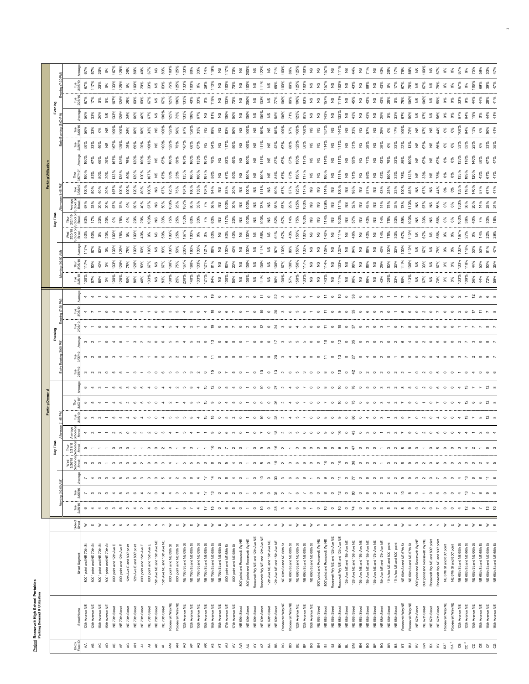Project Roosevelt High School Portables<br>Parking Demand & Utilization Project **Roosevelt High School Portables Parking Demand & Utilization**

|                           |                                    |                                                                    |                                                                                                                                                                                                                                              |                                     | ming (10:00 AM)                    |      | Day Tim                                                                                                                                                                                                                                                                                                                                                                                                                                           |       |                                                                        |                                                                                                                |                                                                                           |                |          |                             |                             |                                |                             | δ                           |                    |                          |                  |                                |                              |                                  |                        |                                      |                    |                                                                                                                                                                                                                                                                                                                                                                                                                                  |
|---------------------------|------------------------------------|--------------------------------------------------------------------|----------------------------------------------------------------------------------------------------------------------------------------------------------------------------------------------------------------------------------------------|-------------------------------------|------------------------------------|------|---------------------------------------------------------------------------------------------------------------------------------------------------------------------------------------------------------------------------------------------------------------------------------------------------------------------------------------------------------------------------------------------------------------------------------------------------|-------|------------------------------------------------------------------------|----------------------------------------------------------------------------------------------------------------|-------------------------------------------------------------------------------------------|----------------|----------|-----------------------------|-----------------------------|--------------------------------|-----------------------------|-----------------------------|--------------------|--------------------------|------------------|--------------------------------|------------------------------|----------------------------------|------------------------|--------------------------------------|--------------------|----------------------------------------------------------------------------------------------------------------------------------------------------------------------------------------------------------------------------------------------------------------------------------------------------------------------------------------------------------------------------------------------------------------------------------|
| Block<br>nm <sup>II</sup> |                                    |                                                                    | Side of                                                                                                                                                                                                                                      | Tue<br>Par<br>Tue<br>Po             |                                    |      | Thur<br>2/2 1/19<br>  School c<br>  Regal<br>$\begin{array}{c}\n\text{Wed} \\ 272019 \\ \hline\n\end{array}$                                                                                                                                                                                                                                                                                                                                      |       |                                                                        | కి శ్రీ                                                                                                        | ڻوا<br>م                                                                                  | $\frac{8}{28}$ | es<br>ما | Tue<br>28/1                 | Thur<br>105 <sup>*</sup>    |                                | Wed<br>2/20/1               |                             |                    |                          |                  |                                | $\frac{1}{26}$               | P<br>US                          |                        |                                      |                    |                                                                                                                                                                                                                                                                                                                                                                                                                                  |
| Ę                         | 12th Avenue NE                     | 800 'point and NE 70th St                                          | ≳                                                                                                                                                                                                                                            | $\circ$                             |                                    |      | ь<br>S                                                                                                                                                                                                                                                                                                                                                                                                                                            |       |                                                                        |                                                                                                                |                                                                                           |                |          |                             |                             |                                | $50\%$                      |                             |                    |                          |                  |                                |                              | 50%<br>33%                       |                        |                                      | Tue<br>67%<br>117% |                                                                                                                                                                                                                                                                                                                                                                                                                                  |
| R<br>-e                   | 12th Avenue NE<br>15th Avenue NE   | 800 'point and NE 70th St<br>800 'point and NE 70th St             | $\geq$<br>$\sqcup$                                                                                                                                                                                                                           |                                     | $\infty$<br>ొ                      |      | $\infty$<br>$\circ$                                                                                                                                                                                                                                                                                                                                                                                                                               |       | 65414526500421483 たり04501090 9 24670070 2 0 万003 427901000 4 2 6 0 2 8 | condo de como de conderado de condecento de conde de condecento de condecento de condecento de conde de condec | $m \sim 0 \sim m$                                                                         |                |          | 0.8888888888                |                             | 67%<br>60%                     |                             | 17%<br>20%                  | 33%                | $\frac{5}{2}$            |                  | 60%                            |                              |                                  | ត្តិ គឺ ខ្ញុំ ខ្ញុំ គឺ |                                      |                    | $57\%$ $8\%$ $8\%$ $8\%$ $8\%$ $8\%$                                                                                                                                                                                                                                                                                                                                                                                             |
| ੍ਰ                        | 15th Avenue NE                     | 800 'point and NE 70th St                                          | $\mathbf{m}$                                                                                                                                                                                                                                 | $\circ$                             | $\circ$<br>$\sim$ $\sim$           |      | $\overline{\phantom{m}}$                                                                                                                                                                                                                                                                                                                                                                                                                          |       |                                                                        |                                                                                                                |                                                                                           |                |          |                             |                             | °°                             | 0%<br>20%                   |                             | ಸಿ<br>20%          | 20%                      |                  | 20%                            |                              |                                  |                        |                                      | 20%<br>0%<br>133%  |                                                                                                                                                                                                                                                                                                                                                                                                                                  |
| Æ                         | NE 70th Street                     | 800' point and 12th Ave E                                          | $\mathbb Z$                                                                                                                                                                                                                                  | ო                                   | $\rightarrow$                      |      | $\circ$<br>ო                                                                                                                                                                                                                                                                                                                                                                                                                                      |       |                                                                        |                                                                                                                |                                                                                           |                |          | 100%                        | 133%                        | 133%                           | 100%                        | 20%<br>0%<br>75%            | 67%                | 67%                      | 33%              | 167%                           | <b>19 %</b>                  | $2 \overset{\circ}{\phantom{0}}$ |                        |                                      |                    |                                                                                                                                                                                                                                                                                                                                                                                                                                  |
| $\lambda_{\rm F}$<br>୍ଦୁ  | NE 70th Street                     | 800° point and 12th Ave E                                          | ဖ                                                                                                                                                                                                                                            | 5                                   | ပ<br>s<br>S                        |      | $\omega$<br>$\circ$<br>S<br>$\circ$                                                                                                                                                                                                                                                                                                                                                                                                               |       |                                                                        |                                                                                                                |                                                                                           |                |          | 125%                        | 125%                        |                                | 75%                         | $\delta$                    | 75%<br>o%          | 00%                      | 25%              | 125%                           | 125%                         | 100%                             | 125%                   |                                      | 125%               |                                                                                                                                                                                                                                                                                                                                                                                                                                  |
|                           | NE 70th Street<br>NE 70th Street   | 12th Ave E and 800' point<br>12th Ave E and 800' point             | $\mathbb Z$<br>ഗ                                                                                                                                                                                                                             | $\sim$                              | 5                                  |      | S                                                                                                                                                                                                                                                                                                                                                                                                                                                 |       |                                                                        |                                                                                                                |                                                                                           |                |          | $90\%$                      | 120%<br>75%                 | $\frac{8}{9}$                  | $\sum_{i=1}^{\infty}$<br>ŏ, |                             | 60%                | 20%<br>$\frac{6}{9}$     | 120%             | 120%<br>75%                    | 60%                          |                                  | 25%<br>60%             |                                      | 100%<br>$\delta$   |                                                                                                                                                                                                                                                                                                                                                                                                                                  |
|                           | NE 70th Street                     | 800° point and 15th Ave E                                          | $\mathbb Z$                                                                                                                                                                                                                                  | $\sim$                              |                                    |      | $\sim$                                                                                                                                                                                                                                                                                                                                                                                                                                            |       |                                                                        |                                                                                                                |                                                                                           |                |          |                             | 80%                         | 60%                            | $rac{6}{5}$                 | 20%<br>20%                  | $^{86}$            | 80%                      | 100%             | 100%                           |                              | 60%                              | 40%                    |                                      | 20%                | 80%<br>40%                                                                                                                                                                                                                                                                                                                                                                                                                       |
| きょ ろ え ち き さ る            | NE 70th Street                     | 800" point and 15th Ave E                                          | $\omega$                                                                                                                                                                                                                                     | $\overline{4}$                      | $\infty$                           |      | $\circ$                                                                                                                                                                                                                                                                                                                                                                                                                                           |       |                                                                        |                                                                                                                |                                                                                           |                |          |                             |                             | 100%                           | òg                          | $100^{\circ}$               | 67%                | $\frac{6}{6}$            | 167%             | 133%                           | 100%                         | 33%                              |                        | 67%                                  | 33%                | 67%                                                                                                                                                                                                                                                                                                                                                                                                                              |
|                           | NE 70th Street                     | 15th Ave NE and 16th Ave NE                                        | $\mathbb{Z}$                                                                                                                                                                                                                                 | $\circ$                             |                                    |      | $\circ$                                                                                                                                                                                                                                                                                                                                                                                                                                           |       |                                                                        |                                                                                                                |                                                                                           |                |          | $\frac{9}{2}$               | $\frac{8}{2}$               | $\frac{6}{2}$                  | <b>2</b> 50%                | 2 ని                        | <b>2</b> 50%       | $2\degree$               | $\frac{8}{2}$    | $\frac{8}{2}$                  |                              | 9                                | $\frac{9}{2}$          | $\frac{6}{2}$                        | ី និង<br><b>ខ</b>  | $\frac{8}{2}$                                                                                                                                                                                                                                                                                                                                                                                                                    |
|                           | NE 70th Street                     | 15th Ave NE and 16th Ave NE                                        | S                                                                                                                                                                                                                                            | 5                                   | S                                  |      | ന                                                                                                                                                                                                                                                                                                                                                                                                                                                 |       |                                                                        |                                                                                                                |                                                                                           |                |          |                             |                             | 63%                            |                             |                             |                    |                          | 67%              | 67%                            | 2888                         | $\frac{8}{2}$                    | $\frac{8}{2}$          | 67%                                  |                    | 83%                                                                                                                                                                                                                                                                                                                                                                                                                              |
|                           | Roosevelt Way NE                   | 800" point and NE 69th St                                          | $\geq$<br>$\mathbf{m}$                                                                                                                                                                                                                       |                                     |                                    |      |                                                                                                                                                                                                                                                                                                                                                                                                                                                   |       |                                                                        |                                                                                                                |                                                                                           |                |          | 100%<br>25%                 | 75%<br>$100$ <sup>9</sup>   | $\frac{8}{2}$<br>50%           | 100%<br>25%                 | 25%<br>75%                  | 100%<br>25%        | 25%<br>75%               |                  | 100%<br>50%                    | 75%                          | 50%<br>$125^{\circ}$             | 125%<br>75%            | 100%<br>125%                         | 125%<br>75%        | 125%<br>$100^{\circ}$                                                                                                                                                                                                                                                                                                                                                                                                            |
|                           | Roosevelt Way NE<br>12th Avenue NE | NE 70th St and NE 69th St<br>800" point and NE 69th St             | $\geq$                                                                                                                                                                                                                                       | $\circ$                             | G<br>S                             |      | S                                                                                                                                                                                                                                                                                                                                                                                                                                                 |       |                                                                        |                                                                                                                |                                                                                           |                |          | 200%                        | 167%                        |                                | 67%                         | 133%                        | 167%               | 167%                     | 33%              | 167%                           | 167%                         | 67%                              | 133%                   | 133%                                 | 133%               | 133%                                                                                                                                                                                                                                                                                                                                                                                                                             |
|                           | 12th Avenue NE                     | NE 70th Stand NE 69th St                                           | $\mathbf{m}$                                                                                                                                                                                                                                 | $\overline{ }$                      | $\infty$                           |      | S                                                                                                                                                                                                                                                                                                                                                                                                                                                 |       |                                                                        |                                                                                                                |                                                                                           |                |          |                             | 160%                        |                                | ê,                          | 6OX                         | 80%                | 160%                     | 60%              | 160%                           |                              | 120%                             | $\frac{8}{2}$          | 40%                                  | 100%               | 80%                                                                                                                                                                                                                                                                                                                                                                                                                              |
| $R$ $R$                   | 15th Avenue NE                     | NE 70th St and NE 69th St                                          | $\geq$                                                                                                                                                                                                                                       | $\rightarrow$                       |                                    |      | $\circ$                                                                                                                                                                                                                                                                                                                                                                                                                                           |       |                                                                        |                                                                                                                |                                                                                           |                |          | 133%                        | 133%                        | 133%                           |                             | 33%                         | 33%                | 133%                     | 100%             | 133%                           | 67%                          | 33%                              | 67%                    | 33%<br>0%                            |                    | 33%                                                                                                                                                                                                                                                                                                                                                                                                                              |
|                           | 15th Avenue NE                     | NE 70th Stand NE 68th St                                           | $\mathbf{m}$                                                                                                                                                                                                                                 | $\ddot{ }$                          | $\ddot{ }$                         |      | $\circ$                                                                                                                                                                                                                                                                                                                                                                                                                                           |       |                                                                        |                                                                                                                |                                                                                           |                |          | 121%                        | 121%                        | 121%                           | ఠ క                         | 7%                          | 7%                 | 101%                     | $-07%$           | 107%                           | 9£                           | 9£                               | 9£                     |                                      | 0%<br>29%          | 14%                                                                                                                                                                                                                                                                                                                                                                                                                              |
|                           | 16th Avenue NE                     | NE 70th St and NE 68th St                                          | 3                                                                                                                                                                                                                                            | $\frac{15}{2}$                      | $\ddot{a}$<br>ొ                    |      | $\infty$                                                                                                                                                                                                                                                                                                                                                                                                                                          |       |                                                                        |                                                                                                                |                                                                                           |                |          |                             |                             |                                | 50%                         | 63%                         | 56%                | š                        |                  | 75%                            | ∛es                          | 69%                              |                        | 119%                                 | $\frac{39}{2}$     | 119%                                                                                                                                                                                                                                                                                                                                                                                                                             |
|                           | 16th Avenue NE                     | NE 70th Stand NE 68th St                                           | $\mathbf{m}$                                                                                                                                                                                                                                 | $\circ$                             | $\circ$<br>$\circ$                 |      | $\circ$                                                                                                                                                                                                                                                                                                                                                                                                                                           |       |                                                                        |                                                                                                                |                                                                                           |                |          | <b>NS</b><br>100%           | NS<br>83%                   | $\frac{8}{2}$                  | <b>NS</b><br>83%            | $\frac{3}{2}$ $\frac{1}{2}$ |                    | " ಜ                      | NS<br>67%        | $\frac{9}{2}$                  | <b>NS</b><br>17%             | 2°                               | 100%                   |                                      | $\frac{9}{2}$      |                                                                                                                                                                                                                                                                                                                                                                                                                                  |
| おさ ち ぎ ぎ ダ ダ ダ 取          | 17th Avenue NE                     | 800" point and NE 68th St                                          | ≥                                                                                                                                                                                                                                            | $\circ$                             | $\circ$                            |      | S                                                                                                                                                                                                                                                                                                                                                                                                                                                 |       |                                                                        |                                                                                                                |                                                                                           |                |          |                             |                             | 100%                           |                             |                             | 2888               |                          |                  | 83%                            |                              | 83%                              |                        | $2.3%$<br>$7.3%$<br>$7.9%$<br>$2.0%$ | 100%               |                                                                                                                                                                                                                                                                                                                                                                                                                                  |
|                           | 17th Avenue NE                     | 800" point and NE 68th St                                          | $\mathbf{u}$                                                                                                                                                                                                                                 |                                     | 4                                  |      | $\blacktriangledown$                                                                                                                                                                                                                                                                                                                                                                                                                              |       |                                                                        |                                                                                                                |                                                                                           |                |          |                             | 20%                         | 40%                            | 40%                         | 20%                         |                    | ନ୍ଧି                     | 50%              | 40%                            | 50%                          | 50%                              | 80%                    |                                      | 70%                |                                                                                                                                                                                                                                                                                                                                                                                                                                  |
|                           | NE 69th Street                     | 800" point and RooseveltWy NE                                      | 2 <sub>0</sub>                                                                                                                                                                                                                               |                                     | $\circ$                            |      | $\circ$<br>$\circ$                                                                                                                                                                                                                                                                                                                                                                                                                                |       |                                                                        |                                                                                                                |                                                                                           |                |          | <b>2</b> 8                  | $\frac{6}{2}$               | $\frac{6}{2}$                  |                             | $\frac{9}{2}$ $\frac{8}{2}$ |                    |                          | $8\frac{8}{100}$ | 800%                           |                              | $\frac{9}{2}$ $\frac{8}{2}$      | $\frac{9}{2}$          |                                      | $\frac{8}{100\%}$  |                                                                                                                                                                                                                                                                                                                                                                                                                                  |
|                           | NE 69th Street                     | 800 point and Roosevelt Wy NE                                      |                                                                                                                                                                                                                                              | $0 - 0 = 0$                         |                                    |      | $-$ 0 $\omega$ 0 $\frac{\omega}{\omega}$                                                                                                                                                                                                                                                                                                                                                                                                          |       |                                                                        |                                                                                                                |                                                                                           |                |          |                             | 100%                        | 100%                           | 2882                        |                             |                    | 2882                     |                  |                                | 2882                         |                                  |                        |                                      |                    |                                                                                                                                                                                                                                                                                                                                                                                                                                  |
|                           | NE 69th Street<br>NE 69th Street   | Roosevelt Wy NE and 12th Ave NE<br>Roosevelt Wy NE and 12th Ave NE | $2 \times 2 \times 2$                                                                                                                                                                                                                        |                                     | $\tilde{=}$<br>$\circ$             |      | $\circ$<br>ၜ                                                                                                                                                                                                                                                                                                                                                                                                                                      |       |                                                                        |                                                                                                                |                                                                                           |                |          | 11%<br>$\frac{6}{2}$        | $\frac{6}{2}$               | 111%<br>°s                     | 56%                         |                             |                    |                          | 9£               | £                              |                              | 89%<br>$\frac{9}{2}$             | 100%<br>£              | $\frac{6}{2}$                        | 111%<br>°s         |                                                                                                                                                                                                                                                                                                                                                                                                                                  |
|                           | NE 69th Street                     | 12th Ave NE and 15th Ave NE                                        |                                                                                                                                                                                                                                              |                                     | $\circ$<br>$\circ$ $\circ$         |      | $\circ$                                                                                                                                                                                                                                                                                                                                                                                                                                           |       |                                                                        |                                                                                                                |                                                                                           |                |          |                             | $100%$<br>$100%$            | $\frac{9}{2}$                  | $\frac{\omega}{2}$          |                             |                    | $11\%$ $2\%$             | $\frac{8}{2}$ 8  | $11\%$<br>$87\%$               | $11\%$<br>$42\%$             | 2°                               | 2                      | $133%$<br>NS                         |                    |                                                                                                                                                                                                                                                                                                                                                                                                                                  |
| 68                        | NE 69th Street                     | 12th Ave NE and 15th Ave NE                                        |                                                                                                                                                                                                                                              | $\circ$ $\approx$                   | 30<br>ক                            |      | 'e                                                                                                                                                                                                                                                                                                                                                                                                                                                |       |                                                                        |                                                                                                                |                                                                                           |                |          | $8\frac{8}{9}$              |                             | 97%                            | 61%                         |                             |                    |                          | 84%              |                                |                              | 65%                              | 55%                    |                                      | <b>NS</b><br>65%   |                                                                                                                                                                                                                                                                                                                                                                                                                                  |
| PC                        | Roosevelt Way NE                   | NE 69th St and NE 68th St                                          | $\geq$                                                                                                                                                                                                                                       | $\infty$                            | $\boldsymbol{\omega}$              |      | $\sim$                                                                                                                                                                                                                                                                                                                                                                                                                                            |       |                                                                        |                                                                                                                |                                                                                           |                |          | 100%                        | 67%                         | 100%                           | 67%                         | <b>ទី ខ</b> នំ នំ           |                    | 67%<br>57%               | 67%              | 67%                            | 67%                          | 100%                             | 100%                   |                                      | 100%               |                                                                                                                                                                                                                                                                                                                                                                                                                                  |
| es<br>B                   | Roosevelt Way NE                   | NE 69th St and NE 68th St                                          |                                                                                                                                                                                                                                              |                                     | $\circ$                            |      |                                                                                                                                                                                                                                                                                                                                                                                                                                                   |       |                                                                        |                                                                                                                |                                                                                           |                |          | 57%                         | 100%                        | 86%                            | 43%                         | 14%                         |                    |                          | 57%              | 57%                            | 86%                          | 57%                              | 71%                    |                                      | 86%                |                                                                                                                                                                                                                                                                                                                                                                                                                                  |
| ΞÉ                        | 12th Avenue NE                     | NE 69th St and NE 68th St                                          |                                                                                                                                                                                                                                              |                                     | $\circ$                            |      | s                                                                                                                                                                                                                                                                                                                                                                                                                                                 |       |                                                                        |                                                                                                                |                                                                                           |                |          | 150%                        | 150%                        | 150%                           | 150%                        | 75%                         | 125%               | 125%                     | 50%              | 150%                           | 125%                         | 100%                             | 125%                   |                                      | 125%               |                                                                                                                                                                                                                                                                                                                                                                                                                                  |
| ă                         | 12th Avenue NE                     | NE 69th St and NE 68th St                                          | $\mathsf{u} \ \geqslant \ \mathsf{u} \ \geqslant \ \mathsf{z} \quad \mathsf{o} \ \mathsf{z} \quad \mathsf{o} \ \mathsf{z} \quad \mathsf{o} \ \mathsf{z} \quad \mathsf{o} \ \mathsf{z} \quad \mathsf{o} \ \geqslant \ \mathsf{o} \ \geqslant$ | 4 6 8 - 0 2 0 2 0 X 0               | $\infty$                           |      | $\circ$<br>$\begin{array}{ccccccccccccccccc} \mathbf{N} & \mathbf{M} & \mathbf{M} & \mathbf{M} & \mathbf{M} & \mathbf{M} & \mathbf{M} & \mathbf{M} & \mathbf{M} & \mathbf{M} & \mathbf{M} & \mathbf{M} & \mathbf{M} & \mathbf{M} & \mathbf{M} & \mathbf{M} & \mathbf{M} & \mathbf{M} & \mathbf{M} & \mathbf{M} & \mathbf{M} & \mathbf{M} & \mathbf{M} & \mathbf{M} & \mathbf{M} & \mathbf{M} & \mathbf{M} & \mathbf{M} & \mathbf{M} & \mathbf{M}$ |       |                                                                        |                                                                                                                | - o c n o w c - o t o n n o - o x o g w 4 4 c o o t o t o g o y o 4 o w o - a c o w o 4 o |                |          | 133%                        | 117%                        | 133%                           | 100%                        | 100%                        |                    | $58$ $9$ $9$             | 17%              | 117%                           | 50%                          | 100%                             | 83%                    |                                      | 100%               | $\begin{array}{cccccccccccccc} &\mathbb{2}&\mathbb{2}&\mathbb{2}&\mathbb{2}&\mathbb{2}&\mathbb{2}&\mathbb{2}&\mathbb{2}&\mathbb{2}&\mathbb{2}&\mathbb{2}&\mathbb{2}&\mathbb{2}&\mathbb{2}&\mathbb{2}&\mathbb{2}&\mathbb{2}&\mathbb{2}&\mathbb{2}&\mathbb{2}&\mathbb{2}&\mathbb{2}&\mathbb{2}&\mathbb{2}&\mathbb{2}&\mathbb{2}&\mathbb{2}&\mathbb{2}&\mathbb{2}&\mathbb{2}&\mathbb{2}&\mathbb{2}&\mathbb{2}&\mathbb{2}&\mathbb{2$ |
| မ္တ<br>풉                  | 15th Avenue NE                     | NE 69th St and NE 68th St                                          |                                                                                                                                                                                                                                              |                                     | $\circ$                            |      | $\circ$<br>$\circ$                                                                                                                                                                                                                                                                                                                                                                                                                                |       |                                                                        |                                                                                                                |                                                                                           |                |          | $\frac{0}{2}$ $\frac{0}{2}$ | $\frac{6}{2}$ $\frac{6}{2}$ | $\frac{9}{2}$<br>$\frac{6}{2}$ | 99                          | $\frac{6}{2}$ $\frac{6}{2}$ |                    |                          | 99               | $\frac{9}{2}$<br>$\frac{9}{2}$ |                              | 99                               | 99                     |                                      | 29.8               |                                                                                                                                                                                                                                                                                                                                                                                                                                  |
|                           | NE 68th Street<br>NE 68th Street   | 800" point and Roosevelt Wy NE<br>800 point and RooseveltWy NE     |                                                                                                                                                                                                                                              |                                     | ၜ                                  |      | $^\infty$                                                                                                                                                                                                                                                                                                                                                                                                                                         |       |                                                                        |                                                                                                                |                                                                                           |                |          | 143%                        |                             |                                |                             | 114%                        |                    |                          | 100%             | 114%                           |                              | 157%                             | 143%                   |                                      |                    |                                                                                                                                                                                                                                                                                                                                                                                                                                  |
| <b>A</b> A A A A A A A    | NE 68th Street                     | Roosevelt Wy NE and 12th Ave NE                                    |                                                                                                                                                                                                                                              |                                     | $\circ$                            |      | $\circ$<br>$9^{\circ}$ $\circ$ $9^{\circ}$                                                                                                                                                                                                                                                                                                                                                                                                        |       |                                                                        |                                                                                                                |                                                                                           |                |          | $\frac{9}{2}$               | $114%$<br>NS                | $129%$<br>NS                   | 143%                        |                             |                    | $14%$<br>$14%$<br>$100%$ | $\frac{9}{2}$    | $\frac{9}{2}$                  | $22 \frac{1}{2} \frac{1}{2}$ |                                  | $\frac{9}{2}$          |                                      | $\frac{8}{2}$      |                                                                                                                                                                                                                                                                                                                                                                                                                                  |
|                           | NE 68th Street                     | Roosevelt Wy NE and 12th Ave NE                                    |                                                                                                                                                                                                                                              |                                     | Ξ<br>$\tilde{5}$                   |      | e                                                                                                                                                                                                                                                                                                                                                                                                                                                 |       |                                                                        |                                                                                                                |                                                                                           |                |          |                             | 133%                        | 122%                           | 111%                        | 280                         |                    |                          | $\frac{8}{17}$   | 11%                            | $\tilde{E}$                  | $\frac{44}{4}$                   | 133%                   | 111%                                 |                    |                                                                                                                                                                                                                                                                                                                                                                                                                                  |
|                           | NE 68th Street                     | 12th Ave NE and 15th Ave NE                                        |                                                                                                                                                                                                                                              |                                     | $\circ$<br>$^{\circ}$ 8            | ం ని | $\circ$                                                                                                                                                                                                                                                                                                                                                                                                                                           |       |                                                                        |                                                                                                                |                                                                                           |                |          | $^{86}$                     | $2\frac{8}{9}$              | $34\%$                         | $2\frac{6}{6}$              | $2\frac{8}{57}$             |                    | <b>SS</b> 98%            |                  | <b>2</b> \$                    |                              | 19 జ                             | <b>2</b> \$            |                                      | $2\frac{3}{4}$     |                                                                                                                                                                                                                                                                                                                                                                                                                                  |
|                           | NE 68th Street                     | 12th Ave NE and 15th Ave NE                                        |                                                                                                                                                                                                                                              |                                     | $\overline{r}$                     |      | t                                                                                                                                                                                                                                                                                                                                                                                                                                                 |       |                                                                        |                                                                                                                |                                                                                           |                |          |                             |                             |                                |                             |                             |                    |                          |                  |                                |                              |                                  |                        |                                      |                    |                                                                                                                                                                                                                                                                                                                                                                                                                                  |
| $_{\rm g}$                | NE 68th Street<br>NE 68th Street   | 15th Ave NE and 16th Ave NE<br>15th Ave NE and 16th Ave NE         |                                                                                                                                                                                                                                              |                                     | $\circ$<br>$\circ$<br>$\circ$      |      | $\circ$<br>s                                                                                                                                                                                                                                                                                                                                                                                                                                      |       |                                                                        |                                                                                                                |                                                                                           |                |          | NS<br>86%                   | 86%                         | 288                            | $2\frac{8}{3}$              | $2\frac{8}{3}$              |                    | ី និ                     | 2528             | $\frac{3}{2}$ $\frac{1}{2}$    |                              | $2\degree$                       | ា<br>ខ <sub>ឹ</sub>    |                                      | $2\degree$         |                                                                                                                                                                                                                                                                                                                                                                                                                                  |
| 음                         | NE 68th Street                     | 16th Ave NE and 17th Ave NE                                        |                                                                                                                                                                                                                                              | 0000000                             | $\circ$<br>$0$ $0$ $N$ $N$ $N$ $2$ |      | $\circ$<br>$O \nmid O \nmid O \nmid O \nmid O$                                                                                                                                                                                                                                                                                                                                                                                                    |       |                                                                        |                                                                                                                |                                                                                           |                |          | $\frac{6}{2}$               | $\frac{6}{2}$               | $\frac{6}{2}$                  |                             |                             |                    |                          |                  | $\frac{9}{2}$                  | 25282888                     |                                  | 2°                     |                                      |                    |                                                                                                                                                                                                                                                                                                                                                                                                                                  |
| ន្ល                       | NE 68th Street                     | 16th Ave NE and 17th Ave NE                                        |                                                                                                                                                                                                                                              |                                     | S                                  |      |                                                                                                                                                                                                                                                                                                                                                                                                                                                   |       |                                                                        |                                                                                                                |                                                                                           |                |          |                             | 29%                         | 43%                            | <b>14%</b><br>75%           | $14%$<br>$75%$              |                    | မွာ နွ                   | <b>2</b> \$      | 43%                            |                              |                                  | 29%                    |                                      | ី ខ្លួ             |                                                                                                                                                                                                                                                                                                                                                                                                                                  |
| æ                         | NE 68th Street                     | 17th Ave NE and 800' point                                         |                                                                                                                                                                                                                                              |                                     |                                    |      | S                                                                                                                                                                                                                                                                                                                                                                                                                                                 |       |                                                                        |                                                                                                                |                                                                                           |                |          |                             | 50%                         | 100%                           |                             |                             |                    | 25%                      | 100%             | 75%                            |                              | $2888$ $7%$                      | $\delta$               |                                      | °°                 |                                                                                                                                                                                                                                                                                                                                                                                                                                  |
| 8S                        | NE 68th Street                     | 17th Ave NE and 800' point                                         |                                                                                                                                                                                                                                              |                                     |                                    |      | $\sim$<br>$\sim$                                                                                                                                                                                                                                                                                                                                                                                                                                  |       |                                                                        |                                                                                                                |                                                                                           |                |          | 33%                         | 33%                         | 33%                            | 33%                         | 33%                         | 33%                | $33\%$                   | 33%              | 33%                            |                              |                                  | 33%                    |                                      | 17%<br>67%         |                                                                                                                                                                                                                                                                                                                                                                                                                                  |
| $\Xi$<br>$\Xi$            | Roosevelt Way NE                   | NE 68th Stand NE 67th St                                           |                                                                                                                                                                                                                                              | $\sigma$                            | $\infty$                           |      | $\infty$<br>$\infty$<br>$\circ$<br>$\sigma$                                                                                                                                                                                                                                                                                                                                                                                                       |       |                                                                        |                                                                                                                |                                                                                           |                |          | 113%                        | 111%                        | 100%                           | 67%                         | 89%<br>100%                 | 78%                | 100%                     | 78%              | 89%<br>100%                    |                              | 100%                             | 67%                    |                                      |                    |                                                                                                                                                                                                                                                                                                                                                                                                                                  |
| $\geq$                    | Roosevelt Way NE<br>NE 67th Street | NE 68th St and NE 67th St                                          |                                                                                                                                                                                                                                              | $\circ$                             | $\circ$                            |      | $\circ$<br>$\circ$                                                                                                                                                                                                                                                                                                                                                                                                                                |       |                                                                        |                                                                                                                |                                                                                           |                |          |                             | 100%<br>$\frac{6}{2}$       | 113%<br>$\frac{9}{2}$          | 113%<br>2°                  |                             | 113%               | 88%                      | 13%              | $\frac{6}{2}$                  |                              | 75%<br>2                         | 50%<br>£               |                                      | 75%                |                                                                                                                                                                                                                                                                                                                                                                                                                                  |
| ≧                         | NE 67th Street                     | 800" point and Roosevelt Wy NE<br>800 point and Roosevelt Wy NE    | $\begin{array}{ccc} \boxplus & \boxtimes & \text{on} \end{array}$                                                                                                                                                                            | $\sim$                              |                                    |      | $\sim$                                                                                                                                                                                                                                                                                                                                                                                                                                            |       |                                                                        |                                                                                                                |                                                                                           |                |          |                             | 33%                         |                                | 67%                         | 2 వ్ర                       | <b>SP</b> 8        | $2\degree$               | ೨ ಕ್ಲಿ           | 67%                            | 2%<br>೧೯೫<br>೧೯೫             | 67%                              | 67%                    |                                      | <b>NS</b><br>67%   |                                                                                                                                                                                                                                                                                                                                                                                                                                  |
| $\mathbbmss{S}$           | NE 67th Street                     | Roosevelt Wy NE and 800' point                                     |                                                                                                                                                                                                                                              | $\circ$                             | $\circ$                            |      | $\circ$                                                                                                                                                                                                                                                                                                                                                                                                                                           |       |                                                                        |                                                                                                                |                                                                                           |                |          |                             | 9                           | 9                              | 9£                          | 2°                          |                    | 9                        |                  | 2°                             |                              | 9                                | 9                      |                                      |                    |                                                                                                                                                                                                                                                                                                                                                                                                                                  |
| $\mathbb{S}^\times$       | NE 67th Street                     | Roosevelt Wy NE and 800' point                                     | $2\sigma$                                                                                                                                                                                                                                    | $\overline{ }$                      |                                    |      | S                                                                                                                                                                                                                                                                                                                                                                                                                                                 |       |                                                                        |                                                                                                                |                                                                                           |                |          |                             | 67%                         |                                | 56%                         | -6%                         | <b>9 %</b>         | र्ने                     | ೨ ಕ್ಷ            | 67%                            | ី ខ                          | $^{14}$                          | 56%                    |                                      | $\frac{8}{10}$     |                                                                                                                                                                                                                                                                                                                                                                                                                                  |
| $\bar{\texttt{R}}$        | Roosevelt Way NE                   | NE 67th St and 800' point                                          | $\geq$                                                                                                                                                                                                                                       | $\circ$                             |                                    |      | $\circ$                                                                                                                                                                                                                                                                                                                                                                                                                                           |       |                                                                        |                                                                                                                |                                                                                           |                |          |                             |                             |                                | ŏ,                          | ŏ                           | ŏ,                 | ŏ%                       | ŏ,               | O%                             | ఠ క                          | ŏ,                               | ŏ°                     |                                      | °°                 |                                                                                                                                                                                                                                                                                                                                                                                                                                  |
| $\tilde{\mathcal{S}}$     | Roosevelt Way NE                   | NE 67th St and 800' point                                          | $\mathbf{m}$                                                                                                                                                                                                                                 | $\circ$                             | $\circ$<br>$\circ$                 |      | $\circ$                                                                                                                                                                                                                                                                                                                                                                                                                                           |       |                                                                        |                                                                                                                |                                                                                           |                |          |                             | $\delta$                    | 0%                             | ŏ%                          | $6\%$                       | o%                 | o%                       | o%               | o%                             |                              | o%                               | o%                     |                                      | 0%                 |                                                                                                                                                                                                                                                                                                                                                                                                                                  |
| $cc^2$<br>8               | 12th Avenue NE                     | NE 68th St and NE 65th St                                          | $\geq$                                                                                                                                                                                                                                       | $\tilde{ }$<br>$\blacktriangledown$ |                                    |      | S                                                                                                                                                                                                                                                                                                                                                                                                                                                 |       |                                                                        |                                                                                                                |                                                                                           |                |          |                             | 133%                        | $133$ <sup>9</sup>             | 679                         | 100%<br>36%                 |                    | 33%                      | 33%<br>109%      | 133%                           | - 53                         | 100%                             | 87%                    | 33%                                  | 67%<br>0%          | ്                                                                                                                                                                                                                                                                                                                                                                                                                                |
|                           | 12th Avenue NE<br>15th Avenue NE   | NE 68th Stand NE 66th St<br>NE 68th St and NE 66th St              | $\geq$<br>$\mathbf{m}$                                                                                                                                                                                                                       | $\circ$                             | $\frac{3}{2}$<br>$\infty$          |      | $\circ$                                                                                                                                                                                                                                                                                                                                                                                                                                           |       |                                                                        |                                                                                                                |                                                                                           |                |          |                             |                             |                                |                             | $\frac{8}{9}$               | 133%<br>36%<br>20% | 18%<br>140%              | 20%              | 40%                            |                              |                                  |                        | 44%                                  | 106%               | r5%                                                                                                                                                                                                                                                                                                                                                                                                                              |
|                           | 15th Avenue NE                     | NE 68th St and NE 65th St                                          | ш                                                                                                                                                                                                                                            | $\sim$                              | $^\infty$                          |      |                                                                                                                                                                                                                                                                                                                                                                                                                                                   |       |                                                                        |                                                                                                                |                                                                                           |                |          |                             |                             |                                | $\frac{36}{4}$              | P%                          | 14%                | 57%                      | 3%               | 50%                            |                              | ŏ,                               |                        |                                      | 69%                | 56%                                                                                                                                                                                                                                                                                                                                                                                                                              |
| 8 8 8 8                   | 16th Avenue NE                     | NE 68th St and NE 65th St                                          |                                                                                                                                                                                                                                              | $\tilde{c}$                         |                                    |      |                                                                                                                                                                                                                                                                                                                                                                                                                                                   | ∞ ∾ ∞ |                                                                        |                                                                                                                |                                                                                           |                |          |                             |                             |                                | 22%<br>23%                  | ್ಲಿ<br>೧೯೮೯                 |                    |                          |                  |                                | ಹೆ ಕ್ಲಿ                      |                                  |                        | 44%<br>28%<br>41%                    |                    |                                                                                                                                                                                                                                                                                                                                                                                                                                  |
|                           | 16th Avenue NE                     | NE 68th St and NE 65th St                                          |                                                                                                                                                                                                                                              |                                     |                                    |      |                                                                                                                                                                                                                                                                                                                                                                                                                                                   |       |                                                                        |                                                                                                                |                                                                                           |                |          |                             |                             |                                |                             |                             |                    |                          |                  |                                |                              |                                  |                        |                                      |                    |                                                                                                                                                                                                                                                                                                                                                                                                                                  |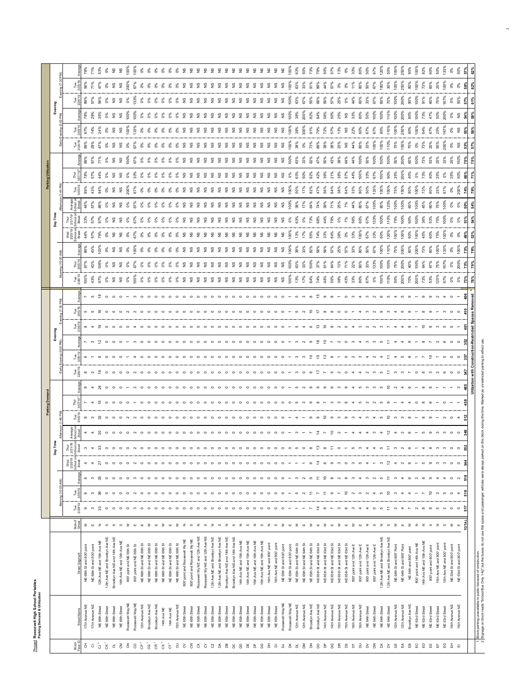<u>Project</u> Roosevelt High School Portables<br>Parking Demand & Utilization Project **Roosevelt High School Portables Parking Demand & Utilization**

|                                  |                                  |                                                                                                                                                                                                    |                        |                    |                    |                            |                                      |                                                                                     |                                                                                                   |                                                                                                              |                                         |                                                                                              |                          |                             |                                                   |                          |                    |               |                     |                                                                                           |                    |                  |               | Parking Utiliza     |               |               |               |                    |               |                           |              |
|----------------------------------|----------------------------------|----------------------------------------------------------------------------------------------------------------------------------------------------------------------------------------------------|------------------------|--------------------|--------------------|----------------------------|--------------------------------------|-------------------------------------------------------------------------------------|---------------------------------------------------------------------------------------------------|--------------------------------------------------------------------------------------------------------------|-----------------------------------------|----------------------------------------------------------------------------------------------|--------------------------|-----------------------------|---------------------------------------------------|--------------------------|--------------------|---------------|---------------------|-------------------------------------------------------------------------------------------|--------------------|------------------|---------------|---------------------|---------------|---------------|---------------|--------------------|---------------|---------------------------|--------------|
|                                  |                                  |                                                                                                                                                                                                    |                        |                    | Morning (10:00 AM) |                            |                                      | Day Time                                                                            |                                                                                                   |                                                                                                              |                                         |                                                                                              |                          | Evening                     |                                                   |                          |                    |               |                     |                                                                                           | Day Time           |                  |               |                     |               |               |               | Evening            |               |                           |              |
| Block<br>Face ID                 |                                  |                                                                                                                                                                                                    | Side of                | Tue<br>2/26/19     | Tue<br>cu          |                            | Wed<br>2/20/19<br>School or<br>Break | Thur<br>2/21/19<br> School or<br> Break                                             |                                                                                                   |                                                                                                              |                                         | ™<br>28                                                                                      |                          |                             | eg<br>مقا<br>eg<br>XX                             |                          | Tue<br>2/26/19     | Thur<br>/05/1 |                     | $\begin{array}{c} \text{Wed} \\ 2/20/19 \\ \text{fmod or} \\ \text{Bread} \\ \end{array}$ | Thur<br>2/21/19    |                  |               |                     |               | Tue<br>2/26/1 | es<br>180     |                    | 28            | Tue<br>05/19              |              |
| 3<br>$\overline{\mathrm{o}}$     | 17th Avenue NE<br>17th Avenue NE | NE 68th Stand 800 point<br>NE 68th St and 800' point                                                                                                                                               | ₹<br>$\mathbf{H}$      | o<br>$\infty$      | 6<br>$\sim$        | 8<br>$\infty$              | $\blacktriangleleft$<br>4            | ო                                                                                   |                                                                                                   |                                                                                                              |                                         | $\begin{array}{ccccccccccccccccc} \circ & \circ & \circ & \circ & \circ & \circ \end{array}$ |                          | $\sim$ $\sim$               | $\infty$                                          | S<br><b>10 in</b>        | 100%<br>43%        | 67%<br>43%    | 43%                 | 44%<br>57%                                                                                | 33%                | 57%              |               | 78%                 | 89%           | 89%<br>29%    | 67%<br>14%    | 78%<br>29%         | 89%           | 56%                       | 78%<br>71%   |
| $\mathring{3}$                   | NE 66th Street                   | 12th Ave NE and 15th Ave NE                                                                                                                                                                        | $\mathbf{z}$           | 33                 | $\frac{8}{2}$      | 95                         | 27                                   | $\boldsymbol{\mathcal{Z}}$                                                          | $\approx$ 8                                                                                       |                                                                                                              |                                         |                                                                                              |                          |                             | $\rightarrow$ $\Omega$                            |                          | 97%                |               | 103%                | 79%                                                                                       |                    |                  |               |                     |               | ę,            |               | 35%                |               |                           | 53%          |
| $\tilde{g}$<br>ರ                 | NE 66th Street<br>NE 66th Street | 12th Ave NE and Brooklyn Ave NE<br>Brooklyn Ave NE and 14th Ave NE                                                                                                                                 | $\omega$<br>S          | $\circ$<br>$\circ$ |                    | $\circ$<br>$\circ$         | $\circ$<br>$\circ$                   | $\circ$<br>$\circ$                                                                  | $\circ$<br>$\circ$                                                                                | $\begin{array}{ccccccccccccccccc} \circ & \circ & \circ & \circ & \circ & \circ & \circ & \circ \end{array}$ | $\circ$ $\circ$ $\circ$ $\circ$ $\circ$ |                                                                                              |                          |                             | $\circ$ $\circ$                                   | $\frac{\infty}{2}$ 0 0 0 | °°0                |               | $\delta$<br>9       | 5<br>ŏ,                                                                                   | ŏ                  | £                | ò,            | 8228                | ò,            | 2°<br>š       |               | $\frac{9}{2}$      | °°            | $\frac{9}{2}$<br>$\delta$ | 8822         |
| $\mathop{\mathrm{SO}}$           | NE 66th Street                   | 14th Ave NE and 15th Ave NE                                                                                                                                                                        | $\omega$               | $\circ$            |                    | $\circ$                    | $\circ$                              | $\circ$                                                                             |                                                                                                   |                                                                                                              |                                         |                                                                                              |                          |                             |                                                   |                          | $\frac{6}{2}$      |               | 9ء                  |                                                                                           |                    | $\frac{9}{2}$    | <b>22</b>     |                     | <b>22</b>     | 2             | <b>22</b>     | $\frac{9}{2}$      |               | 9s                        |              |
| $\overline{6}$                   | Roosevelt Way NE                 | 800" point and NE 65th St                                                                                                                                                                          | $\geq$                 | $\circ$            |                    | $\circ$                    | $\circ$                              |                                                                                     |                                                                                                   |                                                                                                              |                                         |                                                                                              |                          |                             | $\circ$ $\circ$                                   |                          | 0%                 | 2 కి          | 0%                  | 2 కి                                                                                      | Š                  | ఠ                | 200%          |                     | $\hat{8}$     | 8             | 100%          | 100%               | $\delta$      | 200%                      | 100%         |
| S                                | Roosevelt Way NE                 | 800" point and NE 65th St                                                                                                                                                                          | ш                      | $\infty$           |                    | $\infty$                   | $\sim$                               | $\circ \quad \circ \quad \circ \quad \circ$                                         |                                                                                                   | $\sim$                                                                                                       |                                         |                                                                                              |                          |                             |                                                   |                          | Soo                | 67%           | $\frac{8}{9}$       | 67%                                                                                       |                    | š7%              |               | 33                  |               |               | 133%          | $\frac{8}{2}$      | $33\%$        |                           | 100%         |
| $\bar{e}$                        | 12th Avenue NE                   | NE 66th St and NE 65th St                                                                                                                                                                          | ш                      | $\circ$            |                    | $\circ$                    | $\circ$                              |                                                                                     |                                                                                                   | $\circ$                                                                                                      |                                         |                                                                                              |                          |                             |                                                   |                          | $\delta$           |               | °°0                 | ఠి శ                                                                                      | ŏ,                 | 88888822         | ŏ,            | ఠ క                 | ŏ,            | ŏ             |               | °°                 | °°            | 0%                        |              |
| $_{\rm G}$                       | Brooklyn Ave NE                  | NE 66th Stand NE 65th St                                                                                                                                                                           | $\geq$                 | $\circ$            |                    | $\circ$                    | $\circ$                              |                                                                                     |                                                                                                   |                                                                                                              |                                         |                                                                                              |                          |                             |                                                   |                          | °°                 |               | °°                  |                                                                                           | ŏ,                 |                  | ŏ,            |                     | ŏ%            | ŏ,            | ఠ             | °°                 | °°            | 0%                        |              |
| $\rm{GR}$ $^{\rm{+}}$            | Brooklyn Ave NE                  | NE 66th Stand NE 65th St                                                                                                                                                                           | ₹<br>$\mathbf{u}$      | $\circ$<br>$\circ$ |                    | $\circ$<br>$\circ$         | $\circ$<br>$\circ$                   | $\circ$<br>$\circ$                                                                  |                                                                                                   |                                                                                                              |                                         |                                                                                              |                          |                             |                                                   |                          | ŏ,                 |               | °°                  | ŏ,<br>ိ                                                                                   | Š,                 |                  | ŏ,<br>င်္လ    |                     | ఠ<br>ŏ,       | ŏ,<br>င်္လ    | ఠ             | ŏ,                 | $\delta$      | °°<br>°°                  |              |
| $\rm \bar{g}$<br>$\rm \tilde{5}$ | 14th Ave NE<br>14th Ave NE       | NE 66th St and NE 65th St<br>NE 66th Stand NE 65th St                                                                                                                                              | ш                      | $\circ$            |                    | $\circ$                    | $\circ$                              | $\circ$                                                                             |                                                                                                   |                                                                                                              |                                         |                                                                                              |                          |                             |                                                   |                          | °6                 | $\delta$      | $\delta^{\%}$<br>°° | ŏ,                                                                                        | ŏ,<br>š            |                  | ŏ,            |                     |               | ŏ,            |               | °6<br>°°           | 0%            | °°                        |              |
| $\Xi$                            | 15th Avenue NE                   | NE 66th St and NE 65th St                                                                                                                                                                          | 3                      | $\circ$            |                    | $\circ$                    | $\circ$                              | $\circ$                                                                             |                                                                                                   |                                                                                                              |                                         |                                                                                              |                          |                             |                                                   |                          |                    |               | °°                  | š                                                                                         | š                  |                  | ŏ,            |                     | ്ട്           | š             |               | °6                 | °6            | $\delta$                  |              |
| $\delta$                         | NE 65th Street                   | 800 point and RooseveltWy NE                                                                                                                                                                       | $\mathbf{z}$           | $\circ$            |                    | $\circ$                    | $\circ$                              | $\circ$                                                                             | $\circ$ $\circ$                                                                                   |                                                                                                              |                                         |                                                                                              |                          |                             |                                                   |                          |                    |               | £                   | £                                                                                         | $\frac{9}{2}$      |                  | 2             | 8 8 8 8 9 9 9 9 9 9 | $\frac{9}{2}$ | £             |               | $\frac{9}{2}$      | $\frac{9}{2}$ | $\frac{9}{2}$             |              |
| ξ                                | NE 65th Street                   | 800 point and Roosevelt Wy NE                                                                                                                                                                      | ဖာ                     | $\circ$            |                    | $\circ$                    | $\circ$                              | $\circ$                                                                             | $\circ$                                                                                           |                                                                                                              |                                         |                                                                                              |                          |                             |                                                   |                          |                    |               | £                   | £                                                                                         | £                  |                  | $\frac{9}{2}$ |                     | $\frac{9}{2}$ | £             |               | $\frac{9}{2}$      | 9             | 9                         |              |
| ŏ                                | NE 65th Street                   | Roosevelt Wy NE and 12th Ave NE                                                                                                                                                                    | $\mathbf{z}$           | $\circ$            |                    | $\circ$                    | $\circ$                              | $\circ$                                                                             | $\circ$                                                                                           | $\circ$                                                                                                      |                                         |                                                                                              |                          |                             | $\circ$                                           |                          |                    |               | 5s                  | 2                                                                                         | £                  | $\frac{9}{2}$    | $\frac{9}{2}$ |                     | $\frac{9}{2}$ | £             |               | $\frac{9}{2}$      | $\frac{6}{2}$ | 9ء                        |              |
| ें                               | NE 65th Street                   | Roosevelt Wy NE and 12th Ave NE                                                                                                                                                                    | ဖ                      | $\circ$            |                    | $\circ$                    | $\circ$                              | $\circ$                                                                             |                                                                                                   | $\circ$                                                                                                      |                                         |                                                                                              |                          |                             |                                                   |                          |                    |               | £°                  |                                                                                           |                    | $\frac{9}{2}$    | $\frac{9}{2}$ |                     | 9             | £             |               | £                  |               | $\frac{9}{2}$             |              |
| <b>G</b>                         | NE 65th Street                   | 12th Ave NE and Brooklyn Ave NE                                                                                                                                                                    | $\mathbf{z}$           | $\circ$            |                    | $\circ$                    | $\circ$                              | $\circ$                                                                             | $\begin{array}{cccccccccccccc} \circ & \circ & \circ & \circ & \circ & \circ & \circ \end{array}$ |                                                                                                              |                                         |                                                                                              |                          |                             |                                                   |                          |                    |               | 9ء                  | £                                                                                         | $\frac{9}{2}$      | $\frac{9}{2}$    | $\frac{9}{2}$ |                     | $\frac{9}{2}$ | $\frac{9}{2}$ | 9             | £                  | 9             | $\frac{9}{2}$             |              |
| ద్                               | NE 65th Street                   | 12th Ave NE and Brooklyn Ave NE                                                                                                                                                                    | $\omega$               | $\circ$            |                    | $\circ$                    | $\circ$                              | $\circ$                                                                             |                                                                                                   |                                                                                                              |                                         |                                                                                              |                          |                             |                                                   |                          |                    |               | 9ء                  | 2°                                                                                        | $\frac{9}{2}$      | £                | £             |                     | $\frac{9}{2}$ | $\frac{9}{2}$ | 9             | £                  | 9             | $\frac{9}{2}$             |              |
| 8                                | NE 65th Street                   | Brooklyn Ave NE and 14th Ave NE                                                                                                                                                                    | $\mathbb Z$            | $\circ$            |                    | $\circ$                    | $\circ$                              | $\circ$                                                                             |                                                                                                   |                                                                                                              | $\circ$                                 |                                                                                              |                          |                             | $\circ$                                           |                          |                    |               | $\frac{6}{2}$       | 2                                                                                         | $\frac{9}{2}$      | $\frac{9}{2}$    | 2             |                     | £             | 2             | £             | 2                  | °3            | °3                        |              |
| DC.                              | NE 65th Street                   | Brooklyn Ave NE and 14th Ave NE                                                                                                                                                                    | ဖာ                     | $\circ$            |                    | $\circ$                    | $\circ$                              | $\circ$                                                                             |                                                                                                   |                                                                                                              |                                         | $\circ$                                                                                      |                          | $\circ$                     | $\circ$                                           |                          |                    | 9             | °2                  | 5                                                                                         | £                  | $\frac{9}{2}$    | <b>22</b>     |                     | $\frac{9}{2}$ | "ટ            | $\frac{9}{2}$ | $\frac{9}{2}$      | 9             | 9ء                        |              |
| å                                | NE 65th Street                   | 14th Ave NE and 15th Ave NE                                                                                                                                                                        | $\overline{z}$         | $\circ$            |                    | $\circ$                    | $\circ$                              | $\circ$                                                                             |                                                                                                   |                                                                                                              |                                         | $\circ$                                                                                      |                          | $\circ$                     | $\circ$                                           |                          |                    |               | 9ء                  | 2°                                                                                        | $\frac{9}{2}$      | 9                |               |                     | $\frac{9}{2}$ | £             | 9             | £                  | $\frac{9}{2}$ | $\frac{9}{2}$             |              |
| $\Xi$                            | NE 65th Street                   | 14th Ave NE and 15th Ave NE                                                                                                                                                                        | $\omega$               | $\circ$            |                    | $\circ$                    | $\circ$                              |                                                                                     |                                                                                                   |                                                                                                              | $\circ\circ\circ\circ\circ$             |                                                                                              |                          |                             |                                                   |                          |                    |               | °3                  | £                                                                                         | £                  | 9                | 22            |                     | £             | £             | 9             | 2                  | 9             | °3                        |              |
| ЪF                               | NE 65th Street                   | 15th Ave NE and 16th Ave NE                                                                                                                                                                        | $\mathbf{z}$           | $\circ$            |                    | $\circ$                    | $\circ$                              |                                                                                     |                                                                                                   |                                                                                                              |                                         | $\circ$ $\circ$ $\circ$                                                                      |                          |                             |                                                   |                          | 9                  |               | °2                  | 2°                                                                                        | £                  | ڥ                |               |                     | $\frac{9}{2}$ | £             | $\frac{9}{2}$ | £                  | $\frac{6}{2}$ | $\frac{6}{2}$             |              |
| å                                | NE 65th Street                   | 15th Ave NE and 16th Ave NE                                                                                                                                                                        | ળ                      | $\circ$            |                    | $\circ$                    | $\circ$                              |                                                                                     |                                                                                                   | $\circ$ $\circ$                                                                                              |                                         |                                                                                              |                          |                             |                                                   |                          |                    |               | £                   | £                                                                                         | £                  |                  |               |                     |               | £             | $\frac{9}{2}$ | မ္ဘ                | 9s            | 9                         |              |
| 품                                | NE 65th Street                   | 16th Ave NE and 800' point                                                                                                                                                                         | 2 <sub>0</sub>         | $\circ$            |                    | $\circ$                    | $\circ$                              | $\circ\hspace{0.1cm}\circ\hspace{0.1cm}\circ\hspace{0.1cm}\circ\hspace{0.1cm}\circ$ | $\circ \circ \circ \circ \circ \circ \circ \cdot \circ \cdot$                                     | $\circ \circ \circ -$                                                                                        | $\circ$                                 |                                                                                              |                          | $\circ\circ\circ\circ\circ$ | $\circ \circ \circ \circ \circ \circ \cdot \cdot$ |                          | $\frac{8}{2}$      |               | 9ء                  | £                                                                                         | £                  | $\frac{9}{2}$    | <b>222</b>    | 22222222            | 9             | £             | 222           | £                  | $\frac{9}{2}$ | $\frac{9}{2}$             |              |
| $\bar{\mathbf{o}}$               | NE 65th Street                   | 16th Ave NE and 800' point                                                                                                                                                                         |                        | $\circ$            |                    | $\circ$                    | $\circ$                              |                                                                                     |                                                                                                   |                                                                                                              | $\circ$                                 |                                                                                              |                          |                             |                                                   |                          | $\frac{9}{2}$      |               | °s                  | $\frac{6}{2}$ $\frac{6}{2}$                                                               | £                  | $\frac{9}{2}$    |               |                     | 9             | £             |               | 9                  | $\frac{9}{2}$ | $\frac{9}{2}$             |              |
| $\mathsf a$                      | Roosevelt Way NE                 | NE 65th St and 800' point                                                                                                                                                                          | $\geq$                 | $\circ$            | $\circ$            | $\circ$                    | $\circ$                              | 0000                                                                                |                                                                                                   |                                                                                                              | $\circ$ $\sim$                          |                                                                                              |                          | $\circ$                     |                                                   |                          | $\frac{6}{2}$      | °2            | $\frac{6}{2}$       |                                                                                           | 2                  | 9                | $\frac{9}{2}$ | £                   | 9             | £             |               | 9                  | $\frac{6}{2}$ | $\frac{6}{2}$             |              |
| ă                                | Roosevelt Way NE                 | NE 65th St and 800' point                                                                                                                                                                          | $\mathsf{m}$ $\geq$    |                    |                    |                            |                                      |                                                                                     |                                                                                                   |                                                                                                              |                                         |                                                                                              |                          |                             |                                                   |                          | 100%               | 100%          | 100%                | 100%                                                                                      | ŏ,                 | 100%             | 100%          | ŏ%                  | 100%          | 100%          | 100%          | 100%               | 100%          | 100%                      |              |
| $\vec{a}$                        | 12th Avenue NE                   | NE 65th St and NE 64th St                                                                                                                                                                          |                        |                    | Б                  | S                          |                                      |                                                                                     |                                                                                                   |                                                                                                              |                                         |                                                                                              |                          |                             |                                                   |                          | 13%                | 63%           | 38%                 | 13%                                                                                       | 63%                | 38%              | 50%           | 63%                 | 63%           | 38%           | 38%           | 38%                | 63%           | 63%                       |              |
| Σă                               | 12th Avenue NE                   | NE 65th St and NE 64th St                                                                                                                                                                          | $\blacksquare$         |                    |                    | $\sim$                     |                                      | $\circ$                                                                             |                                                                                                   |                                                                                                              |                                         |                                                                                              |                          |                             |                                                   |                          | 17%                | 33%           | 33%                 | 17%                                                                                       | òg                 | 17%              | 17%           | 50%                 | 33%           | O%            | 300%          | 200%               | 67%           | 33%                       |              |
| $\overline{\mathbf{a}}$          | Brooklyn Ave NE                  | NE 65th St and NE 64th St                                                                                                                                                                          |                        | $\overline{ }$     |                    | $\circ$                    | $\circ$                              | ಼<br>$\infty$                                                                       |                                                                                                   | െ ത                                                                                                          |                                         | 0007000                                                                                      | $000 - 000 = 000$        | r n n o £ £ r n o n         | $400$ $\frac{10}{10}$                             |                          | 64%                | 100%          | 82%                 | 55%                                                                                       | 73%                | 64%              | 82%           | 82%                 | 82%           | 73%           | 91%           | 82%                | 55%           | 91%                       |              |
| å                                | Brooklyn Ave NE                  | NE 65th St and NE 63rd St                                                                                                                                                                          | $\mathbf{m}$           | 후                  |                    | $\Xi$                      | $\ddot{z}$                           |                                                                                     |                                                                                                   |                                                                                                              |                                         |                                                                                              |                          |                             |                                                   | ≌                        | 74%                | 37%           | 58%                 | $\frac{8}{3}$                                                                             | 68%                | 74%              | 47%           |                     |               | 89%           | 79%           | 84%                | 68%           | 89%                       |              |
| <sub>2</sub><br>Β                | 14th Avenue NE                   | NE 65th St and NE 63rd St                                                                                                                                                                          | $\geq$<br>$\mathbf{u}$ | $\infty$           | $\sigma$           | $\tilde{ }$                | $\circ$<br>$\sigma$                  | $\infty$<br>.≍                                                                      |                                                                                                   | $\epsilon$<br>െ                                                                                              |                                         |                                                                                              | $\frac{10}{10}$ $\infty$ |                             | $\epsilon$                                        |                          | 44%                | 61%           | 56%                 | 33%                                                                                       | 44%<br>79%         | 71%<br>39%       | 56%           |                     | 50%           | 39%           | 72%<br>57%    | 56%                | 56%           | 44%<br>57%                |              |
| ã                                | 14th Avenue NE<br>15th Avenue NE | NE 65th St and NE 63rd St<br>NE 65th St and NE 63rd St                                                                                                                                             | $\geq$                 | S                  |                    | $\infty$<br>$\sim$         | S                                    | $\circ$                                                                             |                                                                                                   | $\infty$                                                                                                     |                                         |                                                                                              |                          |                             |                                                   |                          | 50%                | 64%<br>13%    | 57%<br>25%          | 64%<br>38%                                                                                | ŏ,                 | 25%              | 64%<br>38%    |                     | 43%<br>38%    | 36%<br>25%    | 13%           | 50%<br>25%         | 57%<br>25%    | $\delta$                  | 13%          |
| g                                | 15th Avenue NE                   | NE 65th St and NE 63rd St                                                                                                                                                                          | ш                      | G                  | 5                  | $^\infty$                  | $\circ$                              |                                                                                     |                                                                                                   | $\circ$                                                                                                      | ന ത                                     | $R$ 5 $\alpha$ 6                                                                             |                          |                             | $\circ$ $\circ$                                   |                          | 43%                |               | 57%                 | ŏ%                                                                                        |                    | P%               | 64%           |                     | 64%           | 9             | 9             | 2                  | °°0           |                           | 0%           |
| $\overline{a}$                   | 16th Avenue NE                   | 800" point and 12th Ave E                                                                                                                                                                          | ₹                      |                    |                    | ო                          | co                                   |                                                                                     |                                                                                                   |                                                                                                              |                                         |                                                                                              |                          |                             |                                                   |                          |                    | 22%           | $3\%$               | 33%                                                                                       |                    |                  | 33%           |                     | 44%           |               | 22%           | 33%                | 44%           |                           | 33%          |
| $\overline{a}$                   | 16th Avenue NE                   | 800" point and 12th Ave E                                                                                                                                                                          | ш                      |                    |                    | $\overline{ }$             | ယ                                    |                                                                                     |                                                                                                   |                                                                                                              |                                         |                                                                                              |                          |                             |                                                   |                          |                    | 60%           | 80%                 | å                                                                                         | 60%                |                  | 80%           | $100^{\circ}$       | 100%          | 80%           | 60%           | 80%                | 60%           | 80%                       | 80%          |
| $\geq$                           | NE 64th Street                   | 800° point and 12th Ave E                                                                                                                                                                          | $\mathbb Z$            |                    |                    | $\mathfrak{m}$             |                                      |                                                                                     |                                                                                                   |                                                                                                              |                                         |                                                                                              |                          |                             |                                                   |                          |                    | 33%           | 50%                 |                                                                                           |                    |                  | 50%           |                     | 50%           | 33%           | 67%           | 50%                | 33%           | 50%                       | 50%          |
| š                                | NE 64th Street                   | 800° point and 12th Ave E                                                                                                                                                                          | ၯ                      | $\circ$            |                    |                            |                                      |                                                                                     |                                                                                                   |                                                                                                              |                                         |                                                                                              |                          |                             |                                                   |                          | °°                 | 133%          |                     |                                                                                           | $\frac{8}{33}$     |                  | 133%          |                     | $00\%$        | 100           |               | $\frac{8}{2}$      |               | 67%                       | 67%          |
| 首首                               | <b>NE 64th Street</b>            | 12th Ave NE and Brooklyn Ave NE                                                                                                                                                                    | $\mathbf{z}$           | S                  |                    | ပ                          |                                      |                                                                                     |                                                                                                   |                                                                                                              |                                         |                                                                                              |                          |                             |                                                   |                          | $100$ <sup>9</sup> | 100%          | $100$ <sup>9</sup>  | 50%                                                                                       | $\frac{8}{9}$      |                  | 100%          | š                   | 100%          | 100%          | 80%           | 100%               |               | 180%                      | 120%         |
|                                  | NE 64th Street                   | 12th Ave NE and Brooklyn Ave NE                                                                                                                                                                    | $\omega$               |                    | ≘                  | Ξ                          |                                      |                                                                                     |                                                                                                   |                                                                                                              | ≘                                       |                                                                                              |                          |                             |                                                   |                          |                    |               | $110$ <sup>9</sup>  |                                                                                           | $\frac{8}{10}$     |                  | 100%          |                     | 100%          |               | 110%          | $110$ <sup>o</sup> |               | 30%                       | 50%          |
| DZ<br>£                          | 12th Avenue NE<br>12th Avenue NE | NE 64th St and 800' Point<br>NE 64th St and 800' Point                                                                                                                                             | $\geq$<br>ш            |                    |                    | $\infty$<br>$\overline{ }$ |                                      |                                                                                     |                                                                                                   |                                                                                                              |                                         |                                                                                              |                          |                             |                                                   |                          | 200%<br>50%        | 200%<br>75%   | 200%<br>75%         | 100%<br>ê                                                                                 | 100%<br>75%        | 600 <sup>8</sup> | 150%<br>75%   | $200^{\circ}$       | 200%<br>50%   | $\tilde{8}$   | 250%<br>100%  | 200%<br>100%       | 100%<br>200%  | 100%<br>250%              | 100%<br>250% |
| $\mathop{\mathrm{m}}$            | Brooklyn Ave NE                  | NE 64th and 800' point                                                                                                                                                                             | ₹                      |                    |                    | $\circ$                    |                                      |                                                                                     |                                                                                                   |                                                                                                              |                                         |                                                                                              |                          |                             |                                                   |                          |                    | 40%           | 60%                 |                                                                                           |                    |                  |               |                     | 60%           |               | 80%           | ê0                 |               | 80%                       | \$0          |
| 읍                                | NE 63rd Street                   | 800" point and 14th Ave NE                                                                                                                                                                         | $\mathbf{z}$           | $\sim$             |                    | $\sim$                     |                                      |                                                                                     |                                                                                                   |                                                                                                              |                                         |                                                                                              |                          |                             |                                                   |                          |                    | 100%          | 200%                | ê0                                                                                        | $100$ <sup>9</sup> | $\frac{8}{9}$    | 100%          |                     | 100%          |               | 100%          | $100$ <sup>9</sup> | 100%          | 100%                      | 100%         |
| 읍                                | NE 63rd Street                   | 14th Ave NE and 15th Ave NE                                                                                                                                                                        | $\mathbf{z}$           | $\infty$           |                    | $\infty$                   | $\Omega$                             |                                                                                     |                                                                                                   |                                                                                                              |                                         |                                                                                              |                          |                             |                                                   |                          |                    |               |                     |                                                                                           |                    |                  |               |                     |               |               |               |                    |               |                           | 82%          |
| 膃                                | NE 63rd Street                   | 800" point and 800" point                                                                                                                                                                          | S                      | $\infty$           |                    |                            | $\sigma$                             |                                                                                     |                                                                                                   |                                                                                                              |                                         |                                                                                              |                          |                             |                                                   |                          |                    |               | 60%                 |                                                                                           |                    |                  |               |                     |               | 20%           |               |                    |               | 60%                       | 60%          |
| 풉                                | NE 63rd Street                   | 15th Ave NE and 800' point                                                                                                                                                                         | $\mathbf{z}$           | ပ                  |                    |                            | $\infty$                             |                                                                                     |                                                                                                   |                                                                                                              |                                         |                                                                                              |                          |                             |                                                   |                          |                    | 75%           | 100%                | 5%                                                                                        |                    |                  | 25%           |                     | 25%           | 50%           |               | 50%                | 75%           | 25%                       | 50%          |
| မ္မ                              | NE 63rd Street                   | 15th Ave NE and 800' point                                                                                                                                                                         | S                      |                    |                    |                            |                                      |                                                                                     |                                                                                                   |                                                                                                              |                                         |                                                                                              |                          |                             |                                                   |                          |                    |               |                     |                                                                                           |                    |                  |               |                     |               |               |               |                    |               |                           |              |
| 풉                                | 5th Avenue NE                    | NE 63rd St and 800" point                                                                                                                                                                          | $\geq$                 | $\circ$            |                    | $\circ$                    | $\circ$                              | $\circ$                                                                             |                                                                                                   |                                                                                                              |                                         |                                                                                              |                          |                             |                                                   |                          |                    |               |                     |                                                                                           |                    |                  |               |                     | 25%           |               |               |                    |               |                           |              |
| $\overline{\omega}$              | 15th Avenue NE                   | NE 63rd St and 800' point                                                                                                                                                                          | ш                      | $\circ$            |                    |                            | $\circ$                              | $\circ$                                                                             |                                                                                                   |                                                                                                              |                                         |                                                                                              |                          |                             |                                                   |                          | $\delta$           | 200%          | 100%                | ŏ                                                                                         |                    |                  | 200%          |                     | 50%           | 2°            | £             | 9                  | ន្តិ          |                           |              |
|                                  |                                  |                                                                                                                                                                                                    |                        |                    |                    |                            |                                      |                                                                                     |                                                                                                   |                                                                                                              |                                         | tim<br>≽                                                                                     |                          |                             |                                                   | डू                       |                    |               |                     |                                                                                           |                    |                  | °°,           |                     |               |               |               |                    |               | ន្ថ                       |              |
|                                  |                                  | Block parking unavailable to public because of construction.<br>  Signage on block reads "School Bus Only 1-4p" but the buses do not use this space and passenger whiches were always parked on th |                        |                    |                    |                            |                                      |                                                                                     |                                                                                                   |                                                                                                              |                                         |                                                                                              |                          |                             |                                                   |                          |                    |               |                     |                                                                                           |                    |                  |               |                     |               |               |               |                    |               |                           |              |
| $\frac{4}{2}$                    |                                  |                                                                                                                                                                                                    |                        |                    |                    |                            |                                      |                                                                                     |                                                                                                   |                                                                                                              |                                         |                                                                                              |                          |                             |                                                   |                          |                    |               |                     |                                                                                           |                    |                  |               |                     |               |               |               |                    |               |                           |              |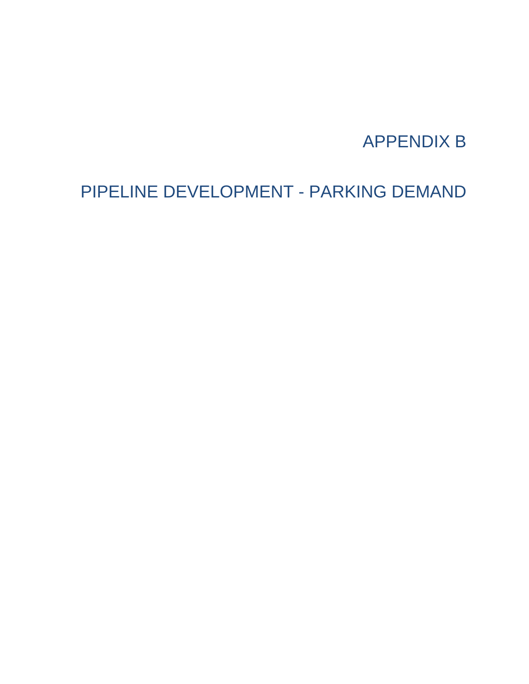## APPENDIX B

## PIPELINE DEVELOPMENT - PARKING DEMAND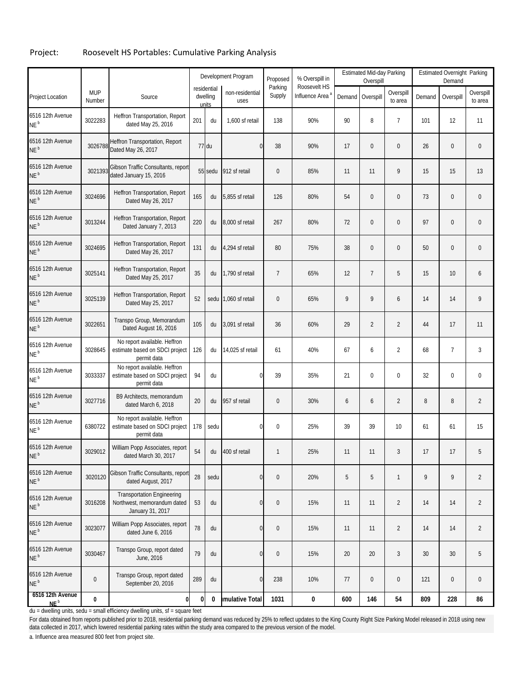#### Project: Roosevelt HS Portables: Cumulative Parking Analysis

|                                     |                      |                                                                                      |     |                                  | Development Program     | Proposed          | % Overspill in                              |     | <b>Estimated Mid-day Parking</b><br>Overspill |                      |        | Estimated Overnight Parking<br>Demand |                      |
|-------------------------------------|----------------------|--------------------------------------------------------------------------------------|-----|----------------------------------|-------------------------|-------------------|---------------------------------------------|-----|-----------------------------------------------|----------------------|--------|---------------------------------------|----------------------|
| Project Location                    | <b>MUP</b><br>Number | Source                                                                               |     | residential<br>dwelling<br>units | non-residential<br>uses | Parking<br>Supply | Roosevelt HS<br>Influence Area <sup>a</sup> |     | Demand Overspill                              | Overspill<br>to area | Demand | Overspill                             | Overspill<br>to area |
| 6516 12th Avenue<br>$NEb$           | 3022283              | Heffron Transportation, Report<br>dated May 25, 2016                                 | 201 | du                               | 1,600 sf retail         | 138               | 90%                                         | 90  | 8                                             | 7                    | 101    | 12                                    | 11                   |
| 6516 12th Avenue<br>NE <sup>b</sup> | 3026788              | Heffron Transportation, Report<br>Dated May 26, 2017                                 |     | 77 du                            | $\bf{0}$                | 38                | 90%                                         | 17  | 0                                             | 0                    | 26     | $\pmb{0}$                             | $\mathbf 0$          |
| 6516 12th Avenue<br>NE <sup>b</sup> | 3021393              | Gibson Traffic Consultants, report<br>dated January 15, 2016                         |     | 55 sedu                          | 912 sf retail           | $\boldsymbol{0}$  | 85%                                         | 11  | 11                                            | 9                    | 15     | 15                                    | 13                   |
| 6516 12th Avenue<br>NE <sup>b</sup> | 3024696              | Heffron Transportation, Report<br>Dated May 26, 2017                                 | 165 | du                               | 5,855 sf retail         | 126               | 80%                                         | 54  | 0                                             | 0                    | 73     | $\pmb{0}$                             | $\theta$             |
| 6516 12th Avenue<br>NE <sup>b</sup> | 3013244              | Heffron Transportation, Report<br>Dated January 7, 2013                              | 220 | du                               | 8,000 sf retail         | 267               | 80%                                         | 72  | 0                                             | 0                    | 97     | $\mathbf 0$                           | $\mathbf 0$          |
| 6516 12th Avenue<br>NE <sup>b</sup> | 3024695              | Heffron Transportation, Report<br>Dated May 26, 2017                                 | 131 | du                               | 4,294 sf retail         | 80                | 75%                                         | 38  | $\mathbf{0}$                                  | $\overline{0}$       | 50     | $\pmb{0}$                             | $\theta$             |
| 6516 12th Avenue<br>NE <sup>b</sup> | 3025141              | Heffron Transportation, Report<br>Dated May 25, 2017                                 | 35  | du                               | 1,790 sf retail         | $\overline{7}$    | 65%                                         | 12  | $\overline{7}$                                | 5                    | 15     | 10                                    | 6                    |
| 6516 12th Avenue<br>NE <sup>b</sup> | 3025139              | Heffron Transportation, Report<br>Dated May 25, 2017                                 | 52  |                                  | sedu 1,060 sf retail    | $\bf{0}$          | 65%                                         | 9   | 9                                             | 6                    | 14     | 14                                    | 9                    |
| 6516 12th Avenue<br>NE <sup>b</sup> | 3022651              | Transpo Group, Memorandum<br>Dated August 16, 2016                                   | 105 | du                               | 3,091 sf retail         | 36                | 60%                                         | 29  | $\overline{2}$                                | $\overline{2}$       | 44     | 17                                    | 11                   |
| 6516 12th Avenue<br>NE <sup>b</sup> | 3028645              | No report available. Heffron<br>estimate based on SDCI project<br>permit data        | 126 | du                               | 14,025 sf retail        | 61                | 40%                                         | 67  | 6                                             | $\overline{2}$       | 68     | $\overline{7}$                        | 3                    |
| 6516 12th Avenue<br>NE <sup>b</sup> | 3033337              | No report available. Heffron<br>estimate based on SDCI project<br>permit data        | 94  | du                               | 0                       | 39                | 35%                                         | 21  | 0                                             | 0                    | 32     | $\pmb{0}$                             | 0                    |
| 6516 12th Avenue<br>NE <sup>b</sup> | 3027716              | B9 Architects, memorandum<br>dated March 6, 2018                                     | 20  | du                               | 957 sf retail           | $\bf{0}$          | 30%                                         | 6   | 6                                             | $\overline{2}$       | 8      | 8                                     | $\overline{2}$       |
| 6516 12th Avenue<br>NE <sup>b</sup> | 6380722              | No report available. Heffron<br>estimate based on SDCI project<br>permit data        | 178 | sedu                             | $\mathbf 0$             | 0                 | 25%                                         | 39  | 39                                            | 10                   | 61     | 61                                    | 15                   |
| 6516 12th Avenue<br>NE <sup>b</sup> | 3029012              | William Popp Associates, report<br>dated March 30, 2017                              | 54  |                                  | du 400 sf retail        | $\mathbf{1}$      | 25%                                         | 11  | 11                                            | 3                    | 17     | 17                                    | 5                    |
| 6516 12th Avenue<br>NE <sup>b</sup> | 3020120              | Gibson Traffic Consultants, report<br>dated August, 2017                             | 28  | sedu                             | $\mathbf 0$             | $\pmb{0}$         | 20%                                         | 5   | 5                                             | 1                    | 9      | 9                                     | $\overline{2}$       |
| 6516 12th Avenue<br>NE <sup>b</sup> | 3016208              | <b>Transportation Engineering</b><br>Northwest, memorandum dated<br>January 31, 2017 | 53  | du                               | $\bf{0}$                | $\boldsymbol{0}$  | 15%                                         | 11  | 11                                            | $\overline{2}$       | 14     | 14                                    | $\overline{2}$       |
| 6516 12th Avenue<br>NE <sup>b</sup> | 3023077              | William Popp Associates, report<br>dated June 6, 2016                                | 78  | du                               | 0                       | $\pmb{0}$         | 15%                                         | 11  | 11                                            | 2                    | 14     | 14                                    | $\overline{2}$       |
| 6516 12th Avenue<br>NE <sup>b</sup> | 3030467              | Transpo Group, report dated<br>June, 2016                                            | 79  | du                               | $\overline{0}$          | $\pmb{0}$         | 15%                                         | 20  | 20                                            | 3                    | 30     | 30                                    | 5                    |
| 6516 12th Avenue<br>NE <sup>b</sup> | $\boldsymbol{0}$     | Transpo Group, report dated<br>September 20, 2016                                    | 289 | du                               | $\bf{0}$                | 238               | 10%                                         | 77  | 0                                             | $\boldsymbol{0}$     | 121    | $\boldsymbol{0}$                      | $\mathbf 0$          |
| 6516 12th Avenue<br>NE <sup>b</sup> | $\pmb{0}$            | $\boldsymbol{0}$                                                                     | 0   | 0                                | <b>Imulative Total</b>  | 1031              | 0                                           | 600 | 146                                           | 54                   | 809    | 228                                   | 86                   |

du = dwelling units, sedu = small efficiency dwelling units, sf = square feet

For data obtained from reports published prior to 2018, residential parking demand was reduced by 25% to reflect updates to the King County Right Size Parking Model released in 2018 using new data collected in 2017, which lowered residential parking rates within the study area compared to the previous version of the model.

a. Influence area measured 800 feet from project site.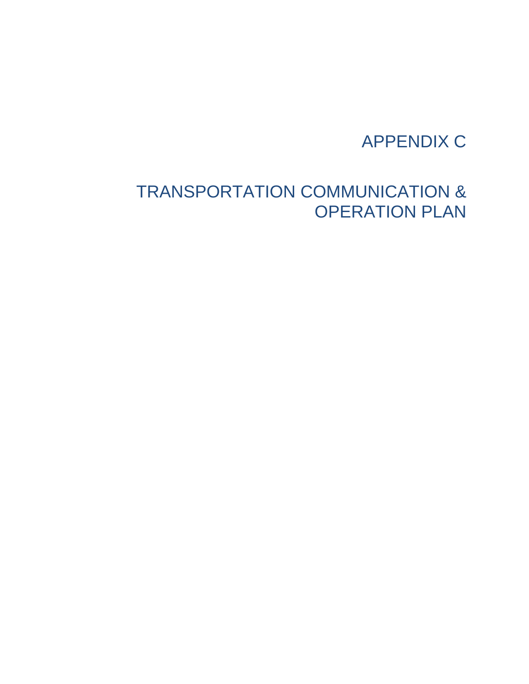## APPENDIX C

## TRANSPORTATION COMMUNICATION & OPERATION PLAN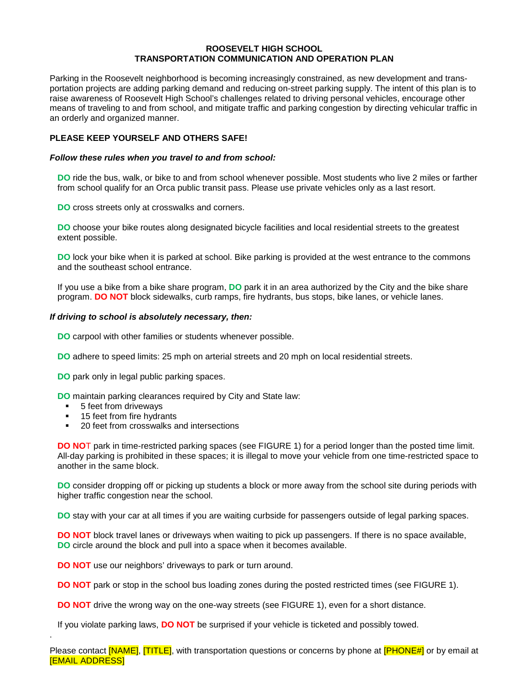#### **ROOSEVELT HIGH SCHOOL TRANSPORTATION COMMUNICATION AND OPERATION PLAN**

Parking in the Roosevelt neighborhood is becoming increasingly constrained, as new development and transportation projects are adding parking demand and reducing on-street parking supply. The intent of this plan is to raise awareness of Roosevelt High School's challenges related to driving personal vehicles, encourage other means of traveling to and from school, and mitigate traffic and parking congestion by directing vehicular traffic in an orderly and organized manner.

#### **PLEASE KEEP YOURSELF AND OTHERS SAFE!**

#### *Follow these rules when you travel to and from school:*

**DO** ride the bus, walk, or bike to and from school whenever possible. Most students who live 2 miles or farther from school qualify for an Orca public transit pass. Please use private vehicles only as a last resort.

**DO** cross streets only at crosswalks and corners.

**DO** choose your bike routes along designated bicycle facilities and local residential streets to the greatest extent possible.

**DO** lock your bike when it is parked at school. Bike parking is provided at the west entrance to the commons and the southeast school entrance.

If you use a bike from a bike share program, **DO** park it in an area authorized by the City and the bike share program. **DO NOT** block sidewalks, curb ramps, fire hydrants, bus stops, bike lanes, or vehicle lanes.

#### *If driving to school is absolutely necessary, then:*

**DO** carpool with other families or students whenever possible.

**DO** adhere to speed limits: 25 mph on arterial streets and 20 mph on local residential streets.

**DO** park only in legal public parking spaces.

**DO** maintain parking clearances required by City and State law:

■ 5 feet from driveways

.

- 15 feet from fire hydrants
- 20 feet from crosswalks and intersections

**DO NO**T park in time-restricted parking spaces (see FIGURE 1) for a period longer than the posted time limit. All-day parking is prohibited in these spaces; it is illegal to move your vehicle from one time-restricted space to another in the same block.

**DO** consider dropping off or picking up students a block or more away from the school site during periods with higher traffic congestion near the school.

**DO** stay with your car at all times if you are waiting curbside for passengers outside of legal parking spaces.

**DO NOT** block travel lanes or driveways when waiting to pick up passengers. If there is no space available, **DO** circle around the block and pull into a space when it becomes available.

**DO NOT** use our neighbors' driveways to park or turn around.

**DO NOT** park or stop in the school bus loading zones during the posted restricted times (see FIGURE 1).

**DO NOT** drive the wrong way on the one-way streets (see FIGURE 1), even for a short distance.

If you violate parking laws, **DO NOT** be surprised if your vehicle is ticketed and possibly towed.